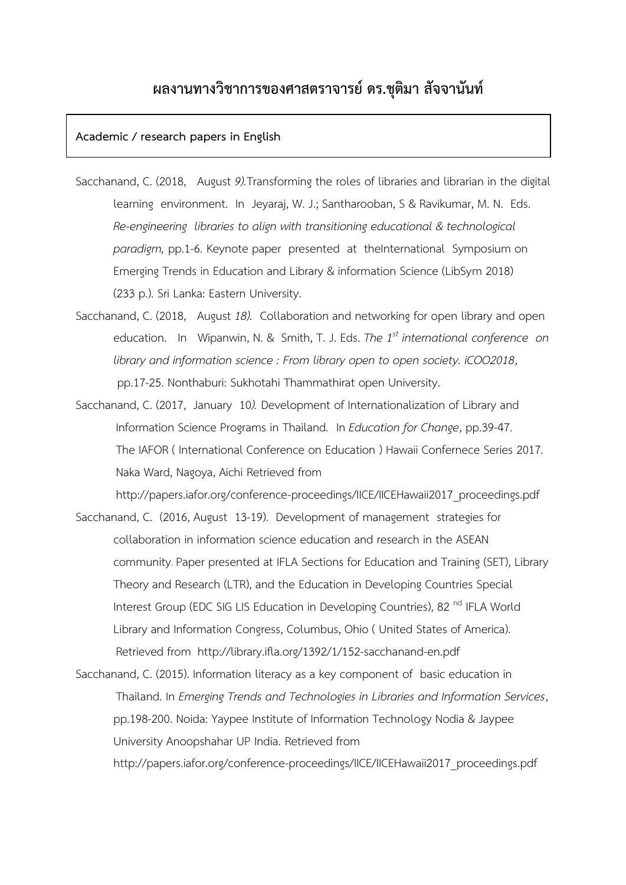# **ผลงานทางวิชาการของศาสตราจารย์ ดร.ชุติมา สัจจานันท์**

#### **Academic / research papers in English**

- Sacchanand, C. (2018, August *9).*Transforming the roles of libraries and librarian in the digital learning environment. In Jeyaraj, W. J.; Santharooban, S & Ravikumar, M. N. Eds. *Re-engineering libraries to align with transitioning educational & technological paradigm,* pp.1-6. Keynote paper presented at theInternational Symposium on Emerging Trends in Education and Library & information Science (LibSym 2018) (233 p.). Sri Lanka: Eastern University.
- Sacchanand, C. (2018, August *18).* Collaboration and networking for open library and open education. In Wipanwin, N. & Smith, T. J. Eds. *The 1st international conference on library and information science : From library open to open society. iCOO2018*, pp.17-25. Nonthaburi: Sukhotahi Thammathirat open University.
- Sacchanand, C. (2017, January 10*).* Development of Internationalization of Library and Information Science Programs in Thailand*.* In *Education for Change*, pp.39-47. The IAFOR ( International Conference on Education ) Hawaii Confernece Series 2017*.* Naka Ward, Nagoya, Aichi Retrieved from

http://papers.iafor.org/conference-proceedings/IICE/IICEHawaii2017\_proceedings.pdf

Sacchanand, C. (2016, August 13-19). Development of management strategies for collaboration in information science education and research in the ASEAN community. Paper presented at IFLA Sections for Education and Training (SET), Library Theory and Research (LTR), and the Education in Developing Countries Special Interest Group (EDC SIG LIS Education in Developing Countries), 82<sup>nd</sup> IFLA World Library and Information Congress, Columbus, Ohio ( United States of America). Retrieved from http://library.ifla.org/1392/1/152-sacchanand-en.pdf

Sacchanand, C. (2015). Information literacy as a key component of basic education in Thailand. In *Emerging Trends and Technologies in Libraries and Information Services*, pp.198-200. Noida: Yaypee Institute of Information Technology Nodia & Jaypee University Anoopshahar UP India. Retrieved from http://papers.iafor.org/conference-proceedings/IICE/IICEHawaii2017\_proceedings.pdf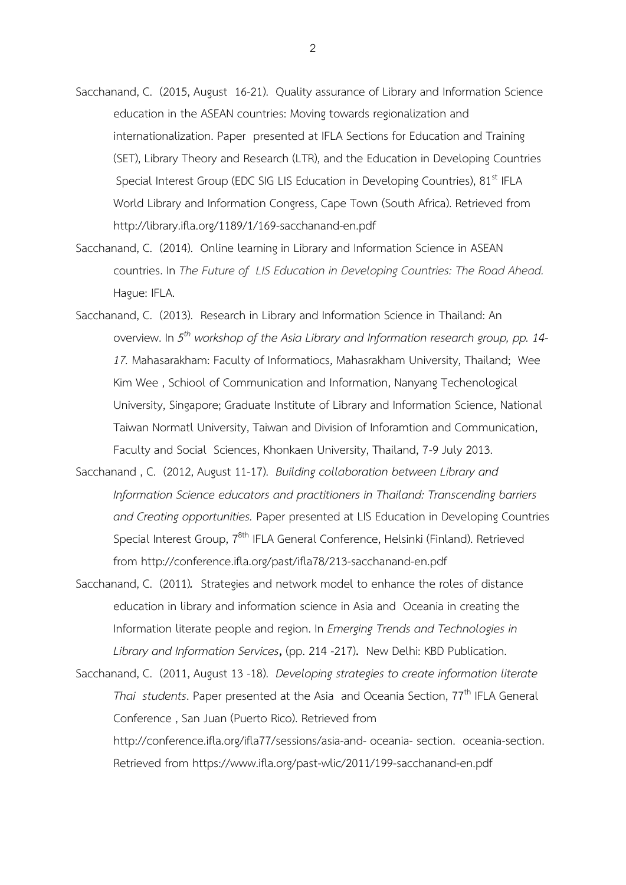- Sacchanand, C. (2015, August 16-21). Quality assurance of Library and Information Science education in the ASEAN countries: Moving towards regionalization and internationalization. Paper presented at IFLA Sections for Education and Training (SET), Library Theory and Research (LTR), and the Education in Developing Countries Special Interest Group (EDC SIG LIS Education in Developing Countries), 81<sup>st</sup> IFLA World Library and Information Congress, Cape Town (South Africa). Retrieved from http://library.ifla.org/1189/1/169-sacchanand-en.pdf
- Sacchanand, C. (2014). Online learning in Library and Information Science in ASEAN countries. In *The Future of LIS Education in Developing Countries: The Road Ahead.* Hague: IFLA.
- Sacchanand, C. (2013). Research in Library and Information Science in Thailand: An overview. In *5 th workshop of the Asia Library and Information research group, pp. 14- 17.* Mahasarakham: Faculty of Informatiocs, Mahasrakham University, Thailand; Wee Kim Wee , Schiool of Communication and Information, Nanyang Techenological University, Singapore; Graduate Institute of Library and Information Science, National Taiwan Normatl University, Taiwan and Division of Inforamtion and Communication, Faculty and Social Sciences, Khonkaen University, Thailand, 7-9 July 2013.
- Sacchanand , C. (2012, August 11-17). *Building collaboration between Library and Information Science educators and practitioners in Thailand: Transcending barriers and Creating opportunities.* Paper presented at LIS Education in Developing Countries Special Interest Group, 7<sup>8th</sup> IFLA General Conference, Helsinki (Finland). Retrieved from http://conference.ifla.org/past/ifla78/213-sacchanand-en.pdf
- Sacchanand, C. (2011)*.* Strategies and network model to enhance the roles of distance education in library and information science in Asia and Oceania in creating the Information literate people and region. In *Emerging Trends and Technologies in Library and Information Services***,** (pp. 214 -217)**.** New Delhi: KBD Publication.
- Sacchanand, C. (2011, August 13 -18). *Developing strategies to create information literate Thai students*. Paper presented at the Asia and Oceania Section, 77<sup>th</sup> IFLA General Conference , San Juan (Puerto Rico). Retrieved from [http://conference.ifla.org/ifla77/sessions/asia-and-](http://conference.ifla.org/ifla77/sessions/asia-and-%20oceania-%20section.%20%20oceania-section) oceania- section. oceania-section. Retrieved from<https://www.ifla.org/past-wlic/2011/199-sacchanand-en.pdf>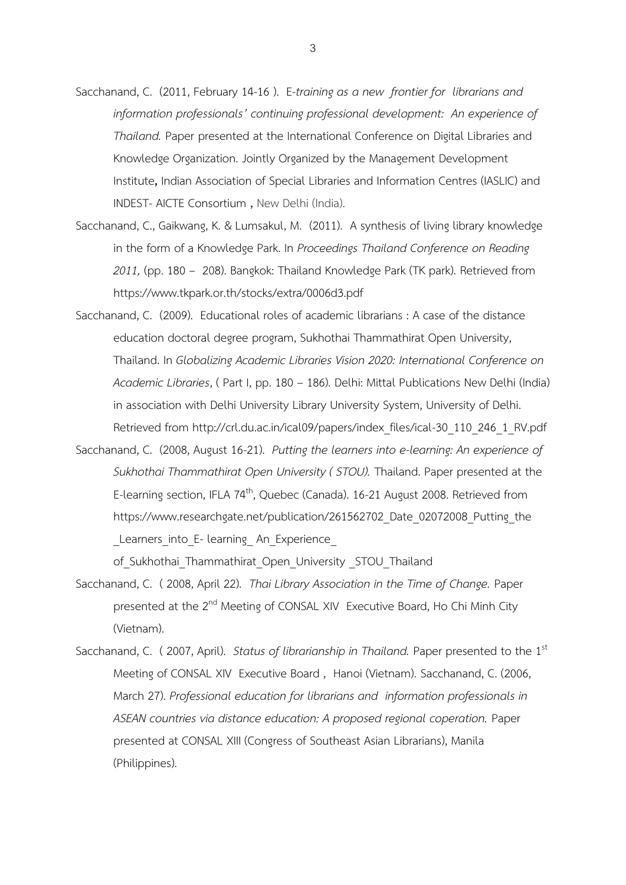- Sacchanand, C. (2011, February 14-16 ). E*-training as a new frontier for librarians and information professionals' continuing professional development: An experience of Thailand.* Paper presented at the International Conference on Digital Libraries and Knowledge Organization. Jointly Organized by the Management Development Institute**,** Indian Association of Special Libraries and Information Centres (IASLIC) and INDEST- AICTE Consortium **,** New Delhi (India).
- Sacchanand, C., Gaikwang, K. & Lumsakul, M. (2011). A synthesis of living library knowledge in the form of a Knowledge Park. In *Proceedings Thailand Conference on Reading 2011,* (pp. 180 – 208). Bangkok: Thailand Knowledge Park (TK park). Retrieved from https://www.tkpark.or.th/stocks/extra/0006d3.pdf
- Sacchanand, C. (2009). Educational roles of academic librarians : A case of the distance education doctoral degree program, Sukhothai Thammathirat Open University, Thailand. In *Globalizing Academic Libraries Vision 2020: International Conference on Academic Libraries*, ( Part I, pp. 180 – 186). Delhi: Mittal Publications New Delhi (India) in association with Delhi University Library University System, University of Delhi. Retrieved from http://crl.du.ac.in/ical09/papers/index\_files/ical-30\_110\_246\_1\_RV.pdf
- Sacchanand, C. (2008, August 16-21). *Putting the learners into e-learning: An experience of Sukhothai Thammathirat Open University ( STOU).* Thailand. Paper presented at the E-learning section, IFLA 74<sup>th</sup>, Quebec (Canada). 16-21 August 2008. Retrieved from https://www.researchgate.net/publication/261562702 Date\_02072008 Putting the Learners into E- learning An Experience

of Sukhothai Thammathirat Open University STOU Thailand

- Sacchanand, C. ( 2008, April 22). *Thai Library Association in the Time of Change.* Paper presented at the 2<sup>nd</sup> Meeting of CONSAL XIV Executive Board, Ho Chi Minh City (Vietnam).
- Sacchanand, C. (2007, April). *Status of librarianship in Thailand.* Paper presented to the 1<sup>st</sup> Meeting of CONSAL XIV Executive Board , Hanoi (Vietnam). Sacchanand, C. (2006, March 27). *Professional education for librarians and information professionals in ASEAN countries via distance education: A proposed regional coperation.* Paper presented at CONSAL XIII (Congress of Southeast Asian Librarians), Manila (Philippines).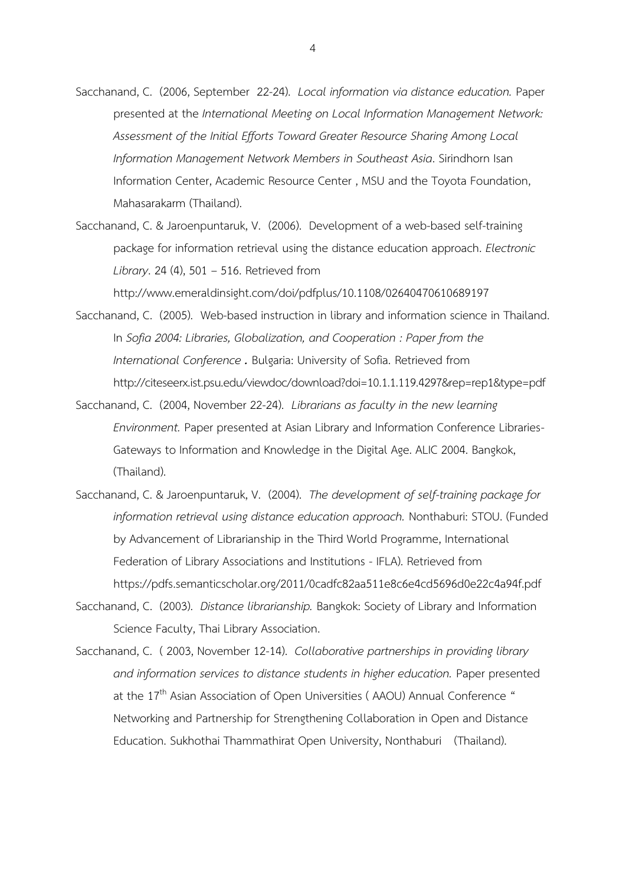- Sacchanand, C. (2006, September 22-24). *Local information via distance education.* Paper presented at the *International Meeting on Local Information Management Network: Assessment of the Initial Efforts Toward Greater Resource Sharing Among Local Information Management Network Members in Southeast Asia*. Sirindhorn Isan Information Center, Academic Resource Center , MSU and the Toyota Foundation, Mahasarakarm (Thailand).
- Sacchanand, C. & Jaroenpuntaruk, V. (2006). Development of a web-based self-training package for information retrieval using the distance education approach. *Electronic Library*. 24 (4), 501 – 516. Retrieved from

http://www.emeraldinsight.com/doi/pdfplus/10.1108/02640470610689197

- Sacchanand, C. (2005). Web-based instruction in library and information science in Thailand. In *[Sofia 2004: Libraries, Globalization, and Cooperation](http://slim.emporia.edu/globenet/sofia2004/index.htm) : Paper from the International Conference .* Bulgaria: University of Sofia. Retrieved from http://citeseerx.ist.psu.edu/viewdoc/download?doi=10.1.1.119.4297&rep=rep1&type=pdf
- Sacchanand, C. (2004, November 22-24).*Librarians as faculty in the new learning Environment.* Paper presented at Asian Library and Information Conference Libraries-Gateways to Information and Knowledge in the Digital Age. ALIC 2004. Bangkok, (Thailand).
- Sacchanand, C. & Jaroenpuntaruk, V. (2004). *The development of self-training package for information retrieval using distance education approach.* Nonthaburi: STOU. (Funded by Advancement of Librarianship in the Third World Programme, International Federation of Library Associations and Institutions - IFLA). Retrieved from https://pdfs.semanticscholar.org/2011/0cadfc82aa511e8c6e4cd5696d0e22c4a94f.pdf
- Sacchanand, C. (2003). *Distance librarianship.* Bangkok: Society of Library and Information Science Faculty, Thai Library Association.
- Sacchanand, C. ( 2003, November 12-14). *Collaborative partnerships in providing library and information services to distance students in higher education.* Paper presented at the  $17<sup>th</sup>$  Asian Association of Open Universities (AAOU) Annual Conference " Networking and Partnership for Strengthening Collaboration in Open and Distance Education. Sukhothai Thammathirat Open University, Nonthaburi (Thailand).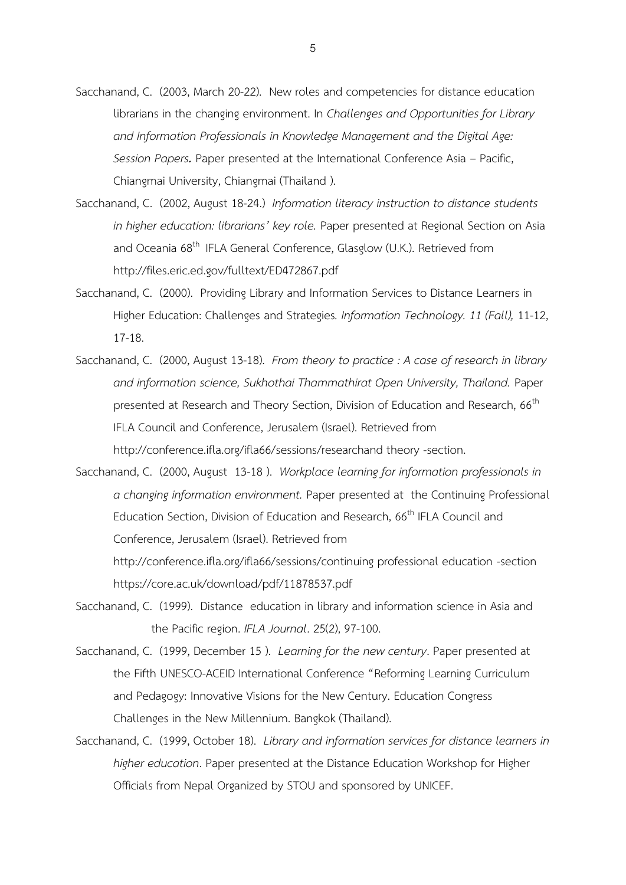- Sacchanand, C. (2003, March 20-22). New roles and competencies for distance education librarians in the changing environment. In *Challenges and Opportunities for Library and Information Professionals in Knowledge Management and the Digital Age: Session Papers.* Paper presented at the International Conference Asia – Pacific, Chiangmai University, Chiangmai (Thailand ).
- Sacchanand, C. (2002, August 18-24.) *Information literacy instruction to distance students in higher education: librarians' key role.* Paper presented at Regional Section on Asia and Oceania 68<sup>th</sup> IFLA General Conference, Glasglow (U.K.). Retrieved from http://files.eric.ed.gov/fulltext/ED472867.pdf
- Sacchanand, C. (2000). Providing Library and Information Services to Distance Learners in Higher Education: Challenges and Strategies*. Information Technology. 11 (Fall),* 11-12, 17-18.
- Sacchanand, C. (2000, August 13-18). *From theory to practice : A case of research in library and information science, Sukhothai Thammathirat Open University, Thailand.* Paper presented at Research and Theory Section, Division of Education and Research, 66<sup>th</sup> IFLA Council and Conference, Jerusalem (Israel). Retrieved from [http://conference.ifla.org/ifla66/sessions/researchand theory -section.](http://conference.ifla.org/ifla66/sessions/researchand%20theory%20-section)
- Sacchanand, C. (2000, August 13-18 ). *Workplace learning for information professionals in a changing information environment.* Paper presented at the Continuing Professional Education Section, Division of Education and Research, 66<sup>th</sup> IFLA Council and Conference, Jerusalem (Israel). Retrieved from

http://conference.ifla.org/ifla66/sessions/continuing professional education -section https://core.ac.uk/download/pdf/11878537.pdf

- Sacchanand, C. (1999). Distance education in library and information science in Asia and the Pacific region. *IFLA Journal*. 25(2), 97-100.
- Sacchanand, C. (1999, December 15 ). *Learning for the new century*. Paper presented at the Fifth UNESCO-ACEID International Conference "Reforming Learning Curriculum and Pedagogy: Innovative Visions for the New Century. Education Congress Challenges in the New Millennium. Bangkok (Thailand).
- Sacchanand, C. (1999, October 18). *Library and information services for distance learners in higher education*. Paper presented at the Distance Education Workshop for Higher Officials from Nepal Organized by STOU and sponsored by UNICEF.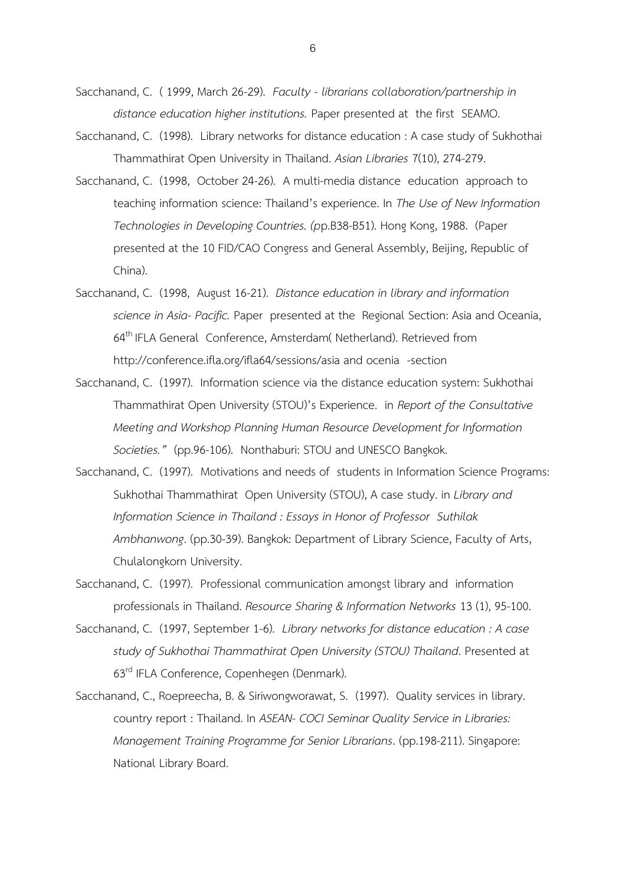- Sacchanand, C. ( 1999, March 26-29). *Faculty - librarians collaboration/partnership in distance education higher institutions.* Paper presented at the first SEAMO.
- Sacchanand, C. (1998). Library networks for distance education : A case study of Sukhothai Thammathirat Open University in Thailand. *Asian Libraries* 7(10), 274-279.
- Sacchanand, C. (1998, October 24-26). A multi-media distance education approach to teaching information science: Thailand's experience. In *The Use of New Information Technologies in Developing Countries. (p*p.B38-B51). Hong Kong, 1988. (Paper presented at the 10 FID/CAO Congress and General Assembly, Beijing, Republic of China).
- Sacchanand, C. (1998, August 16-21). *Distance education in library and information science in Asia- Pacific.* Paper presented at the Regional Section: Asia and Oceania, 64<sup>th</sup> IFLA General Conference, Amsterdam( Netherland). Retrieved from http://conference.ifla.org/ifla64/sessions/asia and ocenia -section
- Sacchanand, C. (1997). Information science via the distance education system: Sukhothai Thammathirat Open University (STOU)'s Experience. in *Report of the Consultative Meeting and Workshop Planning Human Resource Development for Information Societies."* (pp.96-106). Nonthaburi: STOU and UNESCO Bangkok.
- Sacchanand, C. (1997). Motivations and needs of students in Information Science Programs: Sukhothai Thammathirat Open University (STOU), A case study. in *Library and Information Science in Thailand : Essays in Honor of Professor Suthilak Ambhanwong*. (pp.30-39). Bangkok: Department of Library Science, Faculty of Arts, Chulalongkorn University.
- Sacchanand, C. (1997). Professional communication amongst library and information professionals in Thailand. *Resource Sharing & Information Networks* 13 (1), 95-100.
- Sacchanand, C. (1997, September 1-6). *Library networks for distance education : A case study of Sukhothai Thammathirat Open University (STOU) Thailand*. Presented at 63<sup>rd</sup> IFLA Conference, Copenhegen (Denmark).
- Sacchanand, C., Roepreecha, B. & Siriwongworawat, S. (1997). Quality services in library. country report : Thailand. In *ASEAN- COCI Seminar Quality Service in Libraries: Management Training Programme for Senior Librarians*. (pp.198-211). Singapore: National Library Board.

6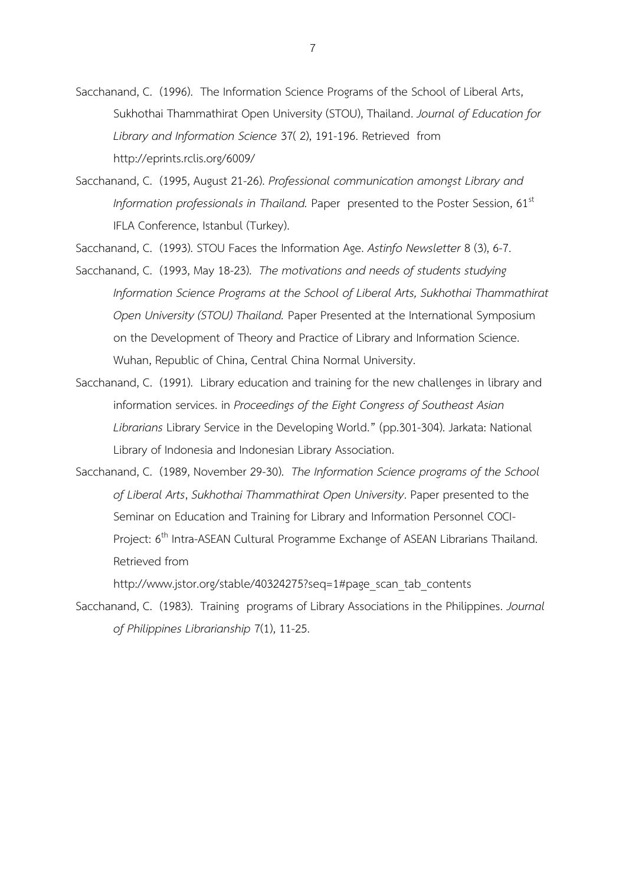- Sacchanand, C. (1996). The Information Science Programs of the School of Liberal Arts, Sukhothai Thammathirat Open University (STOU), Thailand. *Journal of Education for Library and Information Science* 37( 2), 191-196. Retrieved from http://eprints.rclis.org/6009/
- Sacchanand, C. (1995, August 21-26). *Professional communication amongst Library and Information professionals in Thailand.* Paper presented to the Poster Session, 61<sup>st</sup> IFLA Conference, Istanbul (Turkey).

Sacchanand, C. (1993). STOU Faces the Information Age. *Astinfo Newsletter* 8 (3), 6-7.

- Sacchanand, C. (1993, May 18-23). *The motivations and needs of students studying Information Science Programs at the School of Liberal Arts, Sukhothai Thammathirat Open University (STOU) Thailand.* Paper Presented at the International Symposium on the Development of Theory and Practice of Library and Information Science. Wuhan, Republic of China, Central China Normal University.
- Sacchanand, C. (1991). Library education and training for the new challenges in library and information services. in *Proceedings of the Eight Congress of Southeast Asian Librarians* Library Service in the Developing World." (pp.301-304). Jarkata: National Library of Indonesia and Indonesian Library Association.
- Sacchanand, C. (1989, November 29-30). *The Information Science programs of the School of Liberal Arts*, *Sukhothai Thammathirat Open University*. Paper presented to the Seminar on Education and Training for Library and Information Personnel COCI-Project: 6<sup>th</sup> Intra-ASEAN Cultural Programme Exchange of ASEAN Librarians Thailand. Retrieved from

[http://www.jstor.org/stable/40324275?seq=1#page\\_scan\\_tab\\_contents](http://www.jstor.org/stable/40324275?seq=1#page_scan_tab_contents)

Sacchanand, C. (1983). Training programs of Library Associations in the Philippines. *Journal of Philippines Librarianship* 7(1), 11-25.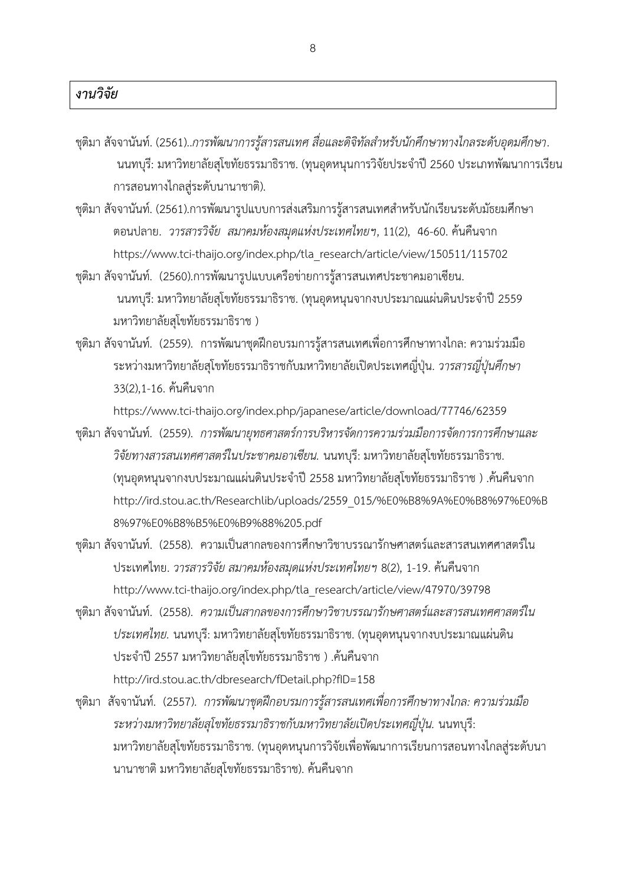- ึชุติมา สัจจานันท์. (2561)..*การพัฒนาการรู้สารสนเทศ สื่อและดิจิทัลสำหรับนักศึกษาทางไกลระดับอุดมศึกษา.* นนทบุรี: มหาวิทยาลัยสุโขทัยธรรมาธิราช. (ทุนอุดหนุนการวิจัยประจำปี 2560 ประเภทพัฒนาการเรียน การสอนทางไกลสู่ระดับนานาชาติ).
- ชุติมา สัจจานันท์. (2561).การพัฒนารูปแบบการส่งเสริมการรู้สารสนเทศสำหรับนักเรียนระดับมัธยมศึกษา ตอนปลาย. *วารสารวิจัย สมาคมห้องสมุดแห่งประเทศไทยฯ*, 11(2), 46-60. ค้นคืนจาก https://www.tci-thaijo.org/index.php/tla\_research/article/view/150511/115702
- ชุติมา สัจจานันท์. (2560).การพัฒนารูปแบบเครือข่ายการรู้สารสนเทศประชาคมอาเซียน. นนทบุรี: มหาวิทยาลัยสุโขทัยธรรมาธิราช. (ทุนอุดหนุนจากงบประมาณแผ่นดินประจำปี 2559 มหาวิทยาลัยสุโขทัยธรรมาธิราช )
- ชุติมา สัจจานันท์. (2559). การพัฒนาชุดฝึกอบรมการรู้สารสนเทศเพื่อการศึกษาทางไกล: ความร่วมมือ ระหว่างมหาวิทยาลัยสุโขทัยธรรมาธิราชกับมหาวิทยาลัยเปิดประเทศญี่ปุ่น. *วารสารญี่ปุ่นศึกษา* 33(2),1-16. ค้นคืนจาก

https://www.tci-thaijo.org/index.php/japanese/article/download/77746/62359

- ชุติมา สัจจานันท์. (2559). *การพัฒนายุทธศาสตร์การบริหารจัดการความร่วมมือการจัดการการศึกษาและ วิจัยทางสารสนเทศศาสตร์ในประชาคมอาเซียน.* นนทบุรี: มหาวิทยาลัยสุโขทัยธรรมาธิราช. (ทุนอุดหนุนจากงบประมาณแผ่นดินประจำปี 2558 มหาวิทยาลัยสุโขทัยธรรมาธิราช ) .ค้นคืนจาก http://ird.stou.ac.th/Researchlib/uploads/2559\_015/%E0%B8%9A%E0%B8%97%E0%B 8%97%E0%B8%B5%E0%B9%88%205.pdf
- ชุติมา สัจจานันท์. (2558). ความเป็นสากลของการศึกษาวิชาบรรณารักษศาสตร์และสารสนเทศศาสตร์ใน ประเทศไทย. *วารสารวิจัย สมาคมห้องสมุดแห่งประเทศไทยฯ* 8(2), 1-19. ค้นคืนจาก [http://www.tci-thaijo.org/index.php/tla\\_research/article/view/47970/39798](http://www.tci-thaijo.org/index.php/tla_research/article/view/47970/39798)
- ชุติมา สัจจานันท์. (2558). *ความเป็นสากลของการศึกษาวิชาบรรณารักษศาสตร์และสารสนเทศศาสตร์ใน ประเทศไทย.* นนทบุรี: มหาวิทยาลัยสุโขทัยธรรมาธิราช. (ทุนอุดหนุนจากงบประมาณแผ่นดิน ประจ าปี 2557 มหาวิทยาลัยสุโขทัยธรรมาธิราช ) .ค้นคืนจาก http://ird.stou.ac.th/dbresearch/fDetail.php?fID=158
- ชุติมา สัจจานันท์. (2557). *การพัฒนาชุดฝึกอบรมการรู้สารสนเทศเพื่อการศึกษาทางไกล: ความร่วมมือ ระหว่างมหาวิทยาลัยสุโขทัยธรรมาธิราชกับมหาวิทยาลัยเปิดประเทศญี่ปุ่น.* นนทบุรี: มหาวิทยาลัยสุโขทัยธรรมาธิราช. (ทุนอุดหนุนการวิจัยเพื่อพัฒนาการเรียนการสอนทางไกลสู่ระดับนา นานาชาติ มหาวิทยาลัยสุโขทัยธรรมาธิราช). ค้นคืนจาก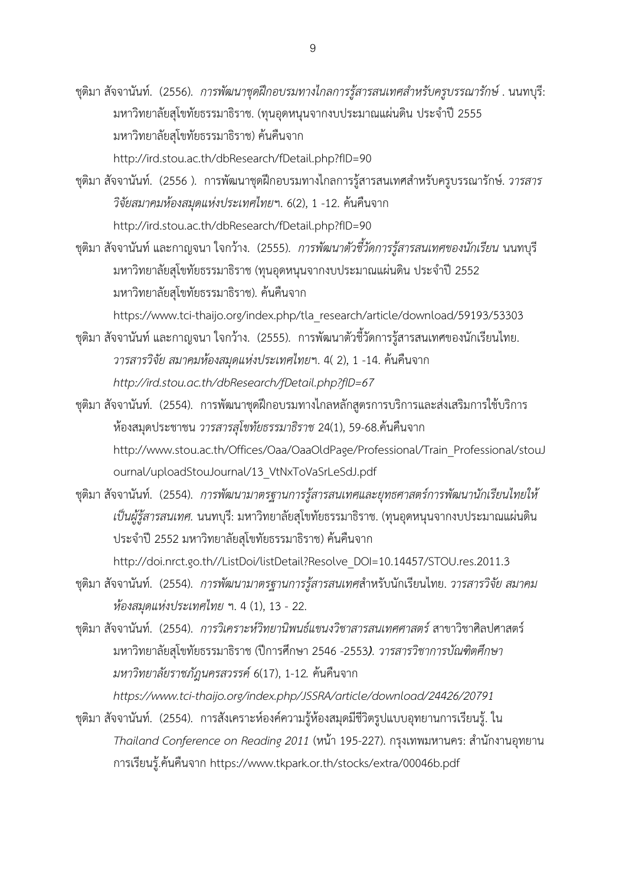ชุติมา สัจจานันท์. (2556). *การพัฒนาชุดฝึกอบรมทางไกลการรู้สารสนเทศส าหรับครูบรรณารักษ์*. นนทบุรี: มหาวิทยาลัยสุโขทัยธรรมาธิราช. (ทุนอุดหนุนจากงบประมาณแผ่นดิน ประจำปี 2555 มหาวิทยาลัยสุโขทัยธรรมาธิราช) ค้นคืนจาก http://ird.stou.ac.th/dbResearch/fDetail.php?fID=90

- ี ชุติมา สัจจานันท์. (2556 ). การพัฒนาชุดฝึกอบรมทางไกลการรู้สารสนเทศสำหรับครูบรรณารักษ์. *วารสาร วิจัยสมาคมห้องสมุดแห่งประเทศไทย*ฯ. 6(2), 1 -12. ค้นคืนจาก http://ird.stou.ac.th/dbResearch/fDetail.php?fID=90
- ชุติมา สัจจานันท์ และกาญจนา ใจกว้าง. (2555). *การพัฒนาตัวชี้วัดการรู้สารสนเทศของนักเรียน* นนทบุรี มหาวิทยาลัยสุโขทัยธรรมาธิราช (ทุนอุดหนุนจากงบประมาณแผ่นดิน ประจำปี 2552 มหาวิทยาลัยสุโขทัยธรรมาธิราช). ค้นคืนจาก

https://www.tci-thaijo.org/index.php/tla\_research/article/download/59193/53303

- ชุติมา สัจจานันท์ และกาญจนา ใจกว้าง. (2555). การพัฒนาตัวชี้วัดการรู้สารสนเทศของนักเรียนไทย. *วารสารวิจัย สมาคมห้องสมุดแห่งประเทศไทย*ฯ. 4( 2), 1 -14. ค้นคืนจาก *http://ird.stou.ac.th/dbResearch/fDetail.php?fID=67*
- ชุติมา สัจจานันท์. (2554). การพัฒนาชุดฝึกอบรมทางไกลหลักสูตรการบริการและส่งเสริมการใช้บริการ ห้องสมุดประชาชน *วารสารสุโขทัยธรรมาธิราช* 24(1), 59-68.ค้นคืนจาก http://www.stou.ac.th/Offices/Oaa/OaaOldPage/Professional/Train\_Professional/stouJ ournal/uploadStouJournal/13\_VtNxToVaSrLeSdJ.pdf
- ชุติมา สัจจานันท์. (2554). *การพัฒนามาตรฐานการรู้สารสนเทศและยุทธศาสตร์การพัฒนานักเรียนไทยให้ เป็นผู้รู้สารสนเทศ.* นนทบุรี: มหาวิทยาลัยสุโขทัยธรรมาธิราช. (ทุนอุดหนุนจากงบประมาณแผ่นดิน ประจ าปี 2552 มหาวิทยาลัยสุโขทัยธรรมาธิราช) ค้นคืนจาก

http://doi.nrct.go.th//ListDoi/listDetail?Resolve\_DOI=10.14457/STOU.res.2011.3

- ชุติมา สัจจานันท์. (2554). *การพัฒนามาตรฐานการรู้สารสนเทศ*ส าหรับนักเรียนไทย. *วารสารวิจัย สมาคม ห้องสมุดแห่งประเทศไทย* ฯ. 4 (1), 13 - 22.
- ชุติมา สัจจานันท์. (2554). *การวิเคราะห์วิทยานิพนธ์แขนงวิชาสารสนเทศศาสตร์*สาขาวิชาศิลปศาสตร์ มหาวิทยาลัยสุโขทัยธรรมาธิราช (ปีการศึกษา 2546 -2553*). วารสารวิชาการบัณฑิตศึกษา มหาวิทยาลัยราชภัฎนครสวรรค์* 6(17), 1-12*.* ค้นคืนจาก

*https://www.tci-thaijo.org/index.php/JSSRA/article/download/24426/20791*

ชุติมา สัจจานันท์. (2554). การสังเคราะห์องค์ความรู้ห้องสมุดมีชีวิตรูปแบบอุทยานการเรียนรู้. ใน *Thailand Conference on Reading 2011 (หน้*า 195-227). กรุงเทพมหานคร: สำนักงานอุทยาน การเรียนรู้.ค้นคืนจาก https://www.tkpark.or.th/stocks/extra/00046b.pdf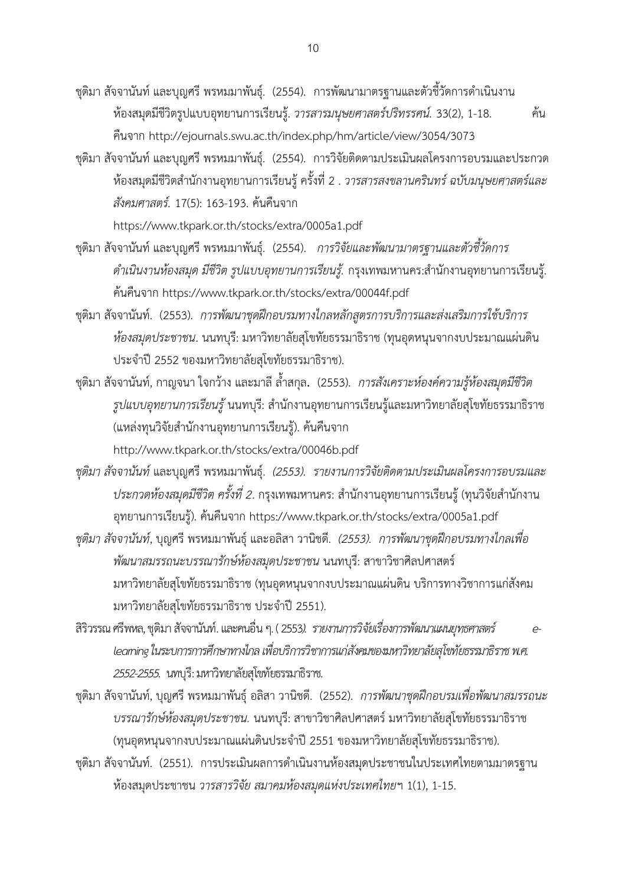- ชุติมา สัจจานันท์ และบุญศรี พรหมมาพันธุ์. (2554). การพัฒนามาตรฐานและตัวชี้วัดการดำเนินงาน ห้องสมุดมีชีวิตรูปแบบอุทยานการเรียนรู้. *วารสารมนุษยศาสตร์ปริทรรศน์.* 33(2), 1-18. ค้น คืนจาก http://ejournals.swu.ac.th/index.php/hm/article/view/3054/3073
- ชุติมา สัจจานันท์ และบุญศรี พรหมมาพันธุ์. (2554). การวิจัยติดตามประเมินผลโครงการอบรมและประกวด ห้องสมุดมีชีวิตสำนักงานอุทยานการเรียนรู้ ครั้งที่ 2 . *วารสารสงขลานครินทร์ ฉบับมนุษยศาสตร์และ สังคมศาสตร์.* 17(5): 163-193. ค้นคืนจาก

<https://www.tkpark.or.th/stocks/extra/0005a1.pdf>

- ชุติมา สัจจานันท์ และบุญศรี พรหมมาพันธุ์. (2554). *การวิจัยและพัฒนามาตรฐานและตัวชี้วัดการ ดำเนินงานห้องสมุด มีชีวิต รูปแบบอุทยานการเรียนรู้.* กรุงเทพมหานคร:สำนักงานอุทยานการเรียนรู้. ค้นคืนจาก https://www.tkpark.or.th/stocks/extra/00044f.pdf
- ชุติมา สัจจานันท์. (2553). *การพัฒนาชุดฝึกอบรมทางไกลหลักสูตรการบริการและส่งเสริมการใช้บริการ ห้องสมุดประชาชน*. นนทบุรี: มหาวิทยาลัยสุโขทัยธรรมาธิราช (ทุนอุดหนุนจากงบประมาณแผ่นดิน ประจ าปี 2552 ของมหาวิทยาลัยสุโขทัยธรรมาธิราช).
- ชุติมา สัจจานันท์, กาญจนา ใจกว้าง และมาลี ล้ าสกุล**.** (2553). *การสังเคราะห์องค์ความรู้ห้องสมุดมีชีวิต รูปแบบอุทยานการเรียนรู้* นนทบุรี: สำนักงานอุทยานการเรียนรู้และมหาวิทยาลัยสุโขทัยธรรมาธิราช (แหล่งทุนวิจัยสำนักงานอุทยานการเรียนรู้). ค้นคืนจาก http://www.tkpark.or.th/stocks/extra/00046b.pdf
- *ชุติมา สัจจานันท์*และบุญศรี พรหมมาพันธุ์. *(2553). รายงานการวิจัยติดตามประเมินผลโครงการอบรมและ ประกวดห้องสมุดมีชีวิต ครั้งที่ 2*. กรุงเทพมหานคร: สำนักงานอุทยานการเรียนรู้ (ทุนวิจัยสำนักงาน อุทยานการเรียนรู้). ค้นคืนจาก https://www.tkpark.or.th/stocks/extra/0005a1.pdf
- *ชุติมา สัจจานันท์*, บุญศรี พรหมมาพันธุ์ และอลิสา วานิชดี. *(2553). การพัฒนาชุดฝึกอบรมทางไกลเพื่อ พัฒนาสมรรถนะบรรณารักษ์ห้องสมุดประชาชน* นนทบุรี: สาขาวิชาศิลปศาสตร์ มหาวิทยาลัยสุโขทัยธรรมาธิราช (ทุนอุดหนุนจากงบประมาณแผ่นดิน บริการทางวิชาการแก่สังคม มหาวิทยาลัยสุโขทัยธรรมาธิราช ประจำปี 2551).
- สิริวรรณศรีพหล, ชุติมา สัจจานันท์. และคนอื่น ๆ. ( 2553*). รายงานการวิจัยเรื่องการพัฒนาแผนยุทธศาสตร์ elearning ในระบการการศึกษาทางไกล เพื่อบริการวิชาการแก่สังคมของมหาวิทยาลัยสุโขทัยธรรมาธิราช พ.ศ. 2552-2555.* นทบุรี: มหาวิทยาลัยสุโขทัยธรรมาธิราช.
- ชุติมา สัจจานันท์, บุญศรี พรหมมาพันธุ์อลิสา วานิชดี. (2552). *การพัฒนาชุดฝึกอบรมเพื่อพัฒนาสมรรถนะ บรรณารักษ์ห้องสมุดประชาชน.* นนทบุรี: สาขาวิชาศิลปศาสตร์ มหาวิทยาลัยสุโขทัยธรรมาธิราช (ทุนอุดหนุนจากงบประมาณแผ่นดินประจำปี 2551 ของมหาวิทยาลัยสุโขทัยธรรมาธิราช).
- ชุติมา สัจจานันท์. (2551). การประเมินผลการดำเนินงานห้องสมุดประชาชนในประเทศไทยตามมาตรฐาน ห้องสมุดประชาชน *วารสารวิจัย สมาคมห้องสมุดแห่งประเทศไทย*ฯ 1(1), 1-15.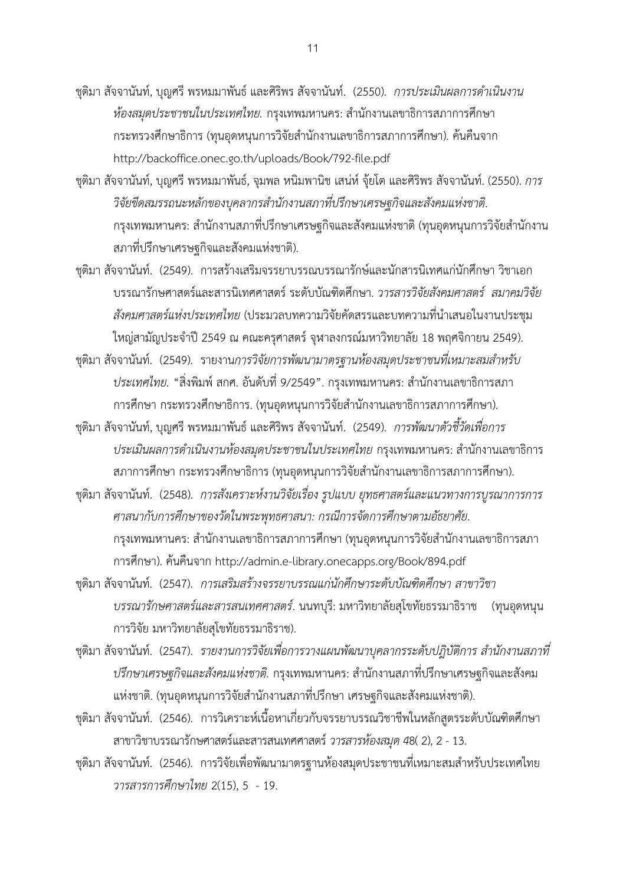ีชุติมา สัจจานันท์, บุญศรี พรหมมาพันธ์ และศิริพร สัจจานันท์. (2550). *การประเมินผลการดำเนินงาน ห้องสมุดประชาชนในประเทศไทย.* กรุงเทพมหานคร: สำนักงานเลขาธิการสภาการศึกษา กระทรวงศึกษาธิการ (ทุนอุดหนุนการวิจัยสำนักงานเลขาธิการสภาการศึกษา). ค้นคืนจาก http://backoffice.onec.go.th/uploads/Book/792-file.pdf

ชุติมา สัจจานันท์, บุญศรี พรหมมาพันธ์, จุมพล หนิมพานิช เสน่ห์ จุ้ยโต และศิริพร สัจจานันท์. (2550). *การ วิจัยขีดสมรรถนะหลักของบุคลากรส านักงานสภาที่ปรึกษาเศรษฐกิจและสังคมแห่งชาติ*. ึกรุงเทพมหานคร: สำนักงานสภาที่ปรึกษาเศรษฐกิจและสังคมแห่งชาติ (ทุนอุดหนุนการวิจัยสำนักงาน สภาที่ปรึกษาเศรษฐกิจและสังคมแห่งชาติ).

ชุติมา สัจจานันท์. (2549). การสร้างเสริมจรรยาบรรณบรรณารักษ์และนักสารนิเทศแก่นักศึกษา วิชาเอก บรรณารักษศาสตร์และสารนิเทศศาสตร์ ระดับบัณฑิตศึกษา. *วารสารวิจัยสังคมศาสตร์ สมาคมวิจัย สังคมศาสตร์แห่งประเทศไทย* (ประมวลบทความวิจัยคัดสรรและบทความที่นำเสนอในงานประชุม ใหญ่สามัญประจ าปี 2549 ณ คณะครุศาสตร์ จุฬาลงกรณ์มหาวิทยาลัย 18 พฤศจิกายน 2549).

ึชุติมา สัจจานันท์. (2549). รายงาน*การวิจัยการพัฒนามาตรฐานห้องสมุดประชาชนที่เหมาะสมสำหรับ ประเทศไทย. "ส*ิ่งพิมพ์ สกศ. อันดับที่ 9/2549". กรุงเทพมหานคร: สำนักงานเลขาธิการสภา การศึกษา กระทรวงศึกษาธิการ. (ทุนอุดหนุนการวิจัยสำนักงานเลขาธิการสภาการศึกษา).

ชุติมา สัจจานันท์, บุญศรี พรหมมาพันธ์ และศิริพร สัจจานันท์. (2549). *การพัฒนาตัวชี้วัดเพื่อการ ประเมินผลการดำเนินงานห้องสมุดประชาชนในประเทศไทย* กรุงเทพมหานคร: สำนักงานเลขาธิการ สภาการศึกษา กระทรวงศึกษาธิการ (ทุนอุดหนุนการวิจัยสำนักงานเลขาธิการสภาการศึกษา).

ชุติมา สัจจานันท์. (2548). *การสังเคราะห์งานวิจัยเรื่อง รูปแบบ ยุทธศาสตร์และแนวทางการบูรณาการการ ศาสนากับการศึกษาของวัดในพระพุทธศาสนา: กรณีการจัดการศึกษาตามอัธยาศัย.* กรุงเทพมหานคร: สำนักงานเลขาธิการสภาการศึกษา (ทุนอุดหนุนการวิจัยสำนักงานเลขาธิการสภา การศึกษา). ค้นคืนจาก http://admin.e-library.onecapps.org/Book/894.pdf

ชุติมา สัจจานันท์. (2547).*การเสริมสร้างจรรยาบรรณแก่นักศึกษาระดับบัณฑิตศึกษา สาขาวิชา บรรณารักษศาสตร์และสารสนเทศศาสตร์*. นนทบุรี: มหาวิทยาลัยสุโขทัยธรรมาธิราช (ทุนอุดหนุน การวิจัย มหาวิทยาลัยสุโขทัยธรรมาธิราช).

ี ชุติมา สัจจานันท์. (2547). *รายงานการวิจัยเพื่อการวางแผนพัฒนาบุคลากรระดับปฎิบัติการ สำนักงานสภาที่ ปรึกษาเศรษฐกิจและสังคมแห่งชาติ.* กรุงเทพมหานคร: สำนักงานสภาที่ปรึกษาเศรษฐกิจและสังคม แห่งชาติ. (ทุนอุดหนุนการวิจัยสำนักงานสภาที่ปรึกษา เศรษฐกิจและสังคมแห่งชาติ).

ชุติมา สัจจานันท์. (2546).การวิเคราะห์เนื้อหาเกี่ยวกับจรรยาบรรณวิชาชีพในหลักสูตรระดับบัณฑิตศึกษา สาขาวิชาบรรณารักษศาสตร์และสารสนเทศศาสตร์ *วารสารห้องสมุด4*8( 2), 2 - 13.

ิชุติมา สัจจานันท์. (2546). การวิจัยเพื่อพัฒนามาตรฐานห้องสมุดประชาชนที่เหมาะสมสำหรับประเทศไทย *วารสารการศึกษาไทย* 2(15), 5 - 19.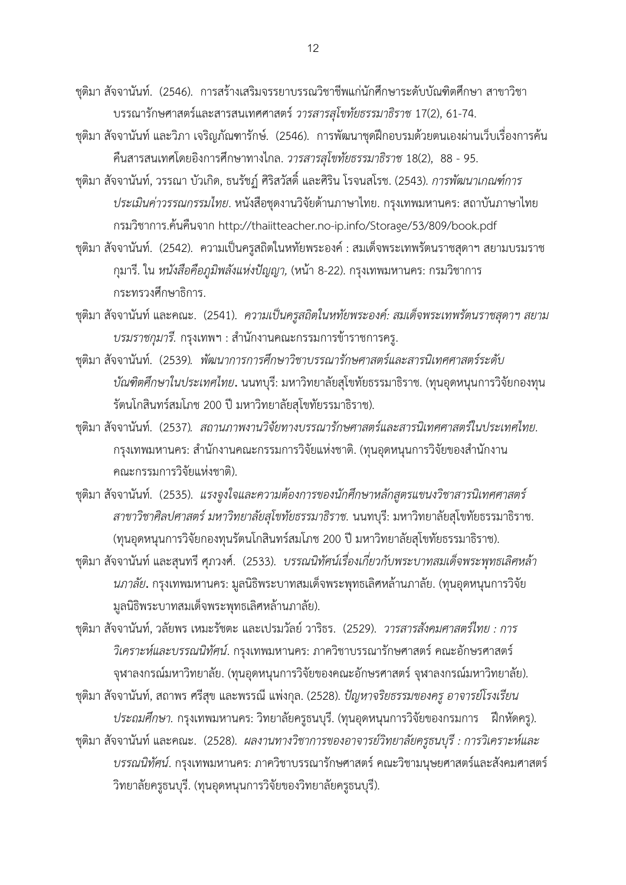ชุติมา สัจจานันท์. (2546). การสร้างเสริมจรรยาบรรณวิชาชีพแก่นักศึกษาระดับบัณฑิตศึกษา สาขาวิชา บรรณารักษศาสตร์และสารสนเทศศาสตร์*วารสารสุโขทัยธรรมาธิราช* 17(2), 61-74.

- ชุติมา สัจจานันท์ และวิภา เจริญภัณฑารักษ์. (2546). การพัฒนาชุดฝึกอบรมด้วยตนเองผ่านเว็บเรื่องการค้น คืนสารสนเทศโดยอิงการศึกษาทางไกล. *วารสารสุโขทัยธรรมาธิราช* 18(2), 88 - 95.
- ชุติมา สัจจานันท์, วรรณา บัวเกิด, ธนรัชฏ์ ศิริสวัสดิ์ และศิริน โรจนสโรช. (2543). *การพัฒนาเกณฑ์การ ประเมินค่าวรรณกรรมไทย*. หนังสือชุดงานวิจัยด้านภาษาไทย. กรุงเทพมหานคร: สถาบันภาษาไทย กรมวิชาการ.ค้นคืนจาก http://thaiitteacher.no-ip.info/Storage/53/809/book.pdf
- ชุติมา สัจจานันท์. (2542). ความเป็นครูสถิตในหทัยพระองค์ : สมเด็จพระเทพรัตนราชสุดาฯ สยามบรมราช กุมารี. ใน *หนังสือคือภูมิพลังแห่งปัญญา,* (หน้า 8-22). กรุงเทพมหานคร: กรมวิชาการ กระทรวงศึกษาธิการ.
- ชุติมา สัจจานันท์ และคณะ. (2541). *ความเป็นครูสถิตในหทัยพระองค์: สมเด็จพระเทพรัตนราชสุดาฯ สยาม บรมราชกุมารี.* กรุงเทพฯ : ส านักงานคณะกรรมการข้าราชการครู.
- ชุติมา สัจจานันท์. (2539)*. พัฒนาการการศึกษาวิชาบรรณารักษศาสตร์และสารนิเทศศาสตร์ระดับ บัณฑิตศึกษาในประเทศไทย***.** นนทบุรี: มหาวิทยาลัยสุโขทัยธรรมาธิราช. (ทุนอุดหนุนการวิจัยกองทุน รัตนโกสินทร์สมโภช 200 ปี มหาวิทยาลัยสุโขทัยรรมาธิราช).
- ชุติมา สัจจานันท์. (2537)*. สถานภาพงานวิจัยทางบรรณารักษศาสตร์และสารนิเทศศาสตร์ในประเทศไทย.* กรุงเทพมหานคร: สำนักงานคณะกรรมการวิจัยแห่งชาติ. (ทุนอุดหนุนการวิจัยของสำนักงาน คณะกรรมการวิจัยแห่งชาติ).
- ชุติมา สัจจานันท์. (2535). *แรงจูงใจและความต้องการของนักศึกษาหลักสูตรแขนงวิชาสารนิเทศศาสตร์ สาขาวิชาศิลปศาสตร์ มหาวิทยาลัยสุโขทัยธรรมาธิราช.* นนทบุรี: มหาวิทยาลัยสุโขทัยธรรมาธิราช. (ทุนอุดหนุนการวิจัยกองทุนรัตนโกสินทร์สมโภช 200 ปี มหาวิทยาลัยสุโขทัยธรรมาธิราช).
- ชุติมา สัจจานันท์ และสุนทรี ศุภวงศ์. (2533). *บรรณนิทัศน์เรื่องเกี่ยวกับพระบาทสมเด็จพระพุทธเลิศหล้า นภาลัย***.** กรุงเทพมหานคร: มูลนิธิพระบาทสมเด็จพระพุทธเลิศหล้านภาลัย. (ทุนอุดหนุนการวิจัย มูลนิธิพระบาทสมเด็จพระพุทธเลิศหล้านภาลัย).
- ชุติมา สัจจานันท์, วลัยพร เหมะรัชตะ และเปรมวัลย์ วาริธร. (2529). *วารสารสังคมศาสตร์ไทย : การ วิเคราะห์และบรรณนิทัศน์*. กรุงเทพมหานคร: ภาควิชาบรรณารักษศาสตร์คณะอักษรศาสตร์ จุฬาลงกรณ์มหาวิทยาลัย. (ทุนอุดหนุนการวิจัยของคณะอักษรศาสตร์จุฬาลงกรณ์มหาวิทยาลัย).

ชุติมา สัจจานันท์, สถาพร ศรีสุข และพรรณี แพ่งกุล. (2528). *ปัญหาจริยธรรมของครู อาจารย์โรงเรียน ประถมศึกษา.* กรุงเทพมหานคร: วิทยาลัยครูธนบุรี. (ทุนอุดหนุนการวิจัยของกรมการ ฝึกหัดครู).

ชุติมา สัจจานันท์ และคณะ. (2528). *ผลงานทางวิชาการของอาจารย์วิทยาลัยครูธนบุรี : การวิเคราะห์และ บรรณนิทัศน์*. กรุงเทพมหานคร: ภาควิชาบรรณารักษศาสตร์ คณะวิชามนุษยศาสตร์และสังคมศาสตร์ วิทยาลัยครูธนบุรี. (ทุนอุดหนุนการวิจัยของวิทยาลัยครูธนบุรี).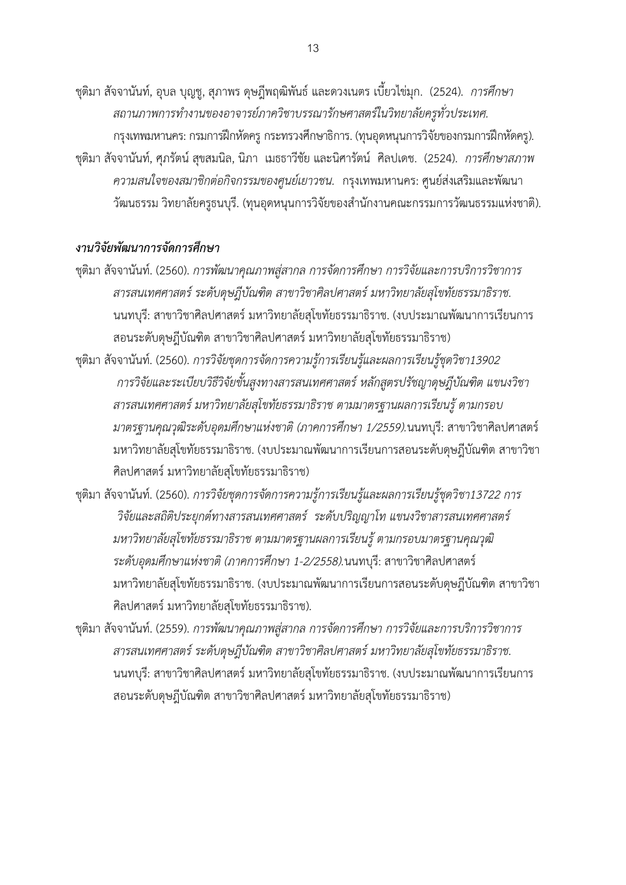ชุติมา สัจจานันท์, อุบล บุญชู, สุภาพร ดุษฎีพฤฒิพันธ์และดวงเนตร เบี้ยวไข่มุก. (2524). *การศึกษา สถานภาพการท างานของอาจารย์ภาควิชาบรรณารักษศาสตร์ในวิทยาลัยครูทั่วประเทศ.*  กรุงเทพมหานคร: กรมการฝึกหัดครู กระทรวงศึกษาธิการ. (ทุนอุดหนุนการวิจัยของกรมการฝึกหัดครู). ชุติมา สัจจานันท์, ศุภรัตน์สุขสมนิล, นิภา เมธธาวีชัย และนิศารัตน์ ศิลปเดช. (2524). *การศึกษาสภาพ ความสนใจของสมาชิกต่อกิจกรรมของศูนย์เยาวชน.* กรุงเทพมหานคร: ศูนย์ส่งเสริมและพัฒนา วัฒนธรรม วิทยาลัยครูธนบุรี. (ทุนอุดหนุนการวิจัยของสำนักงานคณะกรรมการวัฒนธรรมแห่งชาติ).

#### *งานวิจัยพัฒนาการจัดการศึกษา*

- ชุติมา สัจจานันท์. (2560). *การพัฒนาคุณภาพสู่สากล การจัดการศึกษา การวิจัยและการบริการวิชาการ สารสนเทศศาสตร์ ระดับดุษฎีบัณฑิต สาขาวิชาศิลปศาสตร์มหาวิทยาลัยสุโขทัยธรรมาธิราช.* นนทบุรี: สาขาวิชาศิลปศาสตร์ มหาวิทยาลัยสุโขทัยธรรมาธิราช. (งบประมาณพัฒนาการเรียนการ สอนระดับดุษฎีบัณฑิต สาขาวิชาศิลปศาสตร์ มหาวิทยาลัยสุโขทัยธรรมาธิราช)
- ชุติมา สัจจานันท์. (2560). *การวิจัยชุดการจัดการความรู้การเรียนรู้และผลการเรียนรู้ชุดวิชา13902 การวิจัยและระเบียบวิธีวิจัยขั้นสูงทางสารสนเทศศาสตร์หลักสูตรปรัชญาดุษฎีบัณฑิต แขนงวิชา สารสนเทศศาสตร์ มหาวิทยาลัยสุโขทัยธรรมาธิราช ตามมาตรฐานผลการเรียนรู้ ตามกรอบ มาตรฐานคุณวุฒิระดับอุดมศึกษาแห่งชาติ (ภาคการศึกษา 1/2559).*นนทบุรี: สาขาวิชาศิลปศาสตร์ มหาวิทยาลัยสุโขทัยธรรมาธิราช. (งบประมาณพัฒนาการเรียนการสอนระดับดุษฎีบัณฑิต สาขาวิชา ศิลปศาสตร์ มหาวิทยาลัยสุโขทัยธรรมาธิราช)
- ชุติมา สัจจานันท์. (2560). *การวิจัยชุดการจัดการความรู้การเรียนรู้และผลการเรียนรู้ชุดวิชา13722 การ วิจัยและสถิติประยุกต์ทางสารสนเทศศาสตร์ ระดับปริญญาโท แขนงวิชาสารสนเทศศาสตร์ มหาวิทยาลัยสุโขทัยธรรมาธิราช ตามมาตรฐานผลการเรียนรู้ ตามกรอบมาตรฐานคุณวุฒิ ระดับอุดมศึกษาแห่งชาติ (ภาคการศึกษา 1-2/2558).*นนทบุรี: สาขาวิชาศิลปศาสตร์ มหาวิทยาลัยสุโขทัยธรรมาธิราช. (งบประมาณพัฒนาการเรียนการสอนระดับดุษฎีบัณฑิต สาขาวิชา ศิลปศาสตร์ มหาวิทยาลัยสุโขทัยธรรมาธิราช).
- ชุติมา สัจจานันท์. (2559). *การพัฒนาคุณภาพสู่สากล การจัดการศึกษา การวิจัยและการบริการวิชาการ สารสนเทศศาสตร์ ระดับดุษฎีบัณฑิต สาขาวิชาศิลปศาสตร์มหาวิทยาลัยสุโขทัยธรรมาธิราช.* นนทบุรี: สาขาวิชาศิลปศาสตร์ มหาวิทยาลัยสุโขทัยธรรมาธิราช. (งบประมาณพัฒนาการเรียนการ สอนระดับดุษฎีบัณฑิต สาขาวิชาศิลปศาสตร์ มหาวิทยาลัยสุโขทัยธรรมาธิราช)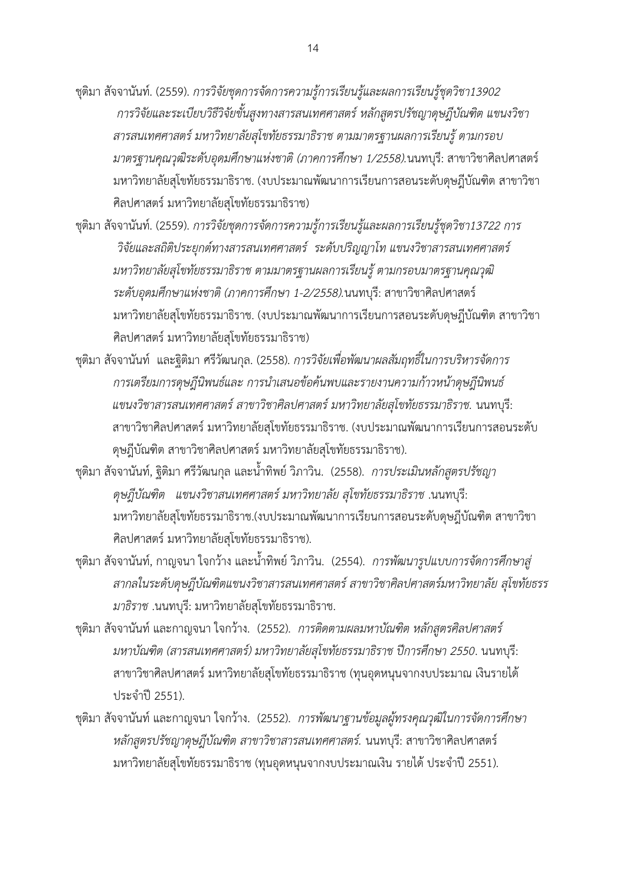- ชุติมา สัจจานันท์. (2559). *การวิจัยชุดการจัดการความรู้การเรียนรู้และผลการเรียนรู้ชุดวิชา13902 การวิจัยและระเบียบวิธีวิจัยขั้นสูงทางสารสนเทศศาสตร์หลักสูตรปรัชญาดุษฎีบัณฑิต แขนงวิชา สารสนเทศศาสตร์ มหาวิทยาลัยสุโขทัยธรรมาธิราช ตามมาตรฐานผลการเรียนรู้ ตามกรอบ มาตรฐานคุณวุฒิระดับอุดมศึกษาแห่งชาติ (ภาคการศึกษา 1/2558).*นนทบุรี: สาขาวิชาศิลปศาสตร์ มหาวิทยาลัยสุโขทัยธรรมาธิราช. (งบประมาณพัฒนาการเรียนการสอนระดับดุษฎีบัณฑิต สาขาวิชา ศิลปศาสตร์ มหาวิทยาลัยสุโขทัยธรรมาธิราช)
- ชุติมา สัจจานันท์. (2559). *การวิจัยชุดการจัดการความรู้การเรียนรู้และผลการเรียนรู้ชุดวิชา13722 การ วิจัยและสถิติประยุกต์ทางสารสนเทศศาสตร์ ระดับปริญญาโท แขนงวิชาสารสนเทศศาสตร์ มหาวิทยาลัยสุโขทัยธรรมาธิราช ตามมาตรฐานผลการเรียนรู้ ตามกรอบมาตรฐานคุณวุฒิ ระดับอุดมศึกษาแห่งชาติ (ภาคการศึกษา 1-2/2558).*นนทบุรี: สาขาวิชาศิลปศาสตร์ มหาวิทยาลัยสุโขทัยธรรมาธิราช. (งบประมาณพัฒนาการเรียนการสอนระดับดุษฎีบัณฑิต สาขาวิชา ศิลปศาสตร์ มหาวิทยาลัยสุโขทัยธรรมาธิราช)
- ชุติมา สัจจานันท์ และฐิติมา ศรีวัฒนกุล. (2558). *การวิจัยเพื่อพัฒนาผลสัมฤทธิ์ในการบริหารจัดการ การเตรียมการดุษฎีนิพนธ์และ การน าเสนอข้อค้นพบและรายงานความก้าวหน้าดุษฎีนิพนธ์ แขนงวิชาสารสนเทศศาสตร์สาขาวิชาศิลปศาสตร์มหาวิทยาลัยสุโขทัยธรรมาธิราช.* นนทบุรี: สาขาวิชาศิลปศาสตร์มหาวิทยาลัยสุโขทัยธรรมาธิราช. (งบประมาณพัฒนาการเรียนการสอนระดับ ดุษฎีบัณฑิต สาขาวิชาศิลปศาสตร์ มหาวิทยาลัยสุโขทัยธรรมาธิราช).
- ี ชุติมา สัจจานันท์, ฐิติมา ศรีวัฒนกุล และน้ำทิพย์ วิภาวิน. (2558). *การประเมินหลักสูตรปรัชญา ดุษฎีบัณฑิต แขนงวิชาสนเทศศาสตร์ มหาวิทยาลัย สุโขทัยธรรมาธิราช* .นนทบุรี: มหาวิทยาลัยสุโขทัยธรรมาธิราช.(งบประมาณพัฒนาการเรียนการสอนระดับดุษฎีบัณฑิต สาขาวิชา ศิลปศาสตร์ มหาวิทยาลัยสโขทัยธรรมาธิราช).
- ี ชุติมา สัจจานันท์, กาญจนา ใจกว้าง และน้ำทิพย์ วิภาวิน. (2554). *การพัฒนารูปแบบการจัดการศึกษาสู่ สากลในระดับดุษฎีบัณฑิตแขนงวิชาสารสนเทศศาสตร์ สาขาวิชาศิลปศาสตร์มหาวิทยาลัย สุโขทัยธรร มาธิราช* .นนทบุรี: มหาวิทยาลัยสุโขทัยธรรมาธิราช.
- ชุติมา สัจจานันท์ และกาญจนา ใจกว้าง. (2552). *การติดตามผลมหาบัณฑิต หลักสูตรศิลปศาสตร์ มหาบัณฑิต (สารสนเทศศาสตร์) มหาวิทยาลัยสุโขทัยธรรมาธิราช ปีการศึกษา 2550*. นนทบุรี: สาขาวิชาศิลปศาสตร์ มหาวิทยาลัยสุโขทัยธรรมาธิราช (ทุนอุดหนุนจากงบประมาณ เงินรายได้ ประจ าปี 2551).
- ชุติมา สัจจานันท์ และกาญจนา ใจกว้าง. (2552). *การพัฒนาฐานข้อมูลผู้ทรงคุณวุฒิในการจัดการศึกษา หลักสูตรปรัชญาดุษฎีบัณฑิต สาขาวิชาสารสนเทศศาสตร์.* นนทบุรี: สาขาวิชาศิลปศาสตร์ มหาวิทยาลัยสุโขทัยธรรมาธิราช (ทุนอุดหนุนจากงบประมาณเงิน รายได้ ประจำปี 2551).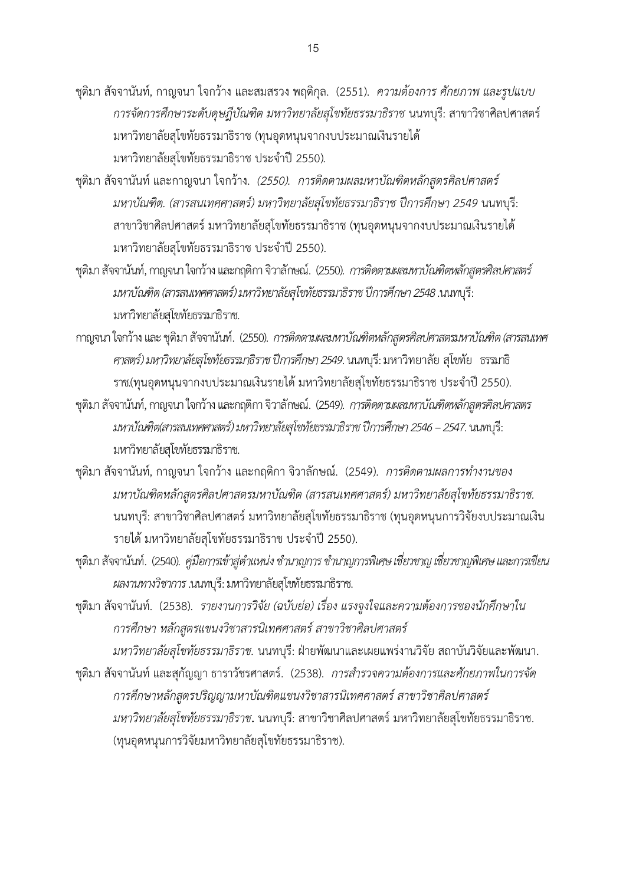- ชุติมา สัจจานันท์, กาญจนา ใจกว้าง และสมสรวง พฤติกุล. (2551). *ความต้องการ ศักยภาพ และรูปแบบ การจัดการศึกษาระดับดุษฎีบัณฑิต มหาวิทยาลัยสุโขทัยธรรมาธิราช* นนทบุรี: สาขาวิชาศิลปศาสตร์ มหาวิทยาลัยสุโขทัยธรรมาธิราช (ทุนอุดหนุนจากงบประมาณเงินรายได้ มหาวิทยาลัยสุโขทัยธรรมาธิราช ประจ าปี 2550)*.*
- ชุติมา สัจจานันท์ และกาญจนา ใจกว้าง. *(2550). การติดตามผลมหาบัณฑิตหลักสูตรศิลปศาสตร์ มหาบัณฑิต. (สารสนเทศศาสตร์) มหาวิทยาลัยสุโขทัยธรรมาธิราช ปีการศึกษา 2549* นนทบุรี: สาขาวิชาศิลปศาสตร์ มหาวิทยาลัยสุโขทัยธรรมาธิราช (ทุนอุดหนุนจากงบประมาณเงินรายได้ มหาวิทยาลัยสุโขทัยธรรมาธิราช ประจำปี 2550).
- ชุติมา สัจจานันท์, กาญจนา ใจกว้าง และกฤติกา จิวาลักษณ์. (2550). *การติดตามผลมหาบัณฑิตหลักสูตรศิลปศาสตร์ มหาบัณฑิต (สารสนเทศศาสตร์) มหาวิทยาลัยสุโขทัยธรรมาธิราช ปีการศึกษา 2548 .*นนทบุรี: มหาวิทยาลัยสุโขทัยธรรมาธิราช.
- กาญจนา ใจกว้าง และชุติมา สัจจานันท์. (2550). *การติดตามผลมหาบัณฑิตหลักสูตรศิลปศาสตรมหาบัณฑิต (สารสนเทศ ศาสตร์) มหาวิทยาลัยสุโขทัยธรรมาธิราช ปีการศึกษา 2549*. นนทบุรี: มหาวิทยาลัย สุโขทัย ธรรมาธิ ราช.(ทุนอุดหนุนจากงบประมาณเงินรายได้ มหาวิทยาลัยสุโขทัยธรรมาธิราช ประจำปี 2550).
- ชุติมา สัจจานันท์, กาญจนา ใจกว้าง และกฤติกา จิวาลักษณ์. (2549). *การติดตามผลมหาบัณฑิตหลักสูตรศิลปศาสตร มหาบัณฑิต(สารสนเทศศาสตร์) มหาวิทยาลัยสุโขทัยธรรมาธิราช ปีการศึกษา 2546 –2547*. นนทบุรี: มหาวิทยาลัยสุโขทัยธรรมาธิราช.
- ชุติมา สัจจานันท์, กาญจนา ใจกว้าง และกฤติกา จิวาลักษณ์. (2549). *การติดตามผลการทำงานของ มหาบัณฑิตหลักสูตรศิลปศาสตรมหาบัณฑิต (สารสนเทศศาสตร์) มหาวิทยาลัยสุโขทัยธรรมาธิราช.*  นนทบุรี: สาขาวิชาศิลปศาสตร์ มหาวิทยาลัยสุโขทัยธรรมาธิราช (ทุนอุดหนุนการวิจัยงบประมาณเงิน รายได้ มหาวิทยาลัยสโขทัยธรรมาธิราช ประจำปี 2550).
- ชุติมา สัจจานันท์. (2540). *คู่มือการเข้าสู่ตำแหน่ง ชำนาญการ ชำนาญการพิเศษ เชี่ยวชาญ เชี่ยวชาญพิเศษ และการเขียน ผลงานทางวิชาการ*.นนทบุรี: มหาวิทยาลัยสุโขทัยธรรมาธิราช.
- ชุติมา สัจจานันท์. (2538). *รายงานการวิจัย (ฉบับย่อ) เรื่อง แรงจูงใจและความต้องการของนักศึกษาใน การศึกษา หลักสูตรแขนงวิชาสารนิเทศศาสตร์ สาขาวิชาศิลปศาสตร์*
- *มหาวิทยาลัยสุโขทัยธรรมาธิราช.* นนทบุรี: ฝ่ายพัฒนาและเผยแพร่งานวิจัย สถาบันวิจัยและพัฒนา. ชุติมา สัจจานันท์ และสุกัญญา ธาราวัชรศาสตร์. (2538). *การส ารวจความต้องการและศักยภาพในการจัด การศึกษาหลักสูตรปริญญามหาบัณฑิตแขนงวิชาสารนิเทศศาสตร์ สาขาวิชาศิลปศาสตร์ มหาวิทยาลัยสุโขทัยธรรมาธิราช***.** นนทบุรี: สาขาวิชาศิลปศาสตร์มหาวิทยาลัยสุโขทัยธรรมาธิราช. (ทุนอุดหนุนการวิจัยมหาวิทยาลัยสุโขทัยธรรมาธิราช).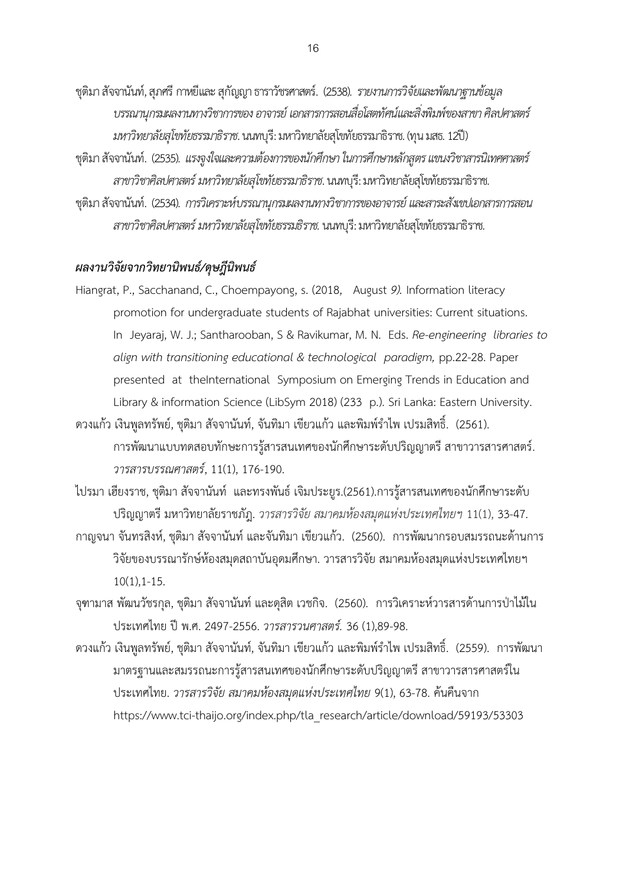- ชุติมา สัจจานันท์, สุภศรี กาหยีและสุกัญญา ธาราวัชรศาสตร์. (2538). *รายงานการวิจัยและพัฒนาฐานข้อมูล บรรณานุกรมผลงานทางวิชาการของ อาจารย์ เอกสารการสอนสื่อโสตทัศน์และสิ่งพิมพ์ของสาขา ศิลปศาสตร์ มหาวิทยาลัยสุโขทัยธรรมาธิราช*. นนทบุรี: มหาวิทยาลัยสุโขทัยธรรมาธิราช. (ทุน มสธ. 12ปี)
- ชุติมา สัจจานันท์. (2535). *แรงจูงใจและความต้องการของนักศึกษา ในการศึกษาหลักสูตร แขนงวิชาสารนิเทศศาสตร์ สาขาวิชาศิลปศาสตร์ มหาวิทยาลัยสุโขทัยธรรมาธิราช*. นนทบุรี: มหาวิทยาลัยสุโขทัยธรรมาธิราช.
- ชุติมา สัจจานันท์. (2534). *การวิเคราะห์บรรณานุกรมผลงานทางวิชาการของอาจารย์ และสาระสังเขปเอกสารการสอน สาขาวิชาศิลปศาสตร์ มหาวิทยาลัยสุโขทัยธรรมธิราช.* นนทบุรี: มหาวิทยาลัยสุโขทัยธรรมาธิราช.

### *ผลงานวิจัยจากวิทยานิพนธ์/ดุษฎีนิพนธ์*

- Hiangrat, P., Sacchanand, C., Choempayong, s. (2018, August *9).* Information literacy promotion for undergraduate students of Rajabhat universities: Current situations. In Jeyaraj, W. J.; Santharooban, S & Ravikumar, M. N. Eds. *Re-engineering libraries to align with transitioning educational & technological paradigm,* pp.22-28. Paper presented at theInternational Symposium on Emerging Trends in Education and Library & information Science (LibSym 2018) (233 p.). Sri Lanka: Eastern University.
- ิดวงแก้ว เงินพูลทรัพย์, ชุติมา สัจจานันท์, จันทิมา เขียวแก้ว และพิมพ์รำไพ เปรมสิทธิ์. (2561). การพัฒนาแบบทดสอบทักษะการรู้สารสนเทศของนักศึกษาระดับปริญญาตรี สาขาวารสารศาสตร์. *วารสารบรรณศาสตร์*, 11(1), 176-190.
- ไปรมา เฮียงราช, ชุติมา สัจจานันท์ และทรงพันธ์ เจิมประยูร.(2561).การรู้สารสนเทศของนักศึกษาระดับ ปริญญาตรีมหาวิทยาลัยราชภัฎ. *วารสารวิจัย สมาคมห้องสมุดแห่งประเทศไทยฯ* 11(1), 33-47.
- กาญจนา จันทรสิงห์, ชุติมา สัจจานันท์ และจันทิมา เขียวแก้ว. (2560). การพัฒนากรอบสมรรถนะด้านการ วิจัยของบรรณารักษ์ห้องสมุดสถาบันอุดมศึกษา. วารสารวิจัย สมาคมห้องสมุดแห่งประเทศไทยฯ 10(1),1-15.
- จุฑามาส พัฒนวัชรกุล, ชุติมา สัจจานันท์ และดุสิต เวชกิจ. (2560). การวิเคราะห์วารสารด้านการป่าไม้ใน ประเทศไทย ปี พ.ศ. 2497-2556. *วารสารวนศาสตร์.* 36 (1),89-98.
- ดวงแก้ว เงินพูลทรัพย์, ชุติมา สัจจานันท์, จันทิมา เขียวแก้ว และพิมพ์รำไพ เปรมสิทธิ์. (2559). การพัฒนา มาตรฐานและสมรรถนะการรู้สารสนเทศของนักศึกษาระดับปริญญาตรี สาขาวารสารศาสตร์ใน ประเทศไทย. *วารสารวิจัย สมาคมห้องสมุดแห่งประเทศไทย* 9(1), 63-78. ค้นคืนจาก [https://www.tci-thaijo.org/index.php/tla\\_research/article/download/59193/53303](https://www.tci-thaijo.org/index.php/tla_research/article/download/59193/53303)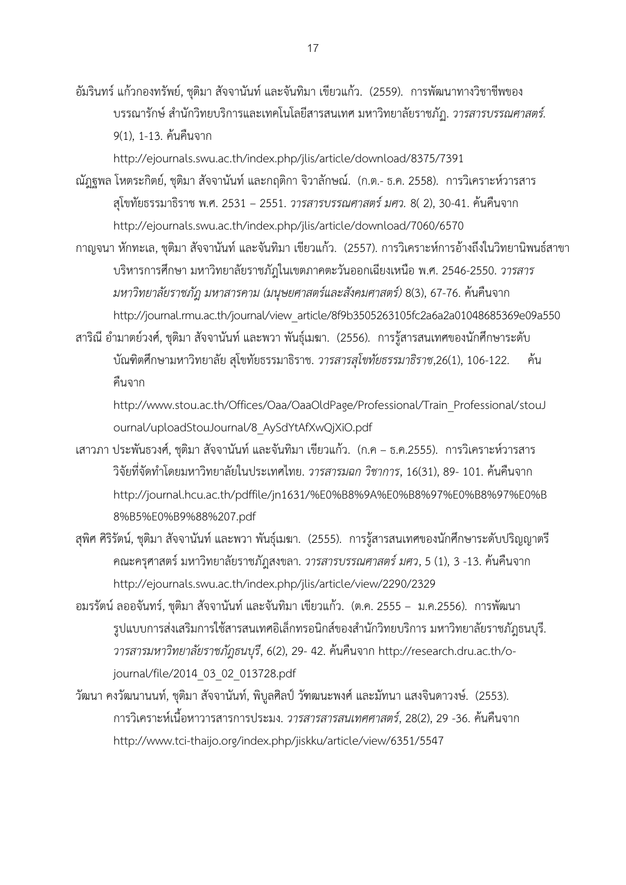อัมรินทร์ แก้วกองทรัพย์, ชุติมา สัจจานันท์ และจันทิมา เขียวแก้ว. (2559). การพัฒนาทางวิชาชีพของ บรรณารักษ์ ส านักวิทยบริการและเทคโนโลยีสารสนเทศ มหาวิทยาลัยราชภัฏ. *วารสารบรรณศาสตร์.*  9(1), 1-13. ค้นคืนจาก

http://ejournals.swu.ac.th/index.php/jlis/article/download/8375/7391

- ณัฎฐพล โหตระกิตย์, ชุติมา สัจจานันท์ และกฤติกา จิวาลักษณ์. (ก.ต.- ธ.ค. 2558). การวิเคราะห์วารสาร สุโขทัยธรรมาธิราช พ.ศ. 2531 – 2551. *วารสารบรรณศาสตร์ มศว.* 8( 2), 30-41. ค้นคืนจาก http://ejournals.swu.ac.th/index.php/jlis/article/download/7060/6570
- กาญจนา หักทะเล, ชุติมา สัจจานันท์ และจันทิมา เขียวแก้ว. (2557). การวิเคราะห์การอ้างถึงในวิทยานิพนธ์สาขา บริหารการศึกษา มหาวิทยาลัยราชภัฎในเขตภาคตะวันออกเฉียงเหนือ พ.ศ. 2546-2550. *วารสาร มหาวิทยาลัยราชภัฎ มหาสารคาม (มนุษยศาสตร์และสังคมศาสตร์)* 8(3), 67-76. ค้นคืนจาก [http://journal.rmu.ac.th/journal/view\\_article/8f9b3505263105fc2a6a2a01048685369e09a550](http://journal.rmu.ac.th/journal/view_article/8f9b3505263105fc2a6a2a01048685369e09a550)
- สาริณี อำมาตย์วงศ์, ชุติมา สัจจานันท์ และพวา พันธุ์เมฆา. (2556). การรู้สารสนเทศของนักศึกษาระดับ บัณฑิตศึกษามหาวิทยาลัย สุโขทัยธรรมาธิราช. *วารสารสุโขทัยธรรมาธิราช*,26(1), 106-122. ค้น คืนจาก

http://www.stou.ac.th/Offices/Oaa/OaaOldPage/Professional/Train\_Professional/stouJ ournal/uploadStouJournal/8\_AySdYtAfXwQjXiO.pdf

- เสาวภา ประพันธวงศ์, ชุติมา สัจจานันท์ และจันทิมา เขียวแก้ว. (ก.ค ธ.ค.2555). การวิเคราะห์วารสาร ้วิจัยที่จัดทำโดยมหาวิทยาลัยในประเทศไทย. *วารสารมฉก วิชาการ*, 16(31), 89- 101. ค้นคืนจาก http://journal.hcu.ac.th/pdffile/jn1631/%E0%B8%9A%E0%B8%97%E0%B8%97%E0%B 8%B5%E0%B9%88%207.pdf
- สุพิศ ศิริรัตน์, ชุติมา สัจจานันท์ และพวา พันธุ์เมฆา. (2555). การรู้สารสนเทศของนักศึกษาระดับปริญญาตรี คณะครุศาสตร์ มหาวิทยาลัยราชภัฎสงขลา. *วารสารบรรณศาสตร์ มศว*, 5 (1), 3 -13. ค้นคืนจาก http://ejournals.swu.ac.th/index.php/jlis/article/view/2290/2329
- อมรรัตน์ ลออจันทร์, ชุติมา สัจจานันท์ และจันทิมา เขียวแก้ว. (ต.ค. 2555 ม.ค.2556). การพัฒนา รูปแบบการส่งเสริมการใช้สารสนเทศอิเล็กทรอนิกส์ของสำนักวิทยบริการ มหาวิทยาลัยราชภัฎธนบุรี. *วารสารมหาวิทยาลัยราชภัฎธนบุรี*, 6(2), 29- 42. ค้นคืนจาก http://research.dru.ac.th/ojournal/file/2014\_03\_02\_013728.pdf
- วัฒนา คงวัฒนานนท์, ชุติมา สัจจานันท์, พิบูลศิลป์ วัฑฒนะพงศ์ และมัทนา แสงจินดาวงษ์. (2553). การวิเคราะห์เนื้อหาวารสารการประมง. *วารสารสารสนเทศศาสตร์*, 28(2), 29 -36. ค้นคืนจาก <http://www.tci-thaijo.org/index.php/jiskku/article/view/6351/5547>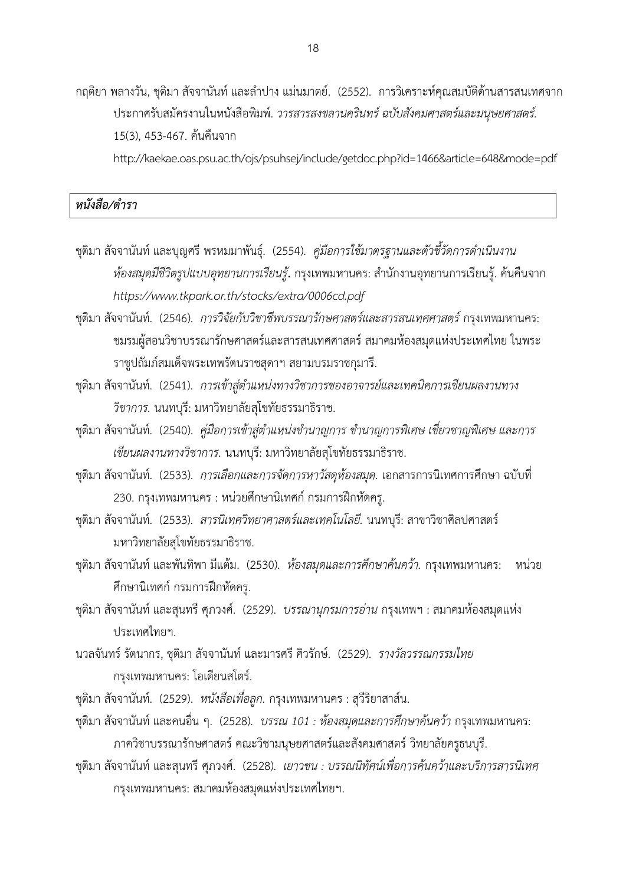กฤติยา พลางวัน, ชุติมา สัจจานันท์ และลำปาง แม่นมาตย์. (2552). การวิเคราะห์คุณสมบัติด้านสารสนเทศจาก ประกาศรับสมัครงานในหนังสือพิมพ์. *วารสารสงขลานครินทร์ ฉบับสังคมศาสตร์และมนุษยศาสตร์.*  15(3), 453-467. ค้นคืนจาก

http://kaekae.oas.psu.ac.th/ojs/psuhsej/include/getdoc.php?id=1466&article=648&mode=pdf

## *หนังสือ/ต ารา*

- ีชุติมา สัจจานันท์ และบุญศรี พรหมมาพันธุ์. (2554). *คู่มือการใช้มาตรฐานและตัวชี้วัดการดำเนินงาน ห้องสมุดมีชีวิตรูปแบบอุทยานการเรียนรู้***.** กรุงเทพมหานคร: ส านักงานอุทยานการเรียนรู้. ค้นคืนจาก *https://www.tkpark.or.th/stocks/extra/0006cd.pdf*
- ชุติมา สัจจานันท์. (2546). *การวิจัยกับวิชาชีพบรรณารักษศาสตร์และสารสนเทศศาสตร์*กรุงเทพมหานคร: ชมรมผู้สอนวิชาบรรณารักษศาสตร์และสารสนเทศศาสตร์สมาคมห้องสมุดแห่งประเทศไทย ในพระ ราชูปถัมภ์สมเด็จพระเทพรัตนราชสุดาฯ สยามบรมราชกุมารี.
- ึชุติมา สัจจานันท์. (2541). *การเข้าสู่ตำแหน่งทางวิชาการของอาจารย์และเทคนิคการเขียนผลงานทาง วิชาการ.* นนทบุรี: มหาวิทยาลัยสุโขทัยธรรมาธิราช.
- ชุติมา สัจจานันท์. (2540). *คู่มือการเข้าสู่ตำแหน่งชำนาญการ ชำนาญการพิเศษ เชี่ยวชาญพิเศษ และการ เขียนผลงานทางวิชาการ.* นนทบุรี: มหาวิทยาลัยสุโขทัยธรรมาธิราช.
- ชุติมา สัจจานันท์. (2533). *การเลือกและการจัดการหาวัสดุห้องสมุด.* เอกสารการนิเทศการศึกษา ฉบับที่ 230. กรุงเทพมหานคร : หน่วยศึกษานิเทศก์ กรมการฝึกหัดครู.
- ชุติมา สัจจานันท์. (2533). *สารนิเทศวิทยาศาสตร์และเทคโนโลยี.* นนทบุรี: สาขาวิชาศิลปศาสตร์ มหาวิทยาลัยสุโขทัยธรรมาธิราช.
- ชุติมา สัจจานันท์ และพันทิพา มีแต้ม. (2530). *ห้องสมุดและการศึกษาค้นคว้า.* กรุงเทพมหานคร: หน่วย ศึกษานิเทศก์ กรมการฝึกหัดครู.
- ชุติมา สัจจานันท์ และสุนทรี ศุภวงศ์. (2529). *บรรณานุกรมการอ่าน* กรุงเทพฯ : สมาคมห้องสมุดแห่ง ประเทศไทยฯ.
- นวลจันทร์ รัตนากร, ชุติมา สัจจานันท์และมารศรี ศิวรักษ์. (2529). *รางวัลวรรณกรรมไทย* กรุงเทพมหานคร: โอเดียนสโตร์.
- ชุติมา สัจจานันท์. (2529). *หนังสือเพื่อลูก.* กรุงเทพมหานคร : สุวีริยาสาส์น.
- ชุติมา สัจจานันท์ และคนอื่น ๆ. (2528). *บรรณ 101 : ห้องสมุดและการศึกษาค้นคว้า* กรุงเทพมหานคร: ภาควิชาบรรณารักษศาสตร์ คณะวิชามนุษยศาสตร์และสังคมศาสตร์วิทยาลัยครูธนบุรี.
- ชุติมา สัจจานันท์และสุนทรี ศุภวงศ์. (2528). *เยาวชน : บรรณนิทัศน์เพื่อการค้นคว้าและบริการสารนิเทศ* กรุงเทพมหานคร: สมาคมห้องสมุดแห่งประเทศไทยฯ.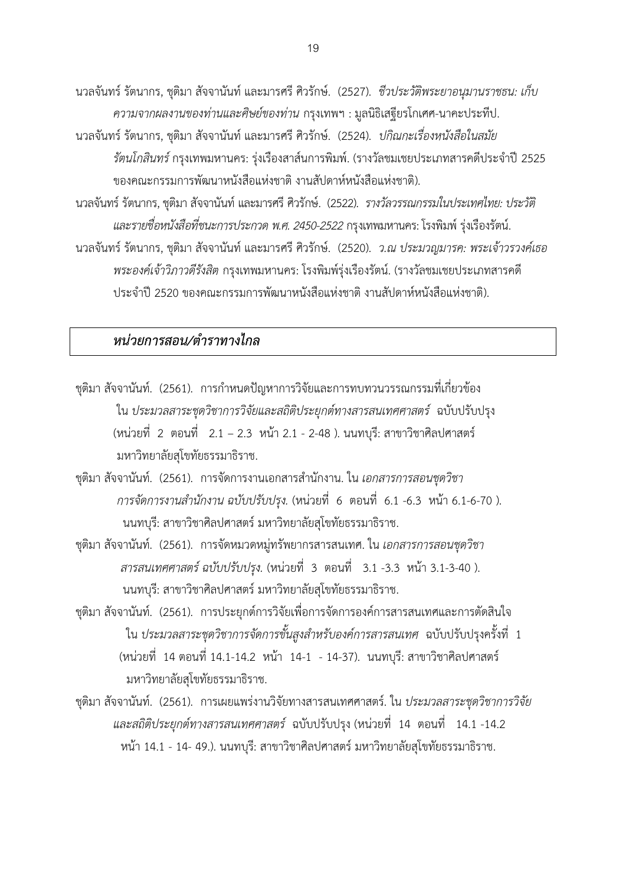นวลจันทร์ รัตนากร, ชุติมา สัจจานันท์ และมารศรี ศิวรักษ์. (2527). *ชีวประวัติพระยาอนุมานราชธน: เก็บ ความจากผลงานของท่านและศิษย์ของท่าน* กรุงเทพฯ : มูลนิธิเสฐียรโกเศศ-นาคะประทีป.

- นวลจันทร์ รัตนากร, ชุติมา สัจจานันท์ และมารศรี ศิวรักษ์. (2524).*ปกิณกะเรื่องหนังสือในสมัย รัตนโกสินทร์* กรุงเทพมหานคร: รุ่งเรืองสาส์นการพิมพ์. (รางวัลชมเชยประเภทสารคดีประจำปี 2525 ของคณะกรรมการพัฒนาหนังสือแห่งชาติ งานสัปดาห์หนังสือแห่งชาติ).
- นวลจันทร์ รัตนากร, ชุติมาสัจจานันท์ และมารศรี ศิวรักษ์. (2522). *รางวัลวรรณกรรมในประเทศไทย: ประวัติ และรายชื่อหนังสือที่ชนะการประกวด พ.ศ.2450-2522*กรุงเทพมหานคร: โรงพิมพ์รุ่งเรืองรัตน์.
- นวลจันทร์ รัตนากร, ชุติมา สัจจานันท์ และมารศรี ศิวรักษ์. (2520). *ว.ณ ประมวญมารค: พระเจ้าวรวงค์เธอ พระองค์เจ้าวิภาวดีรังสิต* กรุงเทพมหานคร: โรงพิมพ์รุ่งเรืองรัตน์. (รางวัลชมเชยประเภทสารคดี ประจ าปี 2520 ของคณะกรรมการพัฒนาหนังสือแห่งชาติ งานสัปดาห์หนังสือแห่งชาติ).

### *หน่วยการสอน/ต าราทางไกล*

- ี ชุติมา สัจจานันท์. (2561). การกำหนดปัญหาการวิจัยและการทบทวนวรรณกรรมที่เกี่ยวข้อง ใน *ประมวลสาระชุดวิชาการวิจัยและสถิติประยุกต์ทางสารสนเทศศาสตร์* ฉบับปรับปรุง (หน่วยที่ 2 ตอนที่ 2.1 – 2.3 หน้า 2.1 - 2-48 ). นนทบุรี: สาขาวิชาศิลปศาสตร์ มหาวิทยาลัยสุโขทัยธรรมาธิราช.
- ชุติมา สัจจานันท์. (2561). การจัดการงานเอกสารส านักงาน. ใน *เอกสารการสอนชุดวิชา การจัดการงานส านักงาน ฉบับปรับปรุง.* (หน่วยที่ 6 ตอนที่ 6.1 -6.3 หน้า 6.1-6-70 ). นนทบุรี: สาขาวิชาศิลปศาสตร์ มหาวิทยาลัยสุโขทัยธรรมาธิราช.
- ชุติมา สัจจานันท์. (2561). การจัดหมวดหมู่ทรัพยากรสารสนเทศ. ใน *เอกสารการสอนชุดวิชา สารสนเทศศาสตร์ ฉบับปรับปรุง.* (หน่วยที่ 3 ตอนที่ 3.1 -3.3 หน้า 3.1-3-40 ). นนทบุรี: สาขาวิชาศิลปศาสตร์ มหาวิทยาลัยสุโขทัยธรรมาธิราช.
- ชุติมา สัจจานันท์. (2561). การประยุกต์การวิจัยเพื่อการจัดการองค์การสารสนเทศและการตัดสินใจ ใน *ประมวลสาระชุดวิชาการจัดการขั้นสูงส าหรับองค์การสารสนเทศ* ฉบับปรับปรุงครั้งที่ 1 (หน่วยที่ 14 ตอนที่ 14.1-14.2 หน้า 14-1 - 14-37). นนทบุรี: สาขาวิชาศิลปศาสตร์ มหาวิทยาลัยสุโขทัยธรรมาธิราช.
- ชุติมา สัจจานันท์. (2561). การเผยแพร่งานวิจัยทางสารสนเทศศาสตร์. ใน *ประมวลสาระชุดวิชาการวิจัย และสถิติประยุกต์ทางสารสนเทศศาสตร์* ฉบับปรับปรุง (หน่วยที่ 14 ตอนที่ 14.1 -14.2 หน้า 14.1 - 14- 49.). นนทบุรี: สาขาวิชาศิลปศาสตร์ มหาวิทยาลัยสุโขทัยธรรมาธิราช.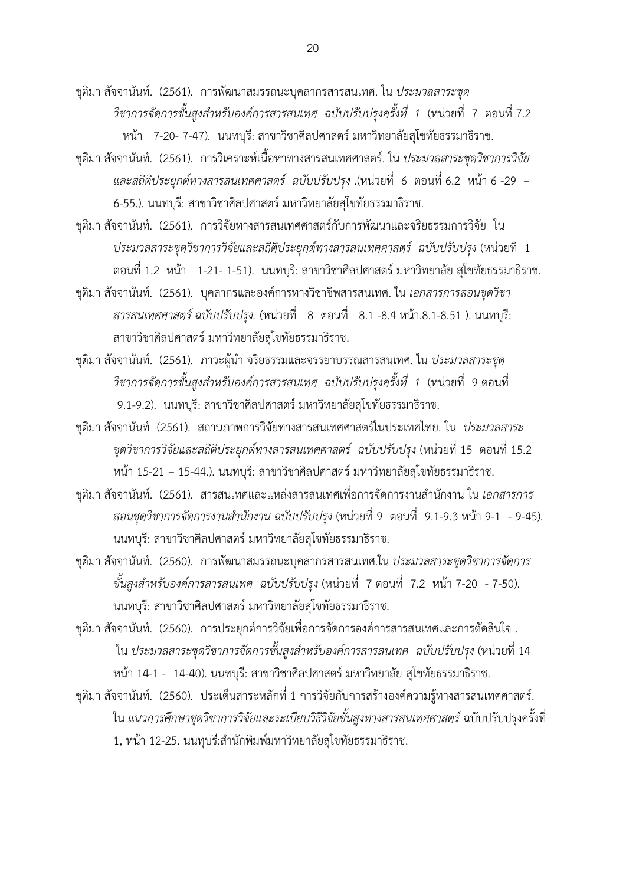ชุติมา สัจจานันท์. (2561). การพัฒนาสมรรถนะบุคลากรสารสนเทศ. ใน *ประมวลสาระชุด วิชาการจัดการขั้นสูงส าหรับองค์การสารสนเทศ ฉบับปรับปรุงครั้งที่ 1* (หน่วยที่ 7 ตอนที่ 7.2 หน้า 7-20- 7-47). นนทบุรี: สาขาวิชาศิลปศาสตร์ มหาวิทยาลัยสุโขทัยธรรมาธิราช.

ชุติมา สัจจานันท์. (2561). การวิเคราะห์เนื้อหาทางสารสนเทศศาสตร์. ใน *ประมวลสาระชุดวิชาการวิจัย และสถิติประยุกต์ทางสารสนเทศศาสตร์ ฉบับปรับปรุง* .(หน่วยที่ 6 ตอนที่ 6.2 หน้า 6 -29 – 6-55.). นนทบุรี: สาขาวิชาศิลปศาสตร์ มหาวิทยาลัยสุโขทัยธรรมาธิราช.

ชุติมา สัจจานันท์. (2561). การวิจัยทางสารสนเทศศาสตร์กับการพัฒนาและจริยธรรมการวิจัย ใน *ประมวลสาระชุดวิชาการวิจัยและสถิติประยุกต์ทางสารสนเทศศาสตร์ ฉบับปรับปรุง* (หน่วยที่ 1 ตอนที่ 1.2 หน้า 1-21- 1-51). นนทบุรี: สาขาวิชาศิลปศาสตร์ มหาวิทยาลัย สุโขทัยธรรมาธิราช.

ชุติมา สัจจานันท์. (2561). บุคลากรและองค์การทางวิชาชีพสารสนเทศ. ใน *เอกสารการสอนชุดวิชา สารสนเทศศาสตร์ ฉบับปรับปรุง.* (หน่วยที่ 8 ตอนที่ 8.1 -8.4 หน้า.8.1-8.51 ). นนทบุรี: สาขาวิชาศิลปศาสตร์ มหาวิทยาลัยสุโขทัยธรรมาธิราช.

ชุติมา สัจจานันท์. (2561). ภาวะผู้นำ จริยธรรมและจรรยาบรรณสารสนเทศ. ใน *ประมวลสาระชุด วิชาการจัดการขั้นสูงส าหรับองค์การสารสนเทศ ฉบับปรับปรุงครั้งที่ 1* (หน่วยที่ 9 ตอนที่ 9.1-9.2). นนทบุรี: สาขาวิชาศิลปศาสตร์ มหาวิทยาลัยสุโขทัยธรรมาธิราช.

ชุติมา สัจจานันท์ (2561). สถานภาพการวิจัยทางสารสนเทศศาสตร์ในประเทศไทย. ใน *ประมวลสาระ ชุดวิชาการวิจัยและสถิติประยุกต์ทางสารสนเทศศาสตร์ ฉบับปรับปรุง* (หน่วยที่ 15 ตอนที่ 15.2 หน้า 15-21 – 15-44.). นนทบุรี: สาขาวิชาศิลปศาสตร์ มหาวิทยาลัยสุโขทัยธรรมาธิราช.

ึชุติมา สัจจานันท์. (2561). สารสนเทศและแหล่งสารสนเทศเพื่อการจัดการงานสำนักงาน ใน *เอกสารการ สอนชุดวิชาการจัดการงานส านักงาน ฉบับปรับปรุง* (หน่วยที่ 9 ตอนที่ 9.1-9.3 หน้า 9-1 - 9-45). นนทบุรี: สาขาวิชาศิลปศาสตร์มหาวิทยาลัยสุโขทัยธรรมาธิราช.

ชุติมา สัจจานันท์. (2560). การพัฒนาสมรรถนะบุคลากรสารสนเทศ.ใน *ประมวลสาระชุดวิชาการจัดการ ขั้นสูงส าหรับองค์การสารสนเทศ ฉบับปรับปรุง* (หน่วยที่ 7 ตอนที่ 7.2 หน้า 7-20 - 7-50). นนทบุรี: สาขาวิชาศิลปศาสตร์ มหาวิทยาลัยสุโขทัยธรรมาธิราช.

ชุติมา สัจจานันท์. (2560). การประยุกต์การวิจัยเพื่อการจัดการองค์การสารสนเทศและการตัดสินใจ . ใน *ประมวลสาระชุดวิชาการจัดการขั้นสูงส าหรับองค์การสารสนเทศ ฉบับปรับปรุง* (หน่วยที่ 14 หน้า 14-1 - 14-40). นนทบุรี: สาขาวิชาศิลปศาสตร์ มหาวิทยาลัย สุโขทัยธรรมาธิราช.

ชุติมา สัจจานันท์. (2560). ประเด็นสาระหลักที่ 1 การวิจัยกับการสร้างองค์ความรู้ทางสารสนเทศศาสตร์. ใน *แนวการศึกษาชุดวิชาการวิจัยและระเบียบวิธีวิจัยขั้นสูงทางสารสนเทศศาสตร์*ฉบับปรับปรุงครั้งที่ 1, หน้า 12-25. นนทุบรี:สำนักพิมพ์มหาวิทยาลัยสุโขทัยธรรมาธิราช.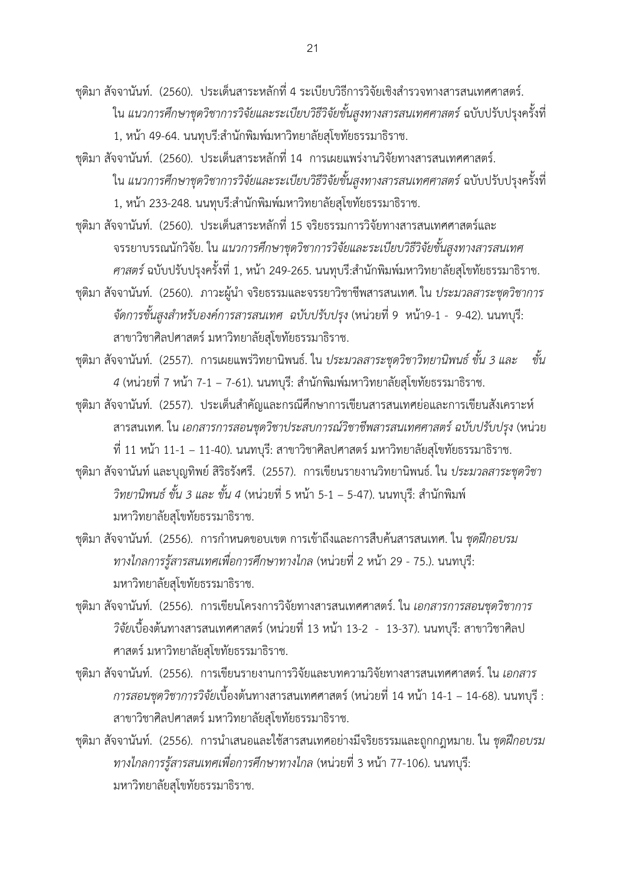ชุติมา สัจจานันท์. (2560). ประเด็นสาระหลักที่ 4 ระเบียบวิธีการวิจัยเชิงสำรวจทางสารสนเทศศาสตร์. ใน *แนวการศึกษาชุดวิชาการวิจัยและระเบียบวิธีวิจัยขั้นสูงทางสารสนเทศศาสตร์*ฉบับปรับปรุงครั้งที่ 1, หน้า 49-64. นนทุบรี:สำนักพิมพ์มหาวิทยาลัยสุโขทัยธรรมาธิราช.

ชุติมา สัจจานันท์. (2560). ประเด็นสาระหลักที่ 14 การเผยแพร่งานวิจัยทางสารสนเทศศาสตร์. ใน *แนวการศึกษาชุดวิชาการวิจัยและระเบียบวิธีวิจัยขั้นสูงทางสารสนเทศศาสตร์*ฉบับปรับปรุงครั้งที่ 1, หน้า 233-248. นนทุบรี:สำนักพิมพ์มหาวิทยาลัยสุโขทัยธรรมาธิราช.

ชุติมา สัจจานันท์. (2560). ประเด็นสาระหลักที่ 15 จริยธรรมการวิจัยทางสารสนเทศศาสตร์และ จรรยาบรรณนักวิจัย. ใน *แนวการศึกษาชุดวิชาการวิจัยและระเบียบวิธีวิจัยขั้นสูงทางสารสนเทศ ศาสตร์* ฉบับปรับปรุงครั้งที่ 1, หน้า 249-265. นนทุบรี:สำนักพิมพ์มหาวิทยาลัยสุโขทัยธรรมาธิราช.

ชุติมา สัจจานันท์. (2560). ภาวะผู้นำ จริยธรรมและจรรยาวิชาชีพสารสนเทศ. ใน *ประมวลสาระชุดวิชาการ จัดการขั้นสูงส าหรับองค์การสารสนเทศ ฉบับปรับปรุง* (หน่วยที่ 9 หน้า9-1 - 9-42). นนทบุรี: สาขาวิชาศิลปศาสตร์ มหาวิทยาลัยสุโขทัยธรรมาธิราช.

ชุติมา สัจจานันท์. (2557). การเผยแพร่วิทยานิพนธ์. ใน *ประมวลสาระชุดวิชาวิทยานิพนธ์ขั้น 3 และ ขั้น 4* (หน่วยที่ 7 หน้า 7-1 – 7-61). นนทบุรี: สำนักพิมพ์มหาวิทยาลัยสุโขทัยธรรมาธิราช.

- ชุติมา สัจจานันท์. (2557). ประเด็นสำคัญและกรณีศึกษาการเขียนสารสนเทศย่อและการเขียนสังเคราะห์ สารสนเทศ. ใน *เอกสารการสอนชุดวิชาประสบการณ์วิชาชีพสารสนเทศศาสตร์ฉบับปรับปรุง* (หน่วย ที่ 11 หน้า 11-1 – 11-40). นนทบุรี: สาขาวิชาศิลปศาสตร์ มหาวิทยาลัยสุโขทัยธรรมาธิราช.
- ชุติมา สัจจานันท์ และบุญทิพย์ สิริธรังศรี. (2557). การเขียนรายงานวิทยานิพนธ์. ใน *ประมวลสาระชุดวิชา วิทยานิพนธ์ ขั้น 3 และ ขั้น 4* (หน่วยที่ 5 หน้า 5-1 – 5-47). นนทบุรี: สำนักพิมพ์ มหาวิทยาลัยสุโขทัยธรรมาธิราช.

ชุติมา สัจจานันท์. (2556). การกำหนดขอบเขต การเข้าถึงและการสืบค้นสารสนเทศ. ใน *ชุดฝึกอบรม ทางไกลการรู้สารสนเทศเพื่อการศึกษาทางไกล* (หน่วยที่ 2 หน้า 29 - 75.). นนทบุรี: มหาวิทยาลัยสุโขทัยธรรมาธิราช.

- ชุติมา สัจจานันท์. (2556). การเขียนโครงการวิจัยทางสารสนเทศศาสตร์. ใน *เอกสารการสอนชุดวิชาการ วิจัย*เบื้องต้นทางสารสนเทศศาสตร์(หน่วยที่ 13 หน้า 13-2 - 13-37). นนทบุรี: สาขาวิชาศิลป ศาสตร์ มหาวิทยาลัยสุโขทัยธรรมาธิราช.
- ชุติมา สัจจานันท์. (2556). การเขียนรายงานการวิจัยและบทความวิจัยทางสารสนเทศศาสตร์. ใน *เอกสาร การสอนชุดวิชาการวิจัย*เบื้องต้นทางสารสนเทศศาสตร์(หน่วยที่ 14 หน้า 14-1 – 14-68). นนทบุรี : สาขาวิชาศิลปศาสตร์ มหาวิทยาลัยสุโขทัยธรรมาธิราช.
- ีชุติมา สัจจานันท์. (2556). การนำเสนอและใช้สารสนเทศอย่างมีจริยธรรมและถูกกฎหมาย. ใน *ชุดฝึกอบรม ทางไกลการรู้สารสนเทศเพื่อการศึกษาทางไกล* (หน่วยที่ 3 หน้า 77-106). นนทบุรี: มหาวิทยาลัยสุโขทัยธรรมาธิราช.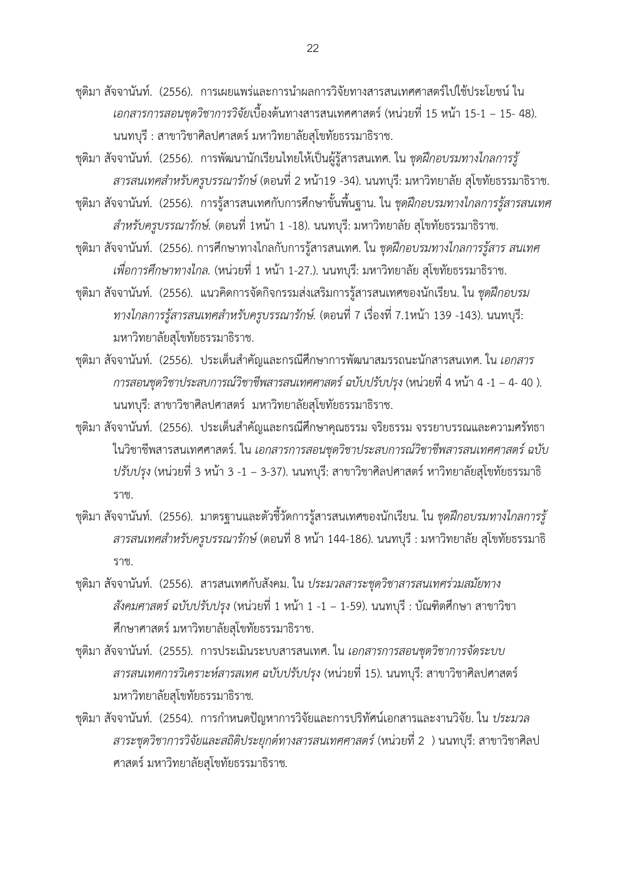ชุติมา สัจจานันท์. (2556). การเผยแพร่และการนำผลการวิจัยทางสารสนเทศศาสตร์ไปใช้ประโยชน์ ใน *เอกสารการสอนชุดวิชาการวิจัย*เบื้องต้นทางสารสนเทศศาสตร์(หน่วยที่ 15 หน้า 15-1 – 15- 48). นนทบุรี : สาขาวิชาศิลปศาสตร์ มหาวิทยาลัยสุโขทัยธรรมาธิราช.

ชุติมา สัจจานันท์. (2556). การพัฒนานักเรียนไทยให้เป็นผู้รู้สารสนเทศ. ใน *ชุดฝึกอบรมทางไกลการรู้ สารสนเทศส าหรับครูบรรณารักษ์*(ตอนที่ 2 หน้า19 -34). นนทบุรี: มหาวิทยาลัย สุโขทัยธรรมาธิราช.

ชุติมา สัจจานันท์. (2556). การรู้สารสนเทศกับการศึกษาขั้นพื้นฐาน. ใน *ชุดฝึกอบรมทางไกลการรู้สารสนเทศ ส าหรับครูบรรณารักษ์.* (ตอนที่ 1หน้า 1 -18). นนทบุรี: มหาวิทยาลัย สุโขทัยธรรมาธิราช.

ชุติมา สัจจานันท์. (2556). การศึกษาทางไกลกับการรู้สารสนเทศ. ใน *ชุดฝึกอบรมทางไกลการรู้สาร สนเทศ เพื่อการศึกษาทางไกล.* (หน่วยที่ 1 หน้า 1-27.). นนทบุรี: มหาวิทยาลัย สุโขทัยธรรมาธิราช.

ชุติมา สัจจานันท์. (2556). แนวคิดการจัดกิจกรรมส่งเสริมการรู้สารสนเทศของนักเรียน. ใน *ชุดฝึกอบรม ทางไกลการรู้สารสนเทศส าหรับครูบรรณารักษ์.* (ตอนที่ 7 เรื่องที่ 7.1หน้า 139 -143). นนทบุรี: มหาวิทยาลัยสุโขทัยธรรมาธิราช.

ชุติมา สัจจานันท์. (2556). ประเด็นสำคัญและกรณีศึกษาการพัฒนาสมรรถนะนักสารสนเทศ. ใน *เอกสาร การสอนชุดวิชาประสบการณ์วิชาชีพสารสนเทศศาสตร์ฉบับปรับปรุง* (หน่วยที่ 4 หน้า 4 -1 – 4- 40 ). นนทบุรี: สาขาวิชาศิลปศาสตร์ มหาวิทยาลัยสุโขทัยธรรมาธิราช.

ชุติมา สัจจานันท์. (2556). ประเด็นสำคัญและกรณีศึกษาคุณธรรม จริยธรรม จรรยาบรรณและความศรัทธา ในวิชาชีพสารสนเทศศาสตร์. ใน *เอกสารการสอนชุดวิชาประสบการณ์วิชาชีพสารสนเทศศาสตร์ฉบับ ปรับปรุง (*หน่วยที่ 3 หน้า 3 -1 – 3-37). นนทบุรี: สาขาวิชาศิลปศาสตร์ หาวิทยาลัยสุโขทัยธรรมาธิ ราช.

ชุติมา สัจจานันท์. (2556). มาตรฐานและตัวชี้วัดการรู้สารสนเทศของนักเรียน. ใน *ชุดฝึกอบรมทางไกลการรู้ สารสนเทศส าหรับครูบรรณารักษ์*(ตอนที่ 8 หน้า 144-186). นนทบุรี : มหาวิทยาลัย สุโขทัยธรรมาธิ ราช.

ชุติมา สัจจานันท์. (2556). สารสนเทศกับสังคม. ใน *ประมวลสาระชุดวิชาสารสนเทศร่วมสมัยทาง สังคมศาสตร์ฉบับปรับปรุง* (หน่วยที่ 1 หน้า 1 -1 – 1-59). นนทบุรี : บัณฑิตศึกษา สาขาวิชา ศึกษาศาสตร์ มหาวิทยาลัยสุโขทัยธรรมาธิราช.

ชุติมา สัจจานันท์. (2555). การประเมินระบบสารสนเทศ. ใน *เอกสารการสอนชุดวิชาการจัดระบบ สารสนเทศการวิเคราะห์สารสเทศ ฉบับปรับปรุง* (หน่วยที่ 15). นนทบุรี: สาขาวิชาศิลปศาสตร์ มหาวิทยาลัยสุโขทัยธรรมาธิราช*.*

ี ชุติมา สัจจานันท์. (2554). การกำหนดปัญหาการวิจัยและการปริทัศน์เอกสารและงานวิจัย. ใน *ประมวล สาระชุดวิชาการวิจัยและสถิติประยุกต์ทางสารสนเทศศาสตร์*(หน่วยที่ 2 ) นนทบุรี: สาขาวิชาศิลป ศาสตร์ มหาวิทยาลัยสุโขทัยธรรมาธิราช*.*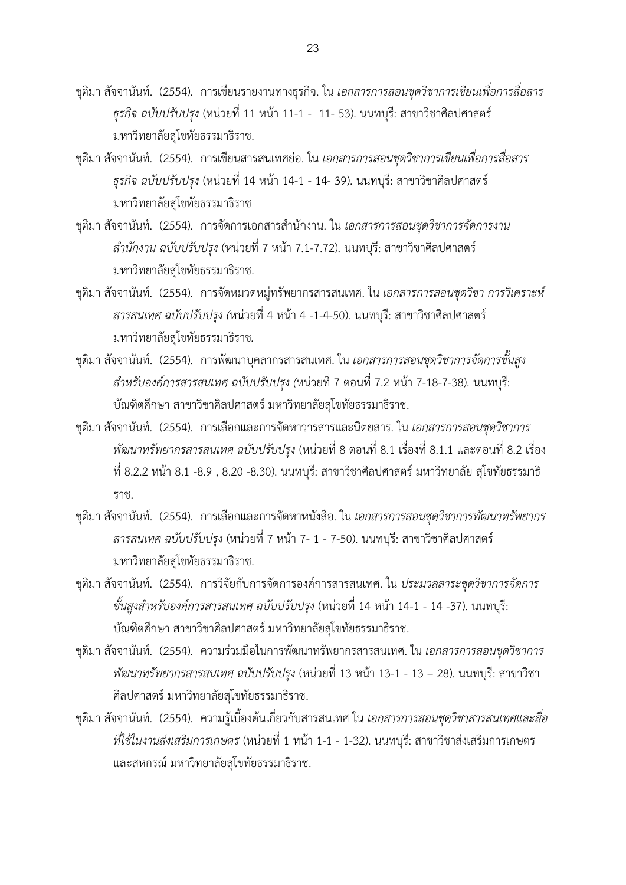- ชุติมา สัจจานันท์. (2554). การเขียนรายงานทางธุรกิจ. ใน *เอกสารการสอนชุดวิชาการเขียนเพื่อการสื่อสาร ธุรกิจ ฉบับปรับปรุง* (หน่วยที่ 11 หน้า 11-1 - 11- 53). นนทบุรี: สาขาวิชาศิลปศาสตร์ มหาวิทยาลัยสุโขทัยธรรมาธิราช.
- ชุติมา สัจจานันท์. (2554). การเขียนสารสนเทศย่อ. ใน *เอกสารการสอนชุดวิชาการเขียนเพื่อการสื่อสาร ธุรกิจ ฉบับปรับปรุง* (หน่วยที่ 14 หน้า 14-1 - 14- 39). นนทบุรี: สาขาวิชาศิลปศาสตร์ มหาวิทยาลัยสุโขทัยธรรมาธิราช
- ีชุติมา สัจจานันท์. (2554). การจัดการเอกสารสำนักงาน. ใน *เอกสารการสอนชุดวิชาการจัดการงาน ส านักงาน ฉบับปรับปรุง* (หน่วยที่ 7 หน้า 7.1-7.72). นนทบุรี: สาขาวิชาศิลปศาสตร์ มหาวิทยาลัยสุโขทัยธรรมาธิราช.
- ชุติมา สัจจานันท์. (2554). การจัดหมวดหมู่ทรัพยากรสารสนเทศ. ใน *เอกสารการสอนชุดวิชา การวิเคราะห์ สารสนเทศ ฉบับปรับปรุง (*หน่วยที่ 4 หน้า 4 -1-4-50). นนทบุรี: สาขาวิชาศิลปศาสตร์ มหาวิทยาลัยสุโขทัยธรรมาธิราช*.*
- ชุติมา สัจจานันท์. (2554). การพัฒนาบุคลากรสารสนเทศ. ใน *เอกสารการสอนชุดวิชาการจัดการขั้นสูง ส าหรับองค์การสารสนเทศ ฉบับปรับปรุง (*หน่วยที่ 7 ตอนที่ 7.2 หน้า 7-18-7-38). นนทบุรี: บัณฑิตศึกษา สาขาวิชาศิลปศาสตร์ มหาวิทยาลัยสุโขทัยธรรมาธิราช.
- ชุติมา สัจจานันท์. (2554). การเลือกและการจัดหาวารสารและนิตยสาร. ใน *เอกสารการสอนชุดวิชาการ พัฒนาทรัพยากรสารสนเทศ ฉบับปรับปรุง* (หน่วยที่ 8 ตอนที่ 8.1 เรื่องที่ 8.1.1 และตอนที่ 8.2 เรื่อง ที่ 8.2.2 หน้า 8.1 -8.9 , 8.20 -8.30). นนทบุรี: สาขาวิชาศิลปศาสตร์ มหาวิทยาลัย สุโขทัยธรรมาธิ ราช.
- ชุติมา สัจจานันท์. (2554). การเลือกและการจัดหาหนังสือ. ใน *เอกสารการสอนชุดวิชาการพัฒนาทรัพยากร สารสนเทศ ฉบับปรับปรุง* (หน่วยที่ 7 หน้า 7- 1 - 7-50). นนทบุรี: สาขาวิชาศิลปศาสตร์ มหาวิทยาลัยสุโขทัยธรรมาธิราช.
- ชุติมา สัจจานันท์. (2554). การวิจัยกับการจัดการองค์การสารสนเทศ. ใน *ประมวลสาระชุดวิชาการจัดการ ขั้นสูงส าหรับองค์การสารสนเทศ ฉบับปรับปรุง* (หน่วยที่ 14 หน้า 14-1 - 14 -37). นนทบุรี: บัณฑิตศึกษา สาขาวิชาศิลปศาสตร์ มหาวิทยาลัยสุโขทัยธรรมาธิราช.
- ชุติมา สัจจานันท์. (2554). ความร่วมมือในการพัฒนาทรัพยากรสารสนเทศ. ใน *เอกสารการสอนชุดวิชาการ พัฒนาทรัพยากรสารสนเทศ ฉบับปรับปรุง* (หน่วยที่ 13 หน้า 13-1 - 13 – 28). นนทบุรี: สาขาวิชา ศิลปศาสตร์ มหาวิทยาลัยสุโขทัยธรรมาธิราช.
- ชุติมา สัจจานันท์. (2554). ความรู้เบื้องต้นเกี่ยวกับสารสนเทศ ใน *เอกสารการสอนชุดวิชาสารสนเทศและสื่อ ที่ใช้ในงานส่งเสริมการเกษตร* (หน่วยที่ 1 หน้า 1-1 - 1-32). นนทบุรี: สาขาวิชาส่งเสริมการเกษตร และสหกรณ์ มหาวิทยาลัยสุโขทัยธรรมาธิราช.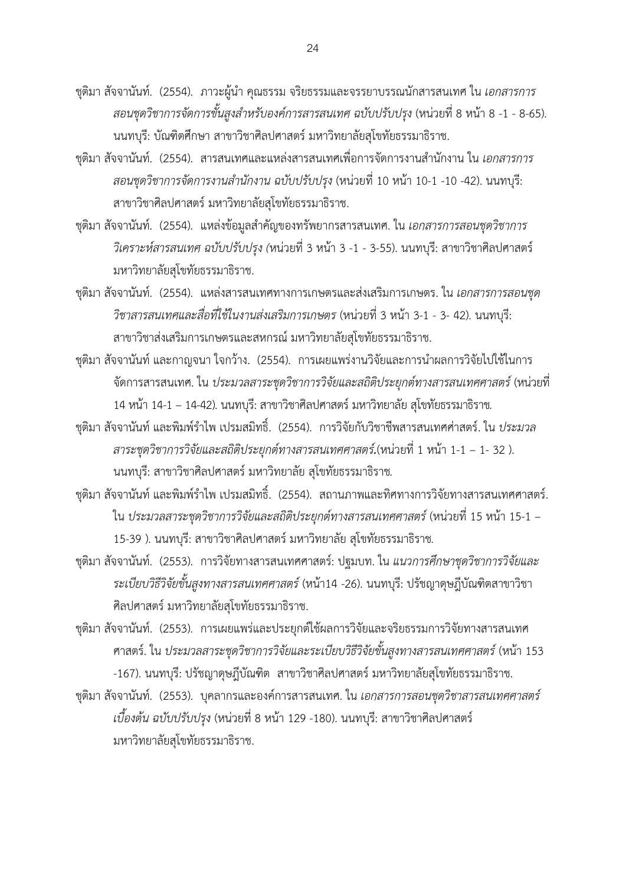- ึชุติมา สัจจานันท์. (2554). ภาวะผู้นำ คุณธรรม จริยธรรมและจรรยาบรรณนักสารสนเทศ ใน *เอกสารการ สอนชุดวิชาการจัดการขั้นสูงส าหรับองค์การสารสนเทศ ฉบับปรับปรุง* (หน่วยที่ 8 หน้า 8 -1 - 8-65). นนทบุรี: บัณฑิตศึกษา สาขาวิชาศิลปศาสตร์ มหาวิทยาลัยสุโขทัยธรรมาธิราช.
- ีชุติมา สัจจานันท์. (2554). สารสนเทศและแหล่งสารสนเทศเพื่อการจัดการงานสำนักงาน ใน *เอกสารการ สอนชุดวิชาการจัดการงานส านักงาน ฉบับปรับปรุง* (หน่วยที่ 10 หน้า 10-1 -10 -42). นนทบุรี: สาขาวิชาศิลปศาสตร์มหาวิทยาลัยสุโขทัยธรรมาธิราช.
- ีชุติมา สัจจานันท์. (2554). แหล่งข้อมูลสำคัญของทรัพยากรสารสนเทศ. ใน *เอกสารการสอนชุดวิชาการ วิเคราะห์สารสนเทศ ฉบับปรับปรุง (*หน่วยที่ 3 หน้า 3 -1 - 3-55). นนทบุรี: สาขาวิชาศิลปศาสตร์ มหาวิทยาลัยสุโขทัยธรรมาธิราช.
- ชุติมา สัจจานันท์. (2554). แหล่งสารสนเทศทางการเกษตรและส่งเสริมการเกษตร. ใน *เอกสารการสอนชุด วิชาสารสนเทศและสื่อที่ใช้ในงานส่งเสริมการเกษตร* (หน่วยที่ 3 หน้า 3-1 - 3- 42). นนทบุรี: สาขาวิชาส่งเสริมการเกษตรและสหกรณ์ มหาวิทยาลัยสุโขทัยธรรมาธิราช.
- ิชุติมา สัจจานันท์ และกาญจนา ใจกว้าง. (2554). การเผยแพร่งานวิจัยและการนำผลการวิจัยไปใช้ในการ จัดการสารสนเทศ. ใน *ประมวลสาระชุดวิชาการวิจัยและสถิติประยุกต์ทางสารสนเทศศาสตร์*(หน่วยที่ 14 หน้า 14-1 – 14-42). นนทบุรี: สาขาวิชาศิลปศาสตร์ มหาวิทยาลัย สุโขทัยธรรมาธิราช*.*
- ี ชุติมา สัจจานันท์ และพิมพ์รำไพ เปรมสมิทธิ์. (2554). การวิจัยกับวิชาชีพสารสนเทศศ่าสตร์. ใน *ประมวล สาระชุดวิชาการวิจัยและสถิติประยุกต์ทางสารสนเทศศาสตร์.*(หน่วยที่ 1 หน้า 1-1 – 1- 32 ). นนทบุรี: สาขาวิชาศิลปศาสตร์มหาวิทยาลัย สุโขทัยธรรมาธิราช*.*
- ิชุติมา สัจจานันท์ และพิมพ์รำไพ เปรมสมิทธิ์. (2554). สถานภาพและทิศทางการวิจัยทางสารสนเทศศาสตร์. ใน *ประมวลสาระชุดวิชาการวิจัยและสถิติประยุกต์ทางสารสนเทศศาสตร์*(หน่วยที่ 15 หน้า 15-1 – 15-39 ). นนทบุรี: สาขาวิชาศิลปศาสตร์ มหาวิทยาลัย สุโขทัยธรรมาธิราช*.*
- ชุติมา สัจจานันท์. (2553). การวิจัยทางสารสนเทศศาสตร์: ปฐมบท. ใน *แนวการศึกษาชุดวิชาการวิจัยและ ระเบียบวิธีวิจัยขั้นสูงทางสารสนเทศศาสตร์*(หน้า14 -26). นนทบุรี: ปรัชญาดุษฎีบัณฑิตสาขาวิชา ศิลปศาสตร์ มหาวิทยาลัยสุโขทัยธรรมาธิราช.
- ชุติมา สัจจานันท์. (2553). การเผยแพร่และประยุกต์ใช้ผลการวิจัยและจริยธรรมการวิจัยทางสารสนเทศ ศาสตร์. ใน *ประมวลสาระชุดวิชาการวิจัยและระเบียบวิธีวิจัยขั้นสูงทางสารสนเทศศาสตร์*(หน้า 153 -167). นนทบุรี: ปรัชญาดุษฎีบัณฑิต สาขาวิชาศิลปศาสตร์ มหาวิทยาลัยสุโขทัยธรรมาธิราช.
- ชุติมา สัจจานันท์. (2553). บุคลากรและองค์การสารสนเทศ. ใน *เอกสารการสอนชุดวิชาสารสนเทศศาสตร์ เบื้องต้น ฉบับปรับปรุง* (หน่วยที่ 8 หน้า 129 -180). นนทบุรี: สาขาวิชาศิลปศาสตร์ มหาวิทยาลัยสุโขทัยธรรมาธิราช.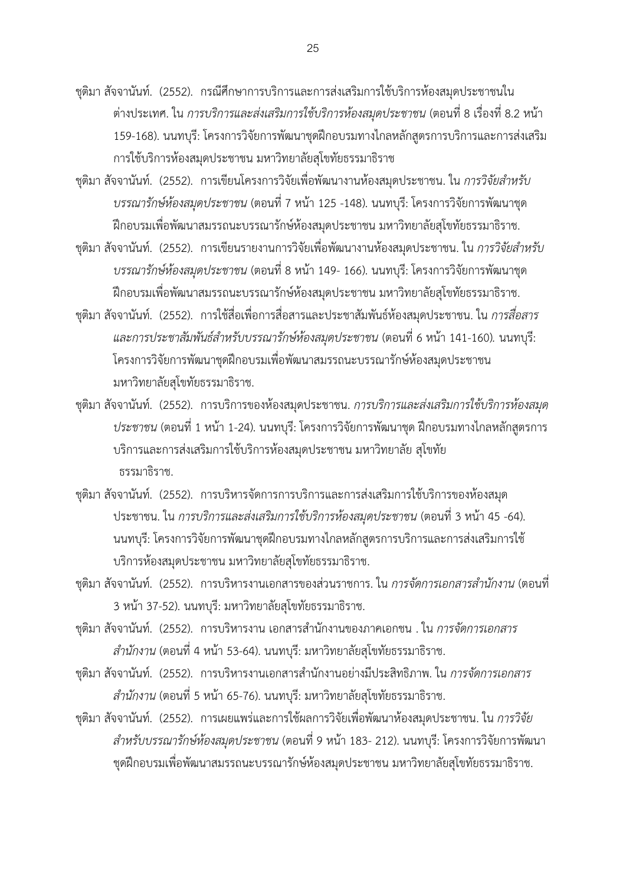ชุติมา สัจจานันท์. (2552). กรณีศึกษาการบริการและการส่งเสริมการใช้บริการห้องสมุดประชาชนใน ต่างประเทศ. ใน *การบริการและส่งเสริมการใช้บริการห้องสมุดประชาชน* (ตอนที่ 8 เรื่องที่ 8.2 หน้า 159-168). นนทบุรี: โครงการวิจัยการพัฒนาชุดฝึกอบรมทางไกลหลักสูตรการบริการและการส่งเสริม การใช้บริการห้องสมุดประชาชน มหาวิทยาลัยสุโขทัยธรรมาธิราช

ึชุติมา สัจจานันท์. (2552). การเขียนโครงการวิจัยเพื่อพัฒนางานห้องสมุดประชาชน. ใน *การวิจัยสำหรับ บรรณารักษ์ห้องสมุดประชาชน* (ตอนที่ 7 หน้า 125 -148). นนทบุรี: โครงการวิจัยการพัฒนาชุด ฝึกอบรมเพื่อพัฒนาสมรรถนะบรรณารักษ์ห้องสมุดประชาชน มหาวิทยาลัยสุโขทัยธรรมาธิราช.

- ึชุติมา สัจจานันท์. (2552). การเขียนรายงานการวิจัยเพื่อพัฒนางานห้องสมุดประชาชน. ใน *การวิจัยสำหรับ บรรณารักษ์ห้องสมุดประชาชน* (ตอนที่ 8 หน้า 149- 166). นนทบุรี: โครงการวิจัยการพัฒนาชุด ฝึกอบรมเพื่อพัฒนาสมรรถนะบรรณารักษ์ห้องสมุดประชาชน มหาวิทยาลัยสุโขทัยธรรมาธิราช.
- ชุติมา สัจจานันท์. (2552). การใช้สื่อเพื่อการสื่อสารและประชาสัมพันธ์ห้องสมุดประชาชน. ใน *การสื่อสาร และการประชาสัมพันธ์ส าหรับบรรณารักษ์ห้องสมุดประชาชน* (ตอนที่ 6 หน้า 141-160)*.* นนทบุรี: โครงการวิจัยการพัฒนาชุดฝึกอบรมเพื่อพัฒนาสมรรถนะบรรณารักษ์ห้องสมุดประชาชน มหาวิทยาลัยสุโขทัยธรรมาธิราช.
- ชุติมา สัจจานันท์. (2552). การบริการของห้องสมุดประชาชน. *การบริการและส่งเสริมการใช้บริการห้องสมุด ประชาชน* (ตอนที่ 1 หน้า 1-24). นนทบุรี: โครงการวิจัยการพัฒนาชุด ฝึกอบรมทางไกลหลักสูตรการ บริการและการส่งเสริมการใช้บริการห้องสมุดประชาชน มหาวิทยาลัย สุโขทัย ธรรมาธิราช.
- ชุติมา สัจจานันท์. (2552). การบริหารจัดการการบริการและการส่งเสริมการใช้บริการของห้องสมุด ประชาชน. ใน *การบริการและส่งเสริมการใช้บริการห้องสมุดประชาชน* (ตอนที่ 3 หน้า 45 -64). นนทบุรี: โครงการวิจัยการพัฒนาชุดฝึกอบรมทางไกลหลักสูตรการบริการและการส่งเสริมการใช้ บริการห้องสมุดประชาชน มหาวิทยาลัยสุโขทัยธรรมาธิราช.
- ึชุติมา สัจจานันท์. (2552). การบริหารงานเอกสารของส่วนราชการ. ใน *การจัดการเอกสารสำนักงาน* (ตอนที่ 3 หน้า 37-52). นนทบุรี: มหาวิทยาลัยสุโขทัยธรรมาธิราช.
- ึชุติมา สัจจานันท์. (2552). การบริหารงาน เอกสารสำนักงานของภาคเอกชน . ใน *การจัดการเอกสาร ส านักงาน* (ตอนที่ 4 หน้า 53-64). นนทบุรี: มหาวิทยาลัยสุโขทัยธรรมาธิราช.
- ึชุติมา สัจจานันท์. (2552). การบริหารงานเอกสารสำนักงานอย่างมีประสิทธิภาพ. ใน *การจัดการเอกสาร ส านักงาน* (ตอนที่ 5 หน้า 65-76). นนทบุรี: มหาวิทยาลัยสุโขทัยธรรมาธิราช.
- ชุติมา สัจจานันท์. (2552). การเผยแพร่และการใช้ผลการวิจัยเพื่อพัฒนาห้องสมุดประชาชน. ใน *การวิจัย ส าหรับบรรณารักษ์ห้องสมุดประชาชน* (ตอนที่ 9 หน้า 183- 212). นนทบุรี: โครงการวิจัยการพัฒนา ชุดฝึกอบรมเพื่อพัฒนาสมรรถนะบรรณารักษ์ห้องสมุดประชาชน มหาวิทยาลัยสุโขทัยธรรมาธิราช.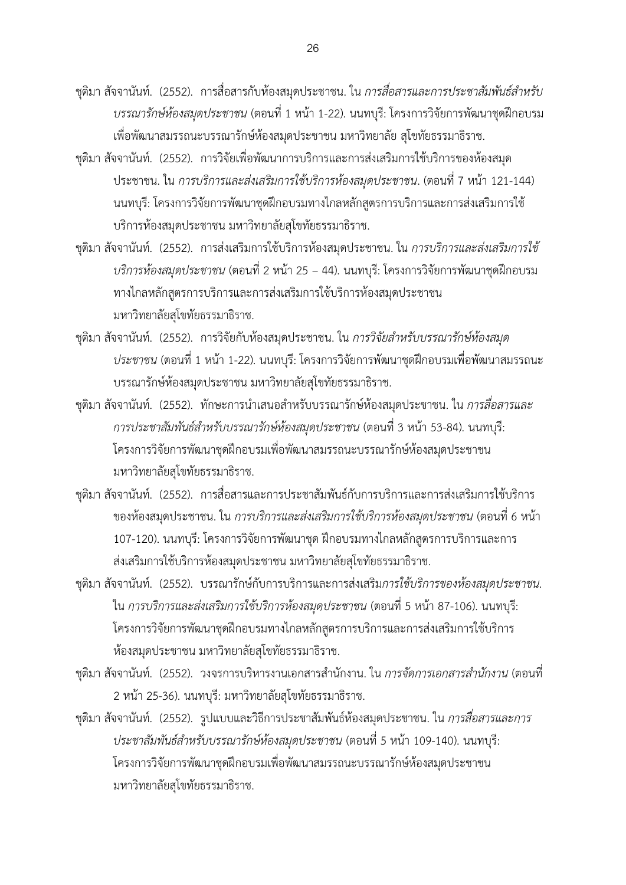- ึชุติมา สัจจานันท์. (2552). การสื่อสารกับห้องสมุดประชาชน. ใน *การสื่อสารและการประชาสัมพันธ์สำหรับ บรรณารักษ์ห้องสมุดประชาชน* (ตอนที่ 1 หน้า 1-22). นนทบุรี: โครงการวิจัยการพัฒนาชุดฝึกอบรม เพื่อพัฒนาสมรรถนะบรรณารักษ์ห้องสมุดประชาชน มหาวิทยาลัย สุโขทัยธรรมาธิราช.
- ชุติมา สัจจานันท์. (2552). การวิจัยเพื่อพัฒนาการบริการและการส่งเสริมการใช้บริการของห้องสมุด ประชาชน. ใน *การบริการและส่งเสริมการใช้บริการห้องสมุดประชาชน*. (ตอนที่ 7 หน้า 121-144) นนทบุรี: โครงการวิจัยการพัฒนาชุดฝึกอบรมทางไกลหลักสูตรการบริการและการส่งเสริมการใช้ บริการห้องสมุดประชาชน มหาวิทยาลัยสุโขทัยธรรมาธิราช.
- ชุติมา สัจจานันท์. (2552). การส่งเสริมการใช้บริการห้องสมุดประชาชน. ใน *การบริการและส่งเสริมการใช้ บริการห้องสมุดประชาชน* (ตอนที่ 2 หน้า 25 – 44). นนทบุรี: โครงการวิจัยการพัฒนาชุดฝึกอบรม ทางไกลหลักสูตรการบริการและการส่งเสริมการใช้บริการห้องสมุดประชาชน มหาวิทยาลัยสุโขทัยธรรมาธิราช.
- ีชุติมา สัจจานันท์. (2552). การวิจัยกับห้องสมุดประชาชน. ใน *การวิจัยสำหรับบรรณารักษ์ห้องสมุด ประชาชน* (ตอนที่ 1 หน้า 1-22). นนทบุรี: โครงการวิจัยการพัฒนาชุดฝึกอบรมเพื่อพัฒนาสมรรถนะ บรรณารักษ์ห้องสมุดประชาชน มหาวิทยาลัยสุโขทัยธรรมาธิราช.
- ึชุติมา สัจจานันท์. (2552). ทักษะการนำเสนอสำหรับบรรณารักษ์ห้องสมุดประชาชน. ใน *การสื่อสารและ การประชาสัมพันธ์ส าหรับบรรณารักษ์ห้องสมุดประชาชน* (ตอนที่ 3 หน้า 53-84). นนทบุรี: โครงการวิจัยการพัฒนาชุดฝึกอบรมเพื่อพัฒนาสมรรถนะบรรณารักษ์ห้องสมุดประชาชน มหาวิทยาลัยสุโขทัยธรรมาธิราช.
- ชุติมา สัจจานันท์. (2552). การสื่อสารและการประชาสัมพันธ์กับการบริการและการส่งเสริมการใช้บริการ ของห้องสมุดประชาชน. ใน *การบริการและส่งเสริมการใช้บริการห้องสมุดประชาชน* (ตอนที่ 6 หน้า 107-120). นนทบุรี: โครงการวิจัยการพัฒนาชุด ฝึกอบรมทางไกลหลักสูตรการบริการและการ ส่งเสริมการใช้บริการห้องสมุดประชาชน มหาวิทยาลัยสุโขทัยธรรมาธิราช.
- ชุติมา สัจจานันท์. (2552). บรรณารักษ์กับการบริการและการส่งเสริม*การใช้บริการของห้องสมุดประชาชน.* ใน *การบริการและส่งเสริมการใช้บริการห้องสมุดประชาชน* (ตอนที่ 5 หน้า 87-106). นนทบุรี: โครงการวิจัยการพัฒนาชุดฝึกอบรมทางไกลหลักสูตรการบริการและการส่งเสริมการใช้บริการ ห้องสมุดประชาชน มหาวิทยาลัยสุโขทัยธรรมาธิราช.
- ี ชุติมา สัจจานันท์. (2552). วงจรการบริหารงานเอกสารสำนักงาน. ใน *การจัดการเอกสารสำนักงาน* (ตอนที่ 2 หน้า 25-36). นนทบุรี: มหาวิทยาลัยสุโขทัยธรรมาธิราช.
- ชุติมา สัจจานันท์. (2552). รูปแบบและวิธีการประชาสัมพันธ์ห้องสมุดประชาชน. ใน *การสื่อสารและการ ประชาสัมพันธ์ส าหรับบรรณารักษ์ห้องสมุดประชาชน* (ตอนที่ 5 หน้า 109-140). นนทบุรี: โครงการวิจัยการพัฒนาชุดฝึกอบรมเพื่อพัฒนาสมรรถนะบรรณารักษ์ห้องสมุดประชาชน มหาวิทยาลัยสุโขทัยธรรมาธิราช.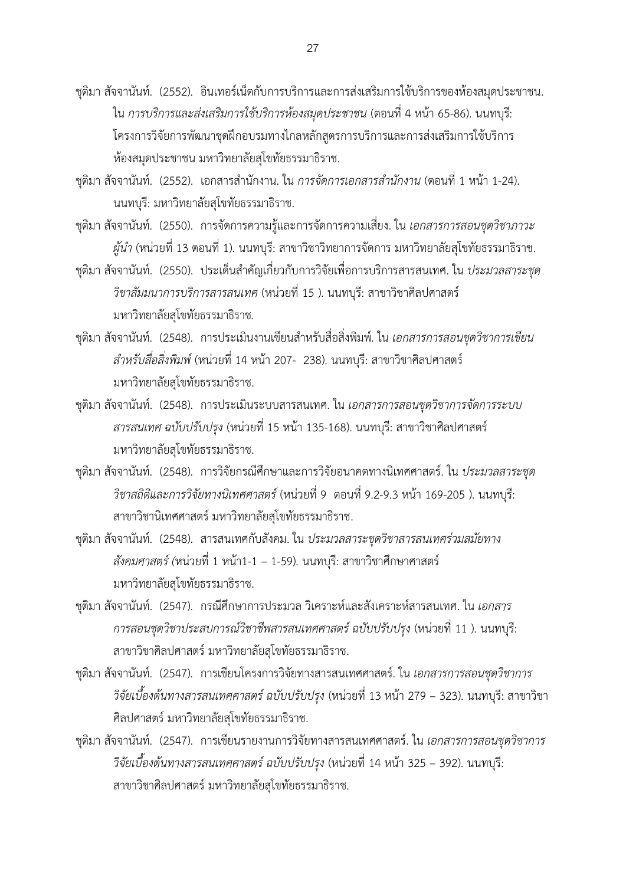- ชุติมา สัจจานันท์. (2552). อินเทอร์เน็ตกับการบริการและการส่งเสริมการใช้บริการของห้องสมุดประชาชน. ใน *การบริการและส่งเสริมการใช้บริการห้องสมุดประชาชน* (ตอนที่ 4 หน้า 65-86). นนทบุรี: โครงการวิจัยการพัฒนาชุดฝึกอบรมทางไกลหลักสูตรการบริการและการส่งเสริมการใช้บริการ ห้องสมุดประชาชน มหาวิทยาลัยสุโขทัยธรรมาธิราช.
- ี ชุติมา สัจจานันท์. (2552). เอกสารสำนักงาน. ใน *การจัดการเอกสารสำนักงาน* (ตอนที่ 1 หน้า 1-24). นนทบุรี: มหาวิทยาลัยสุโขทัยธรรมาธิราช.
- ชุติมา สัจจานันท์. (2550). การจัดการความรู้และการจัดการความเสี่ยง. ใน *เอกสารการสอนชุดวิชาภาวะ ผู้นำ* (หน่วยที่ 13 ตอนที่ 1). นนทบุรี: สาขาวิชาวิทยาการจัดการ มหาวิทยาลัยสุโขทัยธรรมาธิราช.
- ี ชติมา สัจจานันท์. (2550). ประเด็นสำคัญเกี่ยวกับการวิจัยเพื่อการบริการสารสนเทศ. ใน *ประมวลสาระชด วิชาสัมมนาการบริการสารสนเทศ* (หน่วยที่ 15 ). นนทบุรี: สาขาวิชาศิลปศาสตร์ มหาวิทยาลัยสุโขทัยธรรมาธิราช*.*
- ี ชุติมา สัจจานันท์. (2548). การประเมินงานเขียนสำหรับสื่อสิ่งพิมพ์. ใน *เอกสารการสอนชุดวิชาการเขียน ส าหรับสื่อสิ่งพิมพ์*(หน่วยที่ 14 หน้า 207- 238). นนทบุรี: สาขาวิชาศิลปศาสตร์ มหาวิทยาลัยสุโขทัยธรรมาธิราช.
- ชุติมา สัจจานันท์. (2548). การประเมินระบบสารสนเทศ. ใน *เอกสารการสอนชุดวิชาการจัดการระบบ สารสนเทศ ฉบับปรับปรุง* (หน่วยที่ 15 หน้า 135-168). นนทบุรี: สาขาวิชาศิลปศาสตร์ มหาวิทยาลัยสุโขทัยธรรมาธิราช.
- ชุติมา สัจจานันท์. (2548). การวิจัยกรณีศึกษาและการวิจัยอนาคตทางนิเทศศาสตร์. ใน *ประมวลสาระชุด วิชาสถิติและการวิจัยทางนิเทศศาสตร์*(หน่วยที่ 9 ตอนที่ 9.2-9.3 หน้า 169-205 ). นนทบุรี: สาขาวิชานิเทศศาสตร์ มหาวิทยาลัยสุโขทัยธรรมาธิราช.
- ชุติมา สัจจานันท์. (2548). สารสนเทศกับสังคม. ใน *ประมวลสาระชุดวิชาสารสนเทศร่วมสมัยทาง สังคมศาสตร์(*หน่วยที่ 1 หน้า1-1 – 1-59). นนทบุรี: สาขาวิชาศึกษาศาสตร์ มหาวิทยาลัยสุโขทัยธรรมาธิราช.
- ชุติมา สัจจานันท์. (2547). กรณีศึกษาการประมวล วิเคราะห์และสังเคราะห์สารสนเทศ. ใน *เอกสาร การสอนชุดวิชาประสบการณ์วิชาชีพสารสนเทศศาสตร์ ฉบับปรับปรุง* (หน่วยที่ 11 ). นนทบุรี: สาขาวิชาศิลปศาสตร์ มหาวิทยาลัยสุโขทัยธรรมาธิราช.
- ชุติมา สัจจานันท์. (2547). การเขียนโครงการวิจัยทางสารสนเทศศาสตร์. ใน *เอกสารการสอนชุดวิชาการ วิจัยเบื้องต้นทางสารสนเทศศาสตร์ ฉบับปรับปรุง* (หน่วยที่ 13 หน้า 279 – 323). นนทบุรี: สาขาวิชา ศิลปศาสตร์ มหาวิทยาลัยสุโขทัยธรรมาธิราช.
- ชุติมา สัจจานันท์. (2547). การเขียนรายงานการวิจัยทางสารสนเทศศาสตร์. ใน *เอกสารการสอนชุดวิชาการ วิจัยเบื้องต้นทางสารสนเทศศาสตร์ ฉบับปรับปรุง* (หน่วยที่ 14 หน้า 325 – 392). นนทบุรี: สาขาวิชาศิลปศาสตร์ มหาวิทยาลัยสุโขทัยธรรมาธิราช.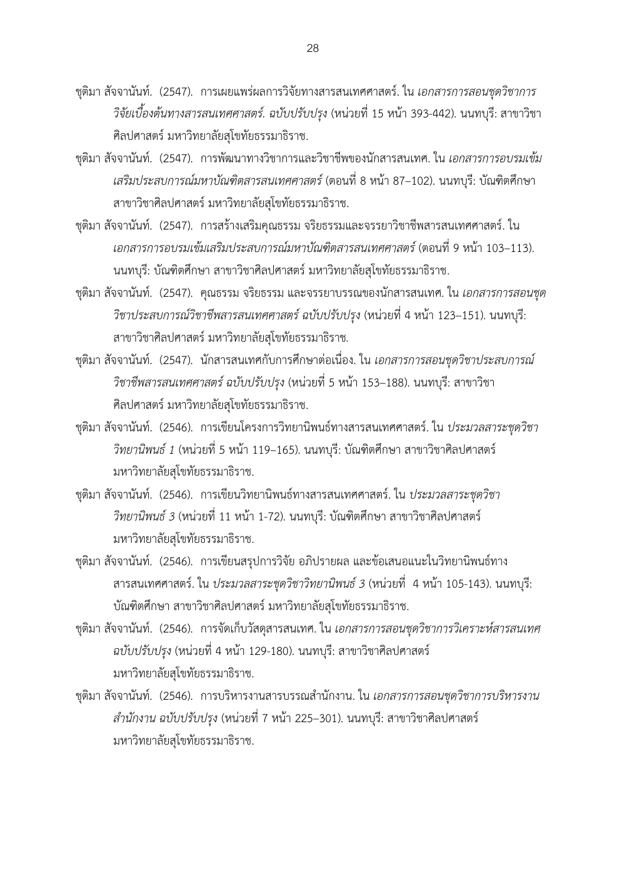ชุติมา สัจจานันท์. (2547). การเผยแพร่ผลการวิจัยทางสารสนเทศศาสตร์. ใน *เอกสารการสอนชุดวิชาการ วิจัยเบื้องต้นทางสารสนเทศศาสตร์. ฉบับปรับปรุง* (หน่วยที่ 15 หน้า 393-442). นนทบุรี: สาขาวิชา ศิลปศาสตร์ มหาวิทยาลัยสุโขทัยธรรมาธิราช.

- ชุติมา สัจจานันท์. (2547). การพัฒนาทางวิชาการและวิชาชีพของนักสารสนเทศ. ใน *เอกสารการอบรมเข้ม เสริมประสบการณ์มหาบัณฑิตสารสนเทศศาสตร์*(ตอนที่ 8 หน้า 87–102). นนทบุรี: บัณฑิตศึกษา สาขาวิชาศิลปศาสตร์ มหาวิทยาลัยสุโขทัยธรรมาธิราช.
- ชุติมา สัจจานันท์. (2547). การสร้างเสริมคุณธรรม จริยธรรมและจรรยาวิชาชีพสารสนเทศศาสตร์. ใน *เอกสารการอบรมเข้มเสริมประสบการณ์มหาบัณฑิตสารสนเทศศาสตร์* (ตอนที่ 9 หน้า 103–113). นนทบุรี: บัณฑิตศึกษา สาขาวิชาศิลปศาสตร์ มหาวิทยาลัยสุโขทัยธรรมาธิราช.
- ชุติมา สัจจานันท์. (2547). คุณธรรม จริยธรรม และจรรยาบรรณของนักสารสนเทศ. ใน *เอกสารการสอนชุด วิชาประสบการณ์วิชาชีพสารสนเทศศาสตร์ ฉบับปรับปรุง* (หน่วยที่ 4 หน้า 123–151). นนทบุรี: สาขาวิชาศิลปศาสตร์ มหาวิทยาลัยสุโขทัยธรรมาธิราช*.*
- ชุติมา สัจจานันท์. (2547). นักสารสนเทศกับการศึกษาต่อเนื่อง. ใน *เอกสารการสอนชุดวิชาประสบการณ์ วิชาชีพสารสนเทศศาสตร์ ฉบับปรับปรุง* (หน่วยที่ 5 หน้า 153–188). นนทบุรี: สาขาวิชา ศิลปศาสตร์ มหาวิทยาลัยสุโขทัยธรรมาธิราช.
- ชุติมา สัจจานันท์. (2546). การเขียนโครงการวิทยานิพนธ์ทางสารสนเทศศาสตร์. ใน *ประมวลสาระชุดวิชา วิทยานิพนธ์ 1* (หน่วยที่ 5 หน้า 119–165). นนทบุรี: บัณฑิตศึกษา สาขาวิชาศิลปศาสตร์ มหาวิทยาลัยสุโขทัยธรรมาธิราช.
- ชุติมา สัจจานันท์. (2546). การเขียนวิทยานิพนธ์ทางสารสนเทศศาสตร์. ใน *ประมวลสาระชุดวิชา วิทยานิพนธ์ 3* (หน่วยที่ 11 หน้า 1-72). นนทบุรี: บัณฑิตศึกษา สาขาวิชาศิลปศาสตร์ มหาวิทยาลัยสุโขทัยธรรมาธิราช.
- ชุติมา สัจจานันท์. (2546). การเขียนสรุปการวิจัย อภิปรายผล และข้อเสนอแนะในวิทยานิพนธ์ทาง สารสนเทศศาสตร์. ใน *ประมวลสาระชุดวิชาวิทยานิพนธ์ 3* (หน่วยที่ 4 หน้า 105-143). นนทบุรี: บัณฑิตศึกษา สาขาวิชาศิลปศาสตร์ มหาวิทยาลัยสุโขทัยธรรมาธิราช.
- ชุติมา สัจจานันท์. (2546). การจัดเก็บวัสดุสารสนเทศ. ใน *เอกสารการสอนชุดวิชาการวิเคราะห์สารสนเทศ ฉบับปรับปรุง* (หน่วยที่ 4 หน้า 129-180). นนทบุรี: สาขาวิชาศิลปศาสตร์ มหาวิทยาลัยสุโขทัยธรรมาธิราช.
- ชุติมา สัจจานันท์. (2546). การบริหารงานสารบรรณสำนักงาน. ใน *เอกสารการสอนชุดวิชาการบริหารงาน ส านักงาน ฉบับปรับปรุง* (หน่วยที่ 7 หน้า 225–301). นนทบุรี: สาขาวิชาศิลปศาสตร์ มหาวิทยาลัยสุโขทัยธรรมาธิราช.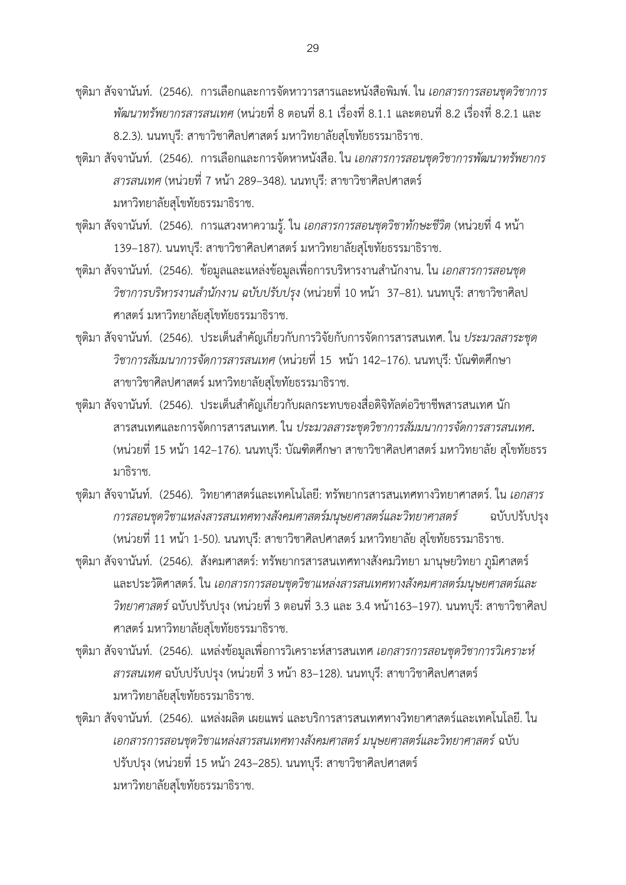ชุติมา สัจจานันท์. (2546). การเลือกและการจัดหาวารสารและหนังสือพิมพ์. ใน *เอกสารการสอนชุดวิชาการ พัฒนาทรัพยากรสารสนเทศ* (หน่วยที่ 8 ตอนที่ 8.1 เรื่องที่ 8.1.1 และตอนที่ 8.2 เรื่องที่ 8.2.1 และ 8.2.3). นนทบุรี: สาขาวิชาศิลปศาสตร์ มหาวิทยาลัยสุโขทัยธรรมาธิราช.

- ชุติมา สัจจานันท์. (2546). การเลือกและการจัดหาหนังสือ. ใน *เอกสารการสอนชุดวิชาการพัฒนาทรัพยากร สารสนเทศ* (หน่วยที่ 7 หน้า 289–348). นนทบุรี: สาขาวิชาศิลปศาสตร์ มหาวิทยาลัยสุโขทัยธรรมาธิราช.
- ชุติมา สัจจานันท์. (2546). การแสวงหาความรู้. ใน *เอกสารการสอนชุดวิชาทักษะชีวิต* (หน่วยที่ 4 หน้า 139–187). นนทบุรี: สาขาวิชาศิลปศาสตร์ มหาวิทยาลัยสุโขทัยธรรมาธิราช.
- ี ชุติมา สัจจานันท์. (2546). ข้อมูลและแหล่งข้อมูลเพื่อการบริหารงานสำนักงาน. ใน *เอกสารการสอนชุด วิชาการบริหารงานสำนักงาน ฉบับปรับปรุง* (หน่วยที่ 10 หน้า 37–81). นนทบุรี: สาขาวิชาศิลป ศาสตร์ มหาวิทยาลัยสุโขทัยธรรมาธิราช.
- ี ชุติมา สัจจานันท์. (2546). ประเด็นสำคัญเกี่ยวกับการวิจัยกับการจัดการสารสนเทศ. ใน *ประมวลสาระชุด วิชาการสัมมนาการจัดการสารสนเทศ* (หน่วยที่ 15 หน้า 142–176). นนทบุรี: บัณฑิตศึกษา สาขาวิชาศิลปศาสตร์ มหาวิทยาลัยสุโขทัยธรรมาธิราช.
- ชุติมา สัจจานันท์. (2546). ประเด็นสำคัญเกี่ยวกับผลกระทบของสื่อดิจิทัลต่อวิชาชีพสารสนเทศ นัก สารสนเทศและการจัดการสารสนเทศ. ใน *ประมวลสาระชุดวิชาการสัมมนาการจัดการสารสนเทศ***.**  (หน่วยที่ 15 หน้า 142–176). นนทบุรี: บัณฑิตศึกษา สาขาวิชาศิลปศาสตร์ มหาวิทยาลัย สุโขทัยธรร มาธิราช.
- ชุติมา สัจจานันท์. (2546). วิทยาศาสตร์และเทคโนโลยี: ทรัพยากรสารสนเทศทางวิทยาศาสตร์. ใน *เอกสาร การสอนชุดวิชาแหล่งสารสนเทศทางสังคมศาสตร์มนุษยศาสตร์และวิทยาศาสตร์* ฉบับปรับปรุง (หน่วยที่ 11 หน้า 1-50). นนทบุรี: สาขาวิชาศิลปศาสตร์มหาวิทยาลัย สุโขทัยธรรมาธิราช.
- ชุติมา สัจจานันท์. (2546). สังคมศาสตร์: ทรัพยากรสารสนเทศทางสังคมวิทยา มานุษยวิทยา ภูมิศาสตร์ และประวัติศาสตร์. ใน *เอกสารการสอนชุดวิชาแหล่งสารสนเทศทางสังคมศาสตร์มนุษยศาสตร์และ วิทยาศาสตร์*ฉบับปรับปรุง (หน่วยที่ 3 ตอนที่ 3.3 และ 3.4 หน้า163–197). นนทบุรี: สาขาวิชาศิลป ศาสตร์ มหาวิทยาลัยสุโขทัยธรรมาธิราช.
- ชุติมา สัจจานันท์. (2546). แหล่งข้อมูลเพื่อการวิเคราะห์สารสนเทศ *เอกสารการสอนชุดวิชาการวิเคราะห์ สารสนเทศ* ฉบับปรับปรุง (หน่วยที่ 3 หน้า 83–128). นนทบุรี: สาขาวิชาศิลปศาสตร์ มหาวิทยาลัยสุโขทัยธรรมาธิราช.
- ชุติมา สัจจานันท์. (2546). แหล่งผลิต เผยแพร่ และบริการสารสนเทศทางวิทยาศาสตร์และเทคโนโลยี. ใน *เอกสารการสอนชุดวิชาแหล่งสารสนเทศทางสังคมศาสตร์ มนุษยศาสตร์และวิทยาศาสตร์*ฉบับ ปรับปรุง (หน่วยที่ 15 หน้า 243–285). นนทบุรี: สาขาวิชาศิลปศาสตร์ มหาวิทยาลัยสุโขทัยธรรมาธิราช.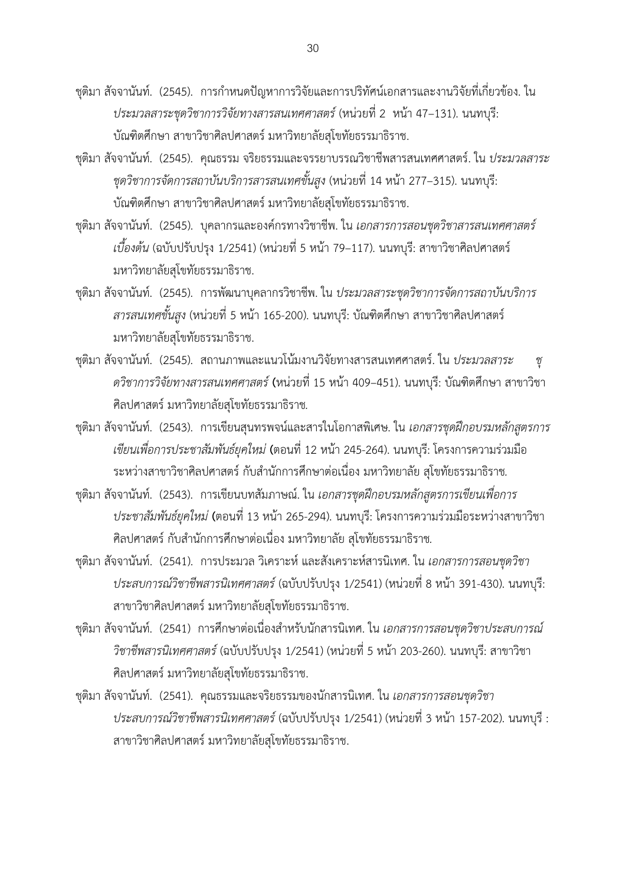ิชุติมา สัจจานันท์. (2545). การกำหนดปัญหาการวิจัยและการปริทัศน์เอกสารและงานวิจัยที่เกี่ยวข้อง. ใน *ประมวลสาระชุดวิชาการวิจัยทางสารสนเทศศาสตร์*(หน่วยที่ 2 หน้า 47–131). นนทบุรี: บัณฑิตศึกษา สาขาวิชาศิลปศาสตร์ มหาวิทยาลัยสุโขทัยธรรมาธิราช.

ชุติมา สัจจานันท์. (2545). คุณธรรม จริยธรรมและจรรยาบรรณวิชาชีพสารสนเทศศาสตร์. ใน *ประมวลสาระ ชุดวิชาการจัดการสถาบันบริการสารสนเทศขั้นสูง* (หน่วยที่ 14 หน้า 277–315). นนทบุรี: บัณฑิตศึกษา สาขาวิชาศิลปศาสตร์ มหาวิทยาลัยสุโขทัยธรรมาธิราช.

ชุติมา สัจจานันท์. (2545). บุคลากรและองค์กรทางวิชาชีพ. ใน *เอกสารการสอนชุดวิชาสารสนเทศศาสตร์ เบื้องต้น* (ฉบับปรับปรุง 1/2541) (หน่วยที่ 5 หน้า 79–117). นนทบุรี: สาขาวิชาศิลปศาสตร์ มหาวิทยาลัยสุโขทัยธรรมาธิราช.

- ชุติมา สัจจานันท์. (2545). การพัฒนาบุคลากรวิชาชีพ. ใน *ประมวลสาระชุดวิชาการจัดการสถาบันบริการ สารสนเทศขั้นสูง* (หน่วยที่ 5 หน้า 165-200). นนทบุรี: บัณฑิตศึกษา สาขาวิชาศิลปศาสตร์ มหาวิทยาลัยสุโขทัยธรรมาธิราช.
- ชุติมา สัจจานันท์. (2545). สถานภาพและแนวโน้มงานวิจัยทางสารสนเทศศาสตร์. ใน *ประมวลสาระ ชุ ดวิชาการวิจัยทางสารสนเทศศาสตร์***(**หน่วยที่ 15 หน้า 409–451). นนทบุรี: บัณฑิตศึกษา สาขาวิชา ศิลปศาสตร์ มหาวิทยาลัยสุโขทัยธรรมาธิราช*.*
- ชุติมา สัจจานันท์. (2543). การเขียนสุนทรพจน์และสารในโอกาสพิเศษ. ใน *เอกสารชุดฝึกอบรมหลักสูตรการ เขียนเพื่อการประชาสัมพันธ์ยุคใหม่* **(**ตอนที่ 12 หน้า 245-264). นนทบุรี: โครงการความร่วมมือ ระหว่างสาขาวิชาศิลปศาสตร์ กับสำนักการศึกษาต่อเนื่อง มหาวิทยาลัย สุโขทัยธรรมาธิราช*.*
- ชุติมา สัจจานันท์. (2543). การเขียนบทสัมภาษณ์. ใน *เอกสารชุดฝึกอบรมหลักสูตรการเขียนเพื่อการ ประชาสัมพันธ์ยุคใหม่* **(**ตอนที่ 13 หน้า 265-294). นนทบุรี: โครงการความร่วมมือระหว่างสาขาวิชา ศิลปศาสตร์ กับสำนักการศึกษาต่อเนื่อง มหาวิทยาลัย สุโขทัยธรรมาธิราช.
- ชุติมา สัจจานันท์. (2541). การประมวล วิเคราะห์ และสังเคราะห์สารนิเทศ. ใน *เอกสารการสอนชุดวิชา ประสบการณ์วิชาชีพสารนิเทศศาสตร์*(ฉบับปรับปรุง 1/2541) (หน่วยที่ 8 หน้า 391-430). นนทบุรี: สาขาวิชาศิลปศาสตร์ มหาวิทยาลัยสุโขทัยธรรมาธิราช.
- ี ชุติมา สัจจานันท์. (2541) การศึกษาต่อเนื่องสำหรับนักสารนิเทศ. ใน *เอกสารการสอนชุดวิชาประสบการณ์ วิชาชีพสารนิเทศศาสตร์*(ฉบับปรับปรุง 1/2541) (หน่วยที่ 5 หน้า 203-260). นนทบุรี: สาขาวิชา ศิลปศาสตร์ มหาวิทยาลัยสุโขทัยธรรมาธิราช.
- ชุติมา สัจจานันท์. (2541). คุณธรรมและจริยธรรมของนักสารนิเทศ. ใน *เอกสารการสอนชุดวิชา ประสบการณ์วิชาชีพสารนิเทศศาสตร์*(ฉบับปรับปรุง 1/2541) (หน่วยที่ 3 หน้า 157-202). นนทบุรี : สาขาวิชาศิลปศาสตร์ มหาวิทยาลัยสุโขทัยธรรมาธิราช.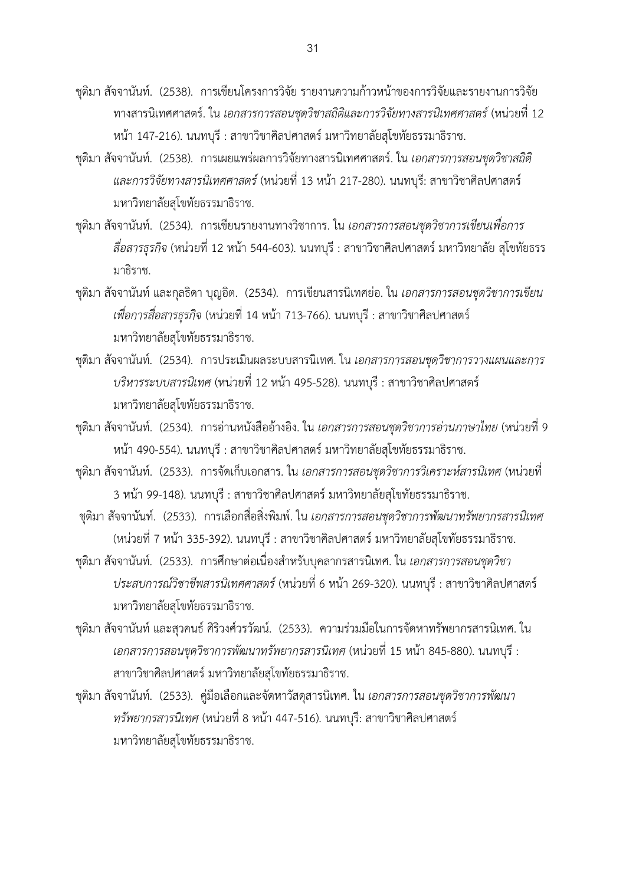ชุติมา สัจจานันท์. (2538). การเขียนโครงการวิจัย รายงานความก้าวหน้าของการวิจัยและรายงานการวิจัย ทางสารนิเทศศาสตร์. ใน *เอกสารการสอนชุดวิชาสถิติและการวิจัยทางสารนิเทศศาสตร์*(หน่วยที่ 12 หน้า 147-216). นนทบุรี : สาขาวิชาศิลปศาสตร์ มหาวิทยาลัยสุโขทัยธรรมาธิราช.

- ชุติมา สัจจานันท์. (2538). การเผยแพร่ผลการวิจัยทางสารนิเทศศาสตร์. ใน *เอกสารการสอนชุดวิชาสถิติ และการวิจัยทางสารนิเทศศาสตร์*(หน่วยที่ 13 หน้า 217-280). นนทบุรี: สาขาวิชาศิลปศาสตร์ มหาวิทยาลัยสุโขทัยธรรมาธิราช.
- ชุติมา สัจจานันท์. (2534). การเขียนรายงานทางวิชาการ. ใน *เอกสารการสอนชุดวิชาการเขียนเพื่อการ สื่อสารธุรกิจ* (หน่วยที่ 12 หน้า 544-603). นนทบุรี : สาขาวิชาศิลปศาสตร์ มหาวิทยาลัย สุโขทัยธรร มาธิราช.
- ชุติมา สัจจานันท์และกุลธิดา บุญอิต. (2534). การเขียนสารนิเทศย่อ. ใน *เอกสารการสอนชุดวิชาการเขียน เพื่อการสื่อสารธุรกิจ* (หน่วยที่ 14 หน้า 713-766). นนทบุรี : สาขาวิชาศิลปศาสตร์ มหาวิทยาลัยสุโขทัยธรรมาธิราช.
- ชุติมา สัจจานันท์. (2534). การประเมินผลระบบสารนิเทศ. ใน *เอกสารการสอนชุดวิชาการวางแผนและการ บริหารระบบสารนิเทศ* (หน่วยที่ 12 หน้า 495-528). นนทบุรี : สาขาวิชาศิลปศาสตร์ มหาวิทยาลัยสุโขทัยธรรมาธิราช.
- ชุติมา สัจจานันท์. (2534). การอ่านหนังสืออ้างอิง. ใน *เอกสารการสอนชุดวิชาการอ่านภาษาไทย* (หน่วยที่ 9 หน้า 490-554). นนทบุรี : สาขาวิชาศิลปศาสตร์ มหาวิทยาลัยสุโขทัยธรรมาธิราช.
- ชุติมา สัจจานันท์. (2533). การจัดเก็บเอกสาร. ใน *เอกสารการสอนชุดวิชาการวิเคราะห์สารนิเทศ* (หน่วยที่ 3 หน้า 99-148). นนทบุรี : สาขาวิชาศิลปศาสตร์ มหาวิทยาลัยสุโขทัยธรรมาธิราช.
- ชุติมา สัจจานันท์. (2533). การเลือกสื่อสิ่งพิมพ์. ใน *เอกสารการสอนชุดวิชาการพัฒนาทรัพยากรสารนิเทศ* (หน่วยที่ 7 หน้า 335-392). นนทบุรี : สาขาวิชาศิลปศาสตร์ มหาวิทยาลัยสุโขทัยธรรมาธิราช.
- ี ชุติมา สัจจานันท์. (2533). การศึกษาต่อเนื่องสำหรับบุคลากรสารนิเทศ. ใน *เอกสารการสอนชุดวิชา ประสบการณ์วิชาชีพสารนิเทศศาสตร์*(หน่วยที่ 6 หน้า 269-320). นนทบุรี : สาขาวิชาศิลปศาสตร์ มหาวิทยาลัยสุโขทัยธรรมาธิราช.
- ชุติมา สัจจานันท์และสุวคนธ์ ศิริวงศ์วรวัฒน์. (2533). ความร่วมมือในการจัดหาทรัพยากรสารนิเทศ. ใน *เอกสารการสอนชุดวิชาการพัฒนาทรัพยากรสารนิเทศ* (หน่วยที่ 15 หน้า 845-880). นนทบุรี : สาขาวิชาศิลปศาสตร์ มหาวิทยาลัยสุโขทัยธรรมาธิราช.
- ชุติมา สัจจานันท์. (2533). คู่มือเลือกและจัดหาวัสดุสารนิเทศ. ใน *เอกสารการสอนชุดวิชาการพัฒนา ทรัพยากรสารนิเทศ* (หน่วยที่ 8 หน้า 447-516). นนทบุรี: สาขาวิชาศิลปศาสตร์ มหาวิทยาลัยสุโขทัยธรรมาธิราช.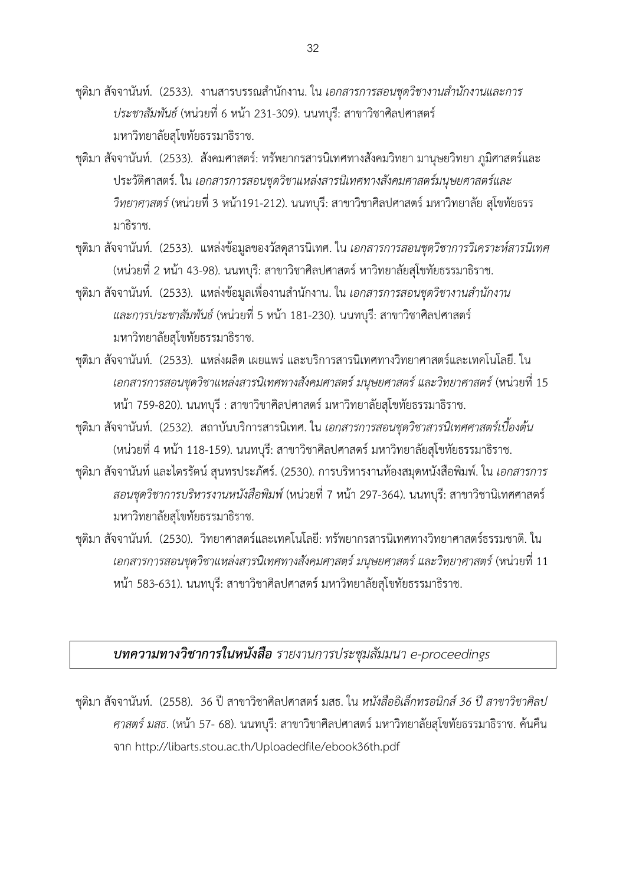ีชุติมา สัจจานันท์. (2533). งานสารบรรณสำนักงาน. ใน *เอกสารการสอนชุดวิชางานสำนักงานและการ ประชาสัมพันธ์*(หน่วยที่ 6 หน้า 231-309). นนทบุรี: สาขาวิชาศิลปศาสตร์ มหาวิทยาลัยสุโขทัยธรรมาธิราช.

- ชุติมา สัจจานันท์. (2533). สังคมศาสตร์: ทรัพยากรสารนิเทศทางสังคมวิทยา มานุษยวิทยา ภูมิศาสตร์และ ประวัติศาสตร์. ใน *เอกสารการสอนชุดวิชาแหล่งสารนิเทศทางสังคมศาสตร์มนุษยศาสตร์และ วิทยาศาสตร์*(หน่วยที่ 3 หน้า191-212). นนทบุรี: สาขาวิชาศิลปศาสตร์ มหาวิทยาลัย สุโขทัยธรร มาธิราช.
- ชุติมา สัจจานันท์. (2533). แหล่งข้อมูลของวัสดุสารนิเทศ. ใน *เอกสารการสอนชุดวิชาการวิเคราะห์สารนิเทศ* (หน่วยที่ 2 หน้า 43-98). นนทบรี: สาขาวิชาศิลปศาสตร์ หาวิทยาลัยสโขทัยธรรมาธิราช.
- ี ชุติมา สัจจานันท์. (2533). แหล่งข้อมูลเพื่องานสำนักงาน. ใน *เอกสารการสอนชุดวิชางานสำนักงาน และการประชาสัมพันธ์*(หน่วยที่ 5 หน้า 181-230). นนทบุรี: สาขาวิชาศิลปศาสตร์ มหาวิทยาลัยสุโขทัยธรรมาธิราช.
- ชุติมา สัจจานันท์. (2533). แหล่งผลิต เผยแพร่ และบริการสารนิเทศทางวิทยาศาสตร์และเทคโนโลยี. ใน *เอกสารการสอนชุดวิชาแหล่งสารนิเทศทางสังคมศาสตร์ มนุษยศาสตร์ และวิทยาศาสตร์*(หน่วยที่ 15 หน้า 759-820). นนทบุรี : สาขาวิชาศิลปศาสตร์ มหาวิทยาลัยสุโขทัยธรรมาธิราช.
- ชุติมา สัจจานันท์. (2532). สถาบันบริการสารนิเทศ. ใน *เอกสารการสอนชุดวิชาสารนิเทศศาสตร์เบื้องต้น* (หน่วยที่ 4 หน้า 118-159). นนทบุรี: สาขาวิชาศิลปศาสตร์ มหาวิทยาลัยสุโขทัยธรรมาธิราช.
- ชุติมา สัจจานันท์และไตรรัตน์ สุนทรประภัศร์. (2530). การบริหารงานห้องสมุดหนังสือพิมพ์. ใน *เอกสารการ สอนชุดวิชาการบริหารงานหนังสือพิมพ์*(หน่วยที่ 7 หน้า 297-364). นนทบุรี: สาขาวิชานิเทศศาสตร์ มหาวิทยาลัยสุโขทัยธรรมาธิราช.
- ชุติมา สัจจานันท์. (2530). วิทยาศาสตร์และเทคโนโลยี: ทรัพยากรสารนิเทศทางวิทยาศาสตร์ธรรมชาติ. ใน *เอกสารการสอนชุดวิชาแหล่งสารนิเทศทางสังคมศาสตร์ มนุษยศาสตร์ และวิทยาศาสตร์*(หน่วยที่ 11 หน้า 583-631). นนทบุรี: สาขาวิชาศิลปศาสตร์ มหาวิทยาลัยสุโขทัยธรรมาธิราช.

# *บทความทางวิชาการในหนังสือ รายงานการประชุมสัมมนา e-proceedings*

ชุติมา สัจจานันท์. (2558). 36 ปี สาขาวิชาศิลปศาสตร์ มสธ. ใน *หนังสืออิเล็กทรอนิกส์ 36 ปี สาขาวิชาศิลป ศาสตร์ มสธ*. (หน้า 57- 68). นนทบุรี: สาขาวิชาศิลปศาสตร์มหาวิทยาลัยสุโขทัยธรรมาธิราช. ค้นคืน จาก <http://libarts.stou.ac.th/Uploadedfile/ebook36th.pdf>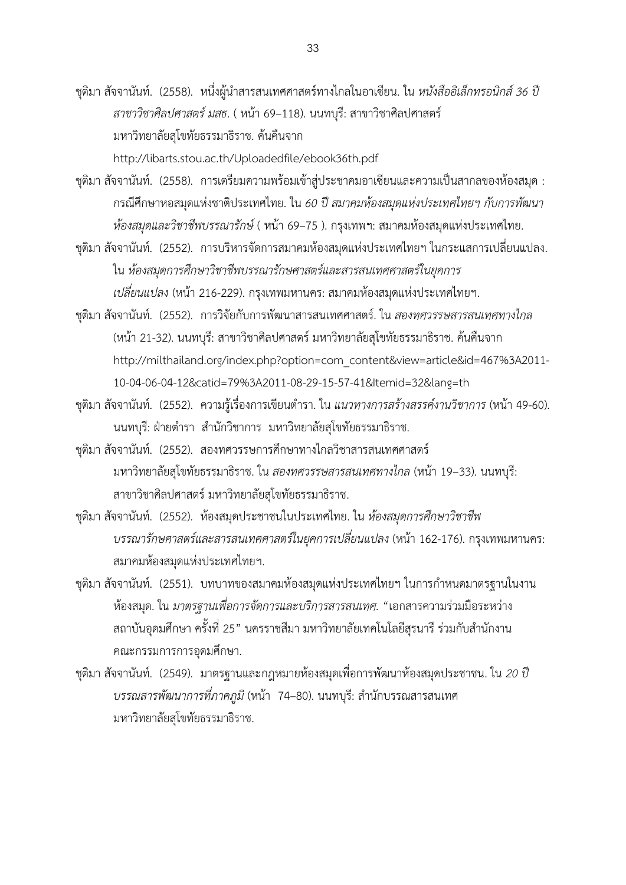ี ชุติมา สัจจานันท์. (2558). หนึ่งผู้นำสารสนเทศศาสตร์ทางไกลในอาเซียน. ใน *หนังสืออิเล็กทรอนิกส์ 36 ป*ี *สาขาวิชาศิลปศาสตร์ มสธ*. ( หน้า 69–118). นนทบุรี: สาขาวิชาศิลปศาสตร์ มหาวิทยาลัยสุโขทัยธรรมาธิราช. ค้นคืนจาก

http://libarts.stou.ac.th/Uploadedfile/ebook36th.pdf

ชุติมา สัจจานันท์. (2558). การเตรียมความพร้อมเข้าสู่ประชาคมอาเซียนและความเป็นสากลของห้องสมุด : กรณีศึกษาหอสมุดแห่งชาติประเทศไทย. ใน *60 ปีสมาคมห้องสมุดแห่งประเทศไทยฯ กับการพัฒนา ห้องสมุดและวิชาชีพบรรณารักษ์*( หน้า 69–75 ). กรุงเทพฯ: สมาคมห้องสมุดแห่งประเทศไทย.

ชุติมา สัจจานันท์. (2552). การบริหารจัดการสมาคมห้องสมุดแห่งประเทศไทยฯ ในกระแสการเปลี่ยนแปลง. ใน *ห้องสมุดการศึกษาวิชาชีพบรรณารักษศาสตร์และสารสนเทศศาสตร์ในยุคการ เปลี่ยนแปลง* (หน้า 216-229). กรุงเทพมหานคร: สมาคมห้องสมุดแห่งประเทศไทยฯ.

ชุติมา สัจจานันท์. (2552). การวิจัยกับการพัฒนาสารสนเทศศาสตร์. ใน *สองทศวรรษสารสนเทศทางไกล* (หน้า 21-32). นนทบุรี: สาขาวิชาศิลปศาสตร์ มหาวิทยาลัยสุโขทัยธรรมาธิราช. ค้นคืนจาก http://milthailand.org/index.php?option=com\_content&view=article&id=467%3A2011- 10-04-06-04-12&catid=79%3A2011-08-29-15-57-41&Itemid=32&lang=th

ชุติมา สัจจานันท์. (2552). ความรู้เรื่องการเขียนตำรา. ใน *แนวทางการสร้างสรรค์งานวิชาการ* (หน้า 49-60). นนทบุรี: ฝ่ายตำรา สำนักวิชาการ มหาวิทยาลัยสุโขทัยธรรมาธิราช.

ชุติมา สัจจานันท์. (2552). สองทศวรรษการศึกษาทางไกลวิชาสารสนเทศศาสตร์ มหาวิทยาลัยสุโขทัยธรรมาธิราช. ใน *สองทศวรรษสารสนเทศทางไกล* (หน้า 19–33). นนทบุรี: สาขาวิชาศิลปศาสตร์ มหาวิทยาลัยสุโขทัยธรรมาธิราช.

ชุติมา สัจจานันท์. (2552). ห้องสมุดประชาชนในประเทศไทย. ใน *ห้องสมุดการศึกษาวิชาชีพ บรรณารักษศาสตร์และสารสนเทศศาสตร์ในยุคการเปลี่ยนแปลง* (หน้า 162-176). กรุงเทพมหานคร: สมาคมห้องสมุดแห่งประเทศไทยฯ.

ิชุติมา สัจจานันท์. (2551). บทบาทของสมาคมห้องสมุดแห่งประเทศไทยฯ ในการกำหนดมาตรฐานในงาน ห้องสมุด. ใน *มาตรฐานเพื่อการจัดการและบริการสารสนเทศ.* "เอกสารความร่วมมือระหว่าง ิสถาบันอุดมศึกษา ครั้งที่ 25" นครราชสีมา มหาวิทยาลัยเทคโนโลยีสุรนารี ร่วมกับสำนักงาน คณะกรรมการการอุดมศึกษา.

ชุติมา สัจจานันท์. (2549). มาตรฐานและกฎหมายห้องสมุดเพื่อการพัฒนาห้องสมุดประชาชน. ใน *20 ปี บรรณสารพัฒนาการที่ภาคภูมิ* (หน้า 74–80). นนทบุรี: สำนักบรรณสารสนเทศ มหาวิทยาลัยสุโขทัยธรรมาธิราช.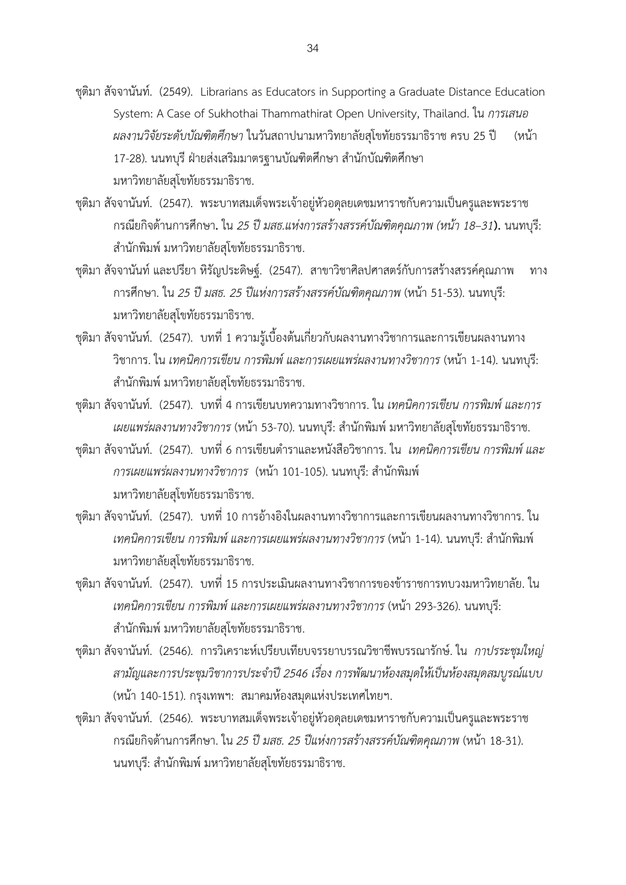- ชุติมา สัจจานันท์. (2549). Librarians as Educators in Supporting a Graduate Distance Education System: A Case of Sukhothai Thammathirat Open University, Thailand. ใน *การเสนอ ผลงานวิจัยระดับบัณฑิตศึกษา* ในวันสถาปนามหาวิทยาลัยสุโขทัยธรรมาธิราช ครบ 25 ปี (หน้า 17-28). นนทบุรี ฝ่ายส่งเสริมมาตรฐานบัณฑิตศึกษา สำนักบัณฑิตศึกษา มหาวิทยาลัยสุโขทัยธรรมาธิราช.
- ชุติมา สัจจานันท์. (2547). พระบาทสมเด็จพระเจ้าอยู่หัวอดุลยเดชมหาราชกับความเป็นครูและพระราช กรณียกิจด้านการศึกษา**.** ใน *25 ปี มสธ.แห่งการสร้างสรรค์บัณฑิตคุณภาพ (หน้า 18–31***).** นนทบุรี: ส านักพิมพ์ มหาวิทยาลัยสุโขทัยธรรมาธิราช.
- ชุติมา สัจจานันท์ และปรียา หิรัญประดิษฐ์. (2547). สาขาวิชาศิลปศาสตร์กับการสร้างสรรค์คุณภาพ ทาง การศึกษา. ใน *25 ปีมสธ. 25 ปีแห่งการสร้างสรรค์บัณฑิตคุณภาพ* (หน้า 51-53). นนทบุรี: มหาวิทยาลัยสุโขทัยธรรมาธิราช.
- ชุติมา สัจจานันท์. (2547). บทที่ 1 ความรู้เบื้องต้นเกี่ยวกับผลงานทางวิชาการและการเขียนผลงานทาง วิชาการ. ใน *เทคนิคการเขียน การพิมพ์ และการเผยแพร่ผลงานทางวิชาการ* (หน้า 1-14). นนทบุรี: ส านักพิมพ์ มหาวิทยาลัยสุโขทัยธรรมาธิราช.
- ชุติมา สัจจานันท์. (2547). บทที่ 4 การเขียนบทความทางวิชาการ. ใน *เทคนิคการเขียน การพิมพ์ และการ เผยแพร่ผลงานทางวิชาการ* (หน้า 53-70). นนทบุรี: ส านักพิมพ์ มหาวิทยาลัยสุโขทัยธรรมาธิราช.
- ี ชุติมา สัจจานันท์. (2547). บทที่ 6 การเขียนตำราและหนังสือวิชาการ. ใน *เทคนิคการเขียน การพิมพ์ และ การเผยแพร่ผลงานทางวิชาการ* (หน้า 101-105). นนทบุรี: สำนักพิมพ์ มหาวิทยาลัยสุโขทัยธรรมาธิราช.
- ชุติมา สัจจานันท์. (2547). บทที่ 10 การอ้างอิงในผลงานทางวิชาการและการเขียนผลงานทางวิชาการ. ใน *เทคนิคการเขียน การพิมพ์ และการเผยแพร่ผลงานทางวิชาการ (*หน้า 1-14). นนทบุรี: สำนักพิมพ์ มหาวิทยาลัยสุโขทัยธรรมาธิราช.
- ชุติมา สัจจานันท์. (2547). บทที่ 15 การประเมินผลงานทางวิชาการของข้าราชการทบวงมหาวิทยาลัย. ใน *เทคนิคการเขียน การพิมพ์ และการเผยแพร่ผลงานทางวิชาการ* (หน้า 293-326). นนทบุรี: ส านักพิมพ์ มหาวิทยาลัยสุโขทัยธรรมาธิราช.
- ชุติมา สัจจานันท์. (2546). การวิเคราะห์เปรียบเทียบจรรยาบรรณวิชาชีพบรรณารักษ์. ใน *กาปรระชุมใหญ่ สามัญและการประชุมวิชาการประจ าปี 2546 เรื่อง การพัฒนาห้องสมุดให้เป็นห้องสมุดสมบูรณ์แบบ* (หน้า 140-151). กรุงเทพฯ: สมาคมห้องสมุดแห่งประเทศไทยฯ.
- ชุติมา สัจจานันท์. (2546). พระบาทสมเด็จพระเจ้าอยู่หัวอดุลยเดชมหาราชกับความเป็นครูและพระราช กรณียกิจด้านการศึกษา. ใน *25 ปี มสธ. 25 ปีแห่งการสร้างสรรค์บัณฑิตคุณภาพ* (หน้า 18-31). นนทบุรี: สำนักพิมพ์ มหาวิทยาลัยสุโขทัยธรรมาธิราช.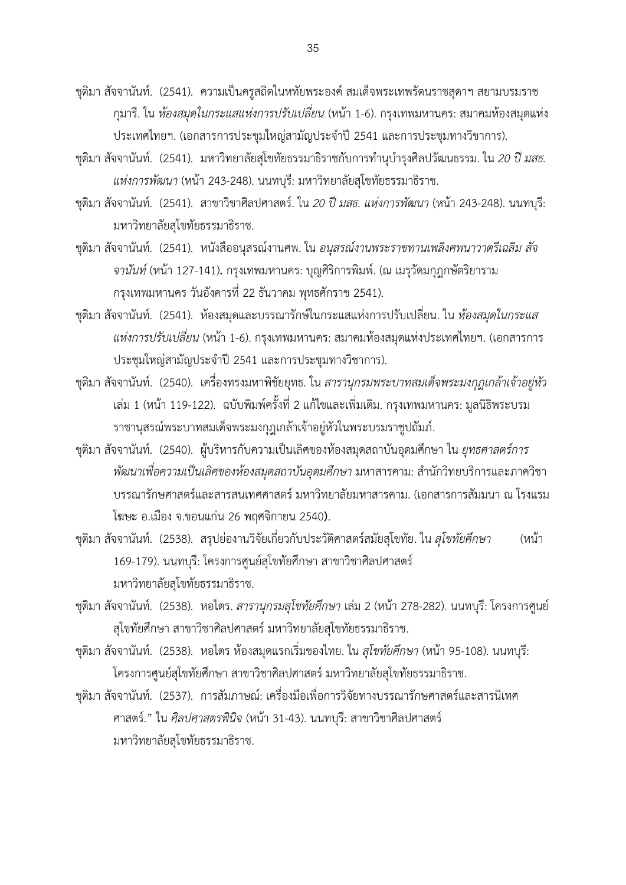- ชุติมา สัจจานันท์. (2541). ความเป็นครูสถิตในหทัยพระองค์ สมเด็จพระเทพรัตนราชสุดาฯ สยามบรมราช กุมารี. ใน *ห้องสมุดในกระแสแห่งการปรับเปลี่ยน* (หน้า 1-6). กรุงเทพมหานคร: สมาคมห้องสมุดแห่ง ประเทศไทยฯ. (เอกสารการประชุมใหญ่สามัญประจ าปี 2541 และการประชุมทางวิชาการ).
- ีชุติมา สัจจานันท์. (2541). มหาวิทยาลัยสุโขทัยธรรมาธิราชกับการทำนุบำรุงศิลปวัฒนธรรม. ใน *20 ปี มสธ. แห่งการพัฒนา* (หน้า 243-248). นนทบุรี: มหาวิทยาลัยสุโขทัยธรรมาธิราช.
- ชุติมา สัจจานันท์. (2541). สาขาวิชาศิลปศาสตร์. ใน *20 ปี มสธ. แห่งการพัฒนา* (หน้า 243-248). นนทบุรี: มหาวิทยาลัยสุโขทัยธรรมาธิราช.
- ชุติมา สัจจานันท์. (2541). หนังสืออนุสรณ์งานศพ. ใน *อนุสรณ์งานพระราชทานเพลิงศพนาวาตรีเฉลิม สัจ จานันท์* (หน้า 127-141)**.** กรุงเทพมหานคร: บุญศิริการพิมพ์. (ณ เมรุวัดมกุฎกษัตริยาราม กรุงเทพมหานคร วันอังคารที่ 22 ธันวาคม พุทธศักราช 2541).
- ชุติมา สัจจานันท์. (2541). ห้องสมุดและบรรณารักษ์ในกระแสแห่งการปรับเปลี่ยน. ใน *ห้องสมุดในกระแส แห่งการปรับเปลี่ยน* (หน้า 1-6). กรุงเทพมหานคร: สมาคมห้องสมุดแห่งประเทศไทยฯ. (เอกสารการ ประชุมใหญ่สามัญประจ าปี 2541 และการประชุมทางวิชาการ).
- ชุติมา สัจจานันท์. (2540). เครื่องทรงมหาพิชัยยุทธ. ใน *สารานุกรมพระบาทสมเด็จพระมงกุฎเกล้าเจ้าอยู่หัว* เล่ม 1 (หน้า 119-122). ฉบับพิมพ์ครั้งที่ 2 แก้ไขและเพิ่มเติม. กรุงเทพมหานคร: มูลนิธิพระบรม ราชานุสรณ์พระบาทสมเด็จพระมงกุฎเกล้าเจ้าอยู่หัวในพระบรมราชูปถัมภ์.
- ชุติมา สัจจานันท์. (2540). ผู้บริหารกับความเป็นเลิศของห้องสมุดสถาบันอุดมศึกษา ใน *ยุทธศาสตร์การ พัฒนาเพื่อความเป็นเลิศของห้องสมุดสถาบันอุดมศึกษา* มหาสารคาม: สำนักวิทยบริการและภาควิชา บรรณารักษศาสตร์และสารสนเทศศาสตร์ มหาวิทยาลัยมหาสารคาม. (เอกสารการสัมมนา ณ โรงแรม โฆษะ อ.เมือง จ.ขอนแก่น 26 พฤศจิกายน 2540**)**.
- ชุติมา สัจจานันท์. (2538). สรุปย่องานวิจัยเกี่ยวกับประวัติศาสตร์สมัยสุโขทัย. ใน *สุโขทัยศึกษา* (หน้า 169-179). นนทบุรี: โครงการศูนย์สุโขทัยศึกษา สาขาวิชาศิลปศาสตร์ มหาวิทยาลัยสุโขทัยธรรมาธิราช.
- ชุติมา สัจจานันท์. (2538). หอไตร. *สารานุกรมสุโขทัยศึกษา* เล่ม 2 (หน้า 278-282). นนทบุรี: โครงการศูนย์ สุโขทัยศึกษา สาขาวิชาศิลปศาสตร์ มหาวิทยาลัยสุโขทัยธรรมาธิราช.
- ชุติมา สัจจานันท์. (2538). หอไตร ห้องสมุดแรกเริ่มของไทย. ใน *สุโขทัยศึกษา* (หน้า 95-108). นนทบุรี: โครงการศูนย์สุโขทัยศึกษา สาขาวิชาศิลปศาสตร์ มหาวิทยาลัยสุโขทัยธรรมาธิราช.
- ชุติมา สัจจานันท์. (2537). การสัมภาษณ์: เครื่องมือเพื่อการวิจัยทางบรรณารักษศาสตร์และสารนิเทศ ศาสตร์." ใน *ศิลปศาสตรพินิจ* (หน้า 31-43). นนทบุรี: สาขาวิชาศิลปศาสตร์ มหาวิทยาลัยสุโขทัยธรรมาธิราช.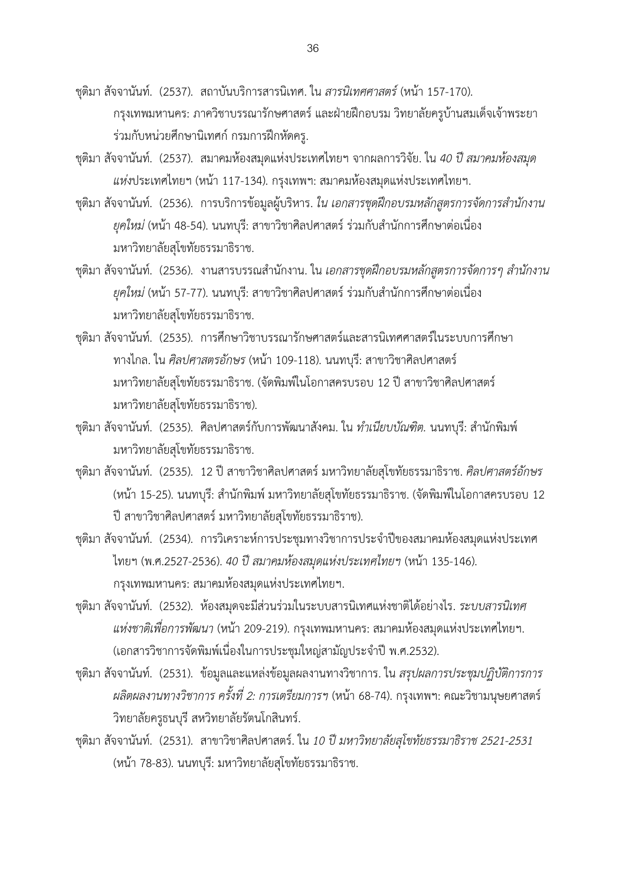ชุติมา สัจจานันท์. (2537). สถาบันบริการสารนิเทศ. ใน *สารนิเทศศาสตร์*(หน้า 157-170). กรุงเทพมหานคร: ภาควิชาบรรณารักษศาสตร์ และฝ่ายฝึกอบรม วิทยาลัยครูบ้านสมเด็จเจ้าพระยา ร่วมกับหน่วยศึกษานิเทศก์ กรมการฝึกหัดครู.

- ชุติมา สัจจานันท์. (2537). สมาคมห้องสมุดแห่งประเทศไทยฯ จากผลการวิจัย. ใน *40 ปี สมาคมห้องสมุด แห่ง*ประเทศไทยฯ (หน้า 117-134). กรุงเทพฯ: สมาคมห้องสมุดแห่งประเทศไทยฯ.
- ีชุติมา สัจจานันท์. (2536). การบริการข้อมูลผู้บริหาร. *ใน เอกสารชุดฝึกอบรมหลักสูตรการจัดการสำนักงาน ยุคใหม่* (หน้า 48-54). นนทบุรี: สาขาวิชาศิลปศาสตร์ ร่วมกับสำนักการศึกษาต่อเนื่อง มหาวิทยาลัยสุโขทัยธรรมาธิราช.
- ีชุติมา สัจจานันท์. (2536). งานสารบรรณสำนักงาน. ใน *เอกสารชุดฝึกอบรมหลักสูตรการจัดการๆ ลำนักงาน ยุคใหม่* (หน้า 57-77). นนทบุรี: สาขาวิชาศิลปศาสตร์ ร่วมกับสำนักการศึกษาต่อเนื่อง มหาวิทยาลัยสุโขทัยธรรมาธิราช.
- ชุติมา สัจจานันท์. (2535). การศึกษาวิชาบรรณารักษศาสตร์และสารนิเทศศาสตร์ในระบบการศึกษา ทางไกล. ใน *ศิลปศาสตรอักษร* (หน้า 109-118). นนทบุรี: สาขาวิชาศิลปศาสตร์ มหาวิทยาลัยสุโขทัยธรรมาธิราช. (จัดพิมพ์ในโอกาสครบรอบ 12 ปี สาขาวิชาศิลปศาสตร์ มหาวิทยาลัยสุโขทัยธรรมาธิราช).
- ี ชุติมา สัจจานันท์. (2535). ศิลปศาสตร์กับการพัฒนาสังคม. ใน *ทำเนียบบัณฑิต.* นนทบุรี: สำนักพิมพ์ มหาวิทยาลัยสุโขทัยธรรมาธิราช.
- ชุติมา สัจจานันท์. (2535). 12 ปี สาขาวิชาศิลปศาสตร์ มหาวิทยาลัยสุโขทัยธรรมาธิราช. *ศิลปศาสตร์อักษร* (หน้า 15-25). นนทบุรี: สำนักพิมพ์ มหาวิทยาลัยสุโขทัยธรรมาธิราช. (จัดพิมพ์ในโอกาสครบรอบ 12 ปี สาขาวิชาศิลปศาสตร์ มหาวิทยาลัยสุโขทัยธรรมาธิราช).
- ชุติมา สัจจานันท์. (2534). การวิเคราะห์การประชุมทางวิชาการประจำปีของสมาคมห้องสมุดแห่งประเทศ ไทยฯ (พ.ศ.2527-2536). *40 ปี สมาคมห้องสมุดแห่งประเทศไทยฯ* (หน้า 135-146). กรุงเทพมหานคร: สมาคมห้องสมุดแห่งประเทศไทยฯ.
- ชุติมา สัจจานันท์. (2532). ห้องสมุดจะมีส่วนร่วมในระบบสารนิเทศแห่งชาติได้อย่างไร. *ระบบสารนิเทศ แห่งชาติเพื่อการพัฒนา* (หน้า 209-219). กรุงเทพมหานคร: สมาคมห้องสมุดแห่งประเทศไทยฯ. (เอกสารวิชาการจัดพิมพ์เนื่องในการประชุมใหญ่สามัญประจำปี พ.ศ.2532).
- ชุติมา สัจจานันท์. (2531). ข้อมูลและแหล่งข้อมูลผลงานทางวิชาการ. ใน *สรุปผลการประชุมปฏิบัติการการ ผลิตผลงานทางวิชาการ ครั้งที่ 2: การเตรียมการฯ* (หน้า 68-74). กรุงเทพฯ: คณะวิชามนุษยศาสตร์ วิทยาลัยครูธนบุรี สหวิทยาลัยรัตนโกสินทร์.
- ชุติมา สัจจานันท์. (2531). สาขาวิชาศิลปศาสตร์. ใน *10 ปี มหาวิทยาลัยสุโขทัยธรรมาธิราช 2521-2531*  (หน้า 78-83). นนทบุรี: มหาวิทยาลัยสุโขทัยธรรมาธิราช.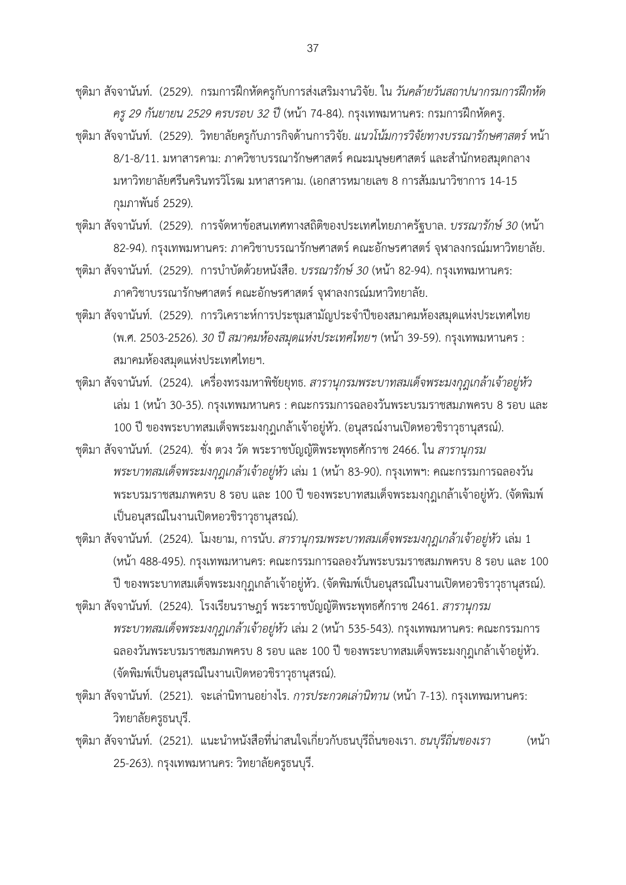ชุติมา สัจจานันท์. (2529). กรมการฝึกหัดครูกับการส่งเสริมงานวิจัย. ใน *วันคล้ายวันสถาปนากรมการฝึกหัด ครู29 กันยายน 2529 ครบรอบ 32 ปี*(หน้า 74-84). กรุงเทพมหานคร: กรมการฝึกหัดครู.

- ชุติมา สัจจานันท์. (2529). วิทยาลัยครูกับภารกิจด้านการวิจัย. *แนวโน้มการวิจัยทางบรรณารักษศาสตร์*หน้า 8/1-8/11. มหาสารคาม: ภาควิชาบรรณารักษศาสตร์ คณะมนุษยศาสตร์ และสำนักหอสมุดกลาง มหาวิทยาลัยศรีนครินทรวิโรฒ มหาสารคาม. (เอกสารหมายเลข 8 การสัมมนาวิชาการ 14-15 กุมภาพันธ์ 2529).
- ชุติมา สัจจานันท์. (2529). การจัดหาข้อสนเทศทางสถิติของประเทศไทยภาครัฐบาล. *บรรณารักษ์ 30* (หน้า 82-94). กรุงเทพมหานคร: ภาควิชาบรรณารักษศาสตร์ คณะอักษรศาสตร์จุฬาลงกรณ์มหาวิทยาลัย.
- ึชติมา สัจจานันท์. (2529). การบำบัดด้วยหนังสือ. *บรรณารักษ์ 30* (หน้า 82-94). กรงเทพมหานคร: ภาควิชาบรรณารักษศาสตร์คณะอักษรศาสตร์จุฬาลงกรณ์มหาวิทยาลัย.
- ชุติมา สัจจานันท์. (2529). การวิเคราะห์การประชุมสามัญประจ าปีของสมาคมห้องสมุดแห่งประเทศไทย (พ.ศ. 2503-2526). *30 ปี สมาคมห้องสมุดแห่งประเทศไทยฯ* (หน้า 39-59). กรุงเทพมหานคร : สมาคมห้องสมุดแห่งประเทศไทยฯ.
- ชุติมา สัจจานันท์. (2524). เครื่องทรงมหาพิชัยยุทธ. *สารานุกรมพระบาทสมเด็จพระมงกุฎเกล้าเจ้าอยู่หัว* เล่ม 1 (หน้า 30-35). กรุงเทพมหานคร : คณะกรรมการฉลองวันพระบรมราชสมภพครบ 8 รอบ และ 100 ปี ของพระบาทสมเด็จพระมงกุฎเกล้าเจ้าอยู่หัว. (อนุสรณ์งานเปิดหอวชิราวุธานุสรณ์).
- ชุติมา สัจจานันท์. (2524). ชั่ง ตวง วัด พระราชบัญญัติพระพุทธศักราช 2466. ใน *สารานุกรม พระบาทสมเด็จพระมงกุฎเกล้าเจ้าอยู่หัว* เล่ม 1 (หน้า 83-90). กรุงเทพฯ: คณะกรรมการฉลองวัน พระบรมราชสมภพครบ 8 รอบ และ 100 ปี ของพระบาทสมเด็จพระมงกุฎเกล้าเจ้าอยู่หัว. (จัดพิมพ์ เป็นอนุสรณ์ในงานเปิดหอวชิราวุธานุสรณ์).
- ชุติมา สัจจานันท์. (2524). โมงยาม, การนับ. *สารานุกรมพระบาทสมเด็จพระมงกุฎเกล้าเจ้าอยู่หัว* เล่ม 1 (หน้า 488-495). กรุงเทพมหานคร: คณะกรรมการฉลองวันพระบรมราชสมภพครบ 8 รอบ และ 100 ปี ของพระบาทสมเด็จพระมงกุฎเกล้าเจ้าอยู่หัว. (จัดพิมพ์เป็นอนุสรณ์ในงานเปิดหอวชิราวุธานุสรณ์).
- ชุติมา สัจจานันท์. (2524). โรงเรียนราษฎร์ พระราชบัญญัติพระพุทธศักราช 2461. *สารานุกรม พระบาทสมเด็จพระมงกุฎเกล้าเจ้าอยู่หัว* เล่ม 2 (หน้า 535-543). กรุงเทพมหานคร: คณะกรรมการ ฉลองวันพระบรมราชสมภพครบ 8 รอบ และ 100 ปี ของพระบาทสมเด็จพระมงกุฎเกล้าเจ้าอยู่หัว. (จัดพิมพ์เป็นอนุสรณ์ในงานเปิดหอวชิราวุธานุสรณ์).
- ชุติมา สัจจานันท์. (2521). จะเล่านิทานอย่างไร. *การประกวดเล่านิทาน* (หน้า 7-13). กรุงเทพมหานคร: วิทยาลัยครูธนบุรี.
- ี ชุติมา สัจจานันท์. (2521). แนะนำหนังสือที่น่าสนใจเกี่ยวกับธนบุรีถิ่นของเรา. *ธนบุรีถิ่นของเรา* (หน้า 25-263). กรุงเทพมหานคร: วิทยาลัยครูธนบุรี.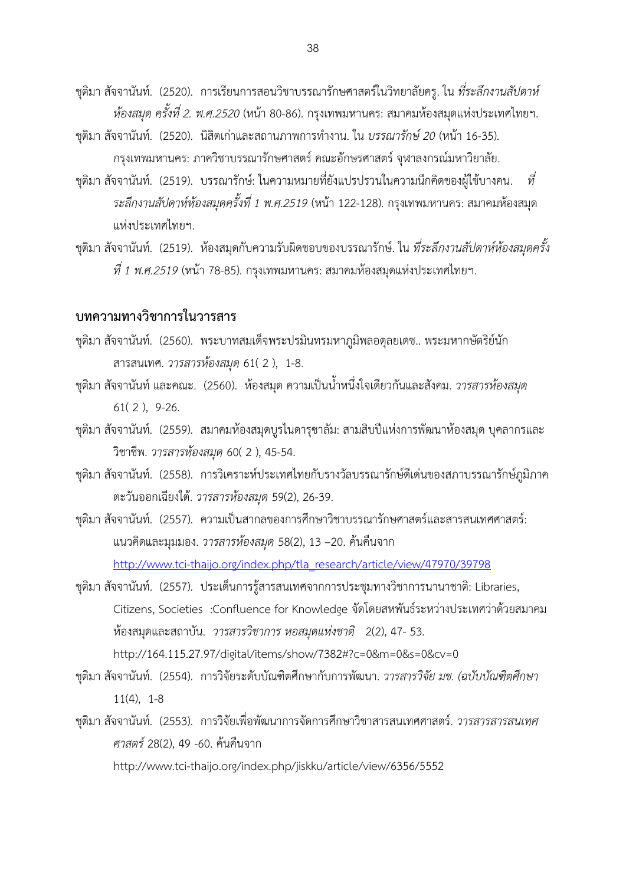ชุติมา สัจจานันท์. (2520). การเรียนการสอนวิชาบรรณารักษศาสตร์ในวิทยาลัยครู. ใน *ที่ระลึกงานสัปดาห์ ห้องสมุด ครั้งที่ 2. พ.ศ.2520* (หน้า 80-86). กรุงเทพมหานคร: สมาคมห้องสมุดแห่งประเทศไทยฯ.

- ชุติมา สัจจานันท์. (2520). นิสิตเก่าและสถานภาพการทำงาน. ใน *บรรณารักษ์ 20* (หน้า 16-35). กรุงเทพมหานคร: ภาควิชาบรรณารักษศาสตร์ คณะอักษรศาสตร์ จุฬาลงกรณ์มหาวิยาลัย.
- ชุติมา สัจจานันท์. (2519). บรรณารักษ์: ในความหมายที่ยังแปรปรวนในความนึกคิดของผู้ใช้บางคน. *ที่ ระลึกงานสัปดาห์ห้องสมุดครั้งที่ 1 พ.ศ.2519* (หน้า 122-128). กรุงเทพมหานคร: สมาคมห้องสมุด แห่งประเทศไทยฯ.
- ชุติมา สัจจานันท์. (2519). ห้องสมุดกับความรับผิดชอบของบรรณารักษ์. ใน *ที่ระลึกงานสัปดาห์ห้องสมุดครั้ง ที่ 1 พ.ศ.2519* (หน้า 78-85). กรุงเทพมหานคร: สมาคมห้องสมุดแห่งประเทศไทยฯ.

### **บทความทางวิชาการในวารสาร**

- ชุติมา สัจจานันท์. (2560). พระบาทสมเด็จพระปรมินทรมหาภูมิพลอดุลยเดช.. พระมหากษัตริย์นัก สารสนเทศ. *วารสารห้องสมุด* 61( 2 ), 1-8.
- ี ชุติมา สัจจานันท์ และคณะ. (2560). ห้องสมุด ความเป็นน้ำหนึ่งใจเดียวกันและสังคม. *วารสารห้องสมุด* 61( 2 ), 9-26.
- ชุติมา สัจจานันท์. (2559). สมาคมห้องสมุดบูรไนดารุซาลัม: สามสิบปีแห่งการพัฒนาห้องสมุด บุคลากรและ วิชาชีพ. *วารสารห้องสมุด* 60( 2 ), 45-54.
- ชุติมา สัจจานันท์. (2558). การวิเคราะห์ประเทศไทยกับรางวัลบรรณารักษ์ดีเด่นของสภาบรรณารักษ์ภูมิภาค ตะวันออกเฉียงใต้. *วารสารห้องสมุด* 59(2), 26-39.
- ชุติมา สัจจานันท์. (2557). ความเป็นสากลของการศึกษาวิชาบรรณารักษศาสตร์และสารสนเทศศาสตร์: แนวคิดและมุมมอง. *วารสารห้องสมุด* 58(2), 13 –20. ค้นคืนจาก [http://www.tci-thaijo.org/index.php/tla\\_research/article/view/47970/39798](http://www.tci-thaijo.org/index.php/tla_research/article/view/47970/39798)
- ชุติมา สัจจานันท์. (2557). ประเด็นการรู้สารสนเทศจากการประชุมทางวิชาการนานาชาติ: Libraries, Citizens, Societies :Confluence for Knowledge จัดโดยสหพันธ์ระหว่างประเทศว่าด้วยสมาคม ห้องสมุดและสถาบัน. *วารสารวิชาการ หอสมุดแห่งชาติ* 2(2), 47- 53. http://164.115.27.97/digital/items/show/7382#?c=0&m=0&s=0&cv=0
- ชุติมา สัจจานันท์. (2554). การวิจัยระดับบัณฑิตศึกษากับการพัฒนา. *วารสารวิจัย มข. (ฉบับบัณฑิตศึกษา* 11(4), 1-8
- ชุติมา สัจจานันท์. (2553). การวิจัยเพื่อพัฒนาการจัดการศึกษาวิชาสารสนเทศศาสตร์. *วารสารสารสนเทศ ศาสตร์*28(2), 49 -60. ค้นคืนจาก

http://www.tci-thaijo.org/index.php/jiskku/article/view/6356/5552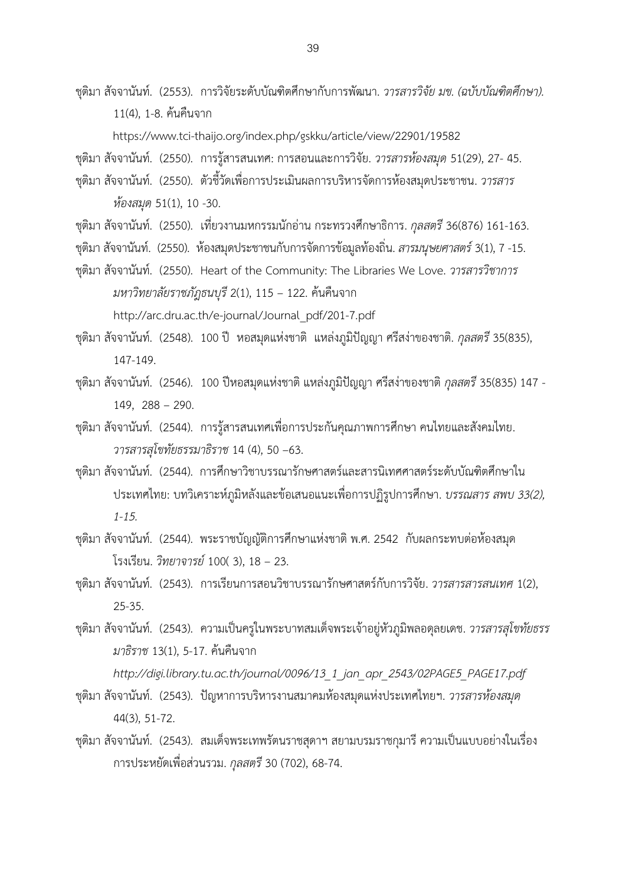ชุติมา สัจจานันท์. (2553). การวิจัยระดับบัณฑิตศึกษากับการพัฒนา. *วารสารวิจัย มข. (ฉบับบัณฑิตศึกษา).* 11(4), 1-8. ค้นคืนจาก

https://www.tci-thaijo.org/index.php/gskku/article/view/22901/19582

ชุติมา สัจจานันท์. (2550). การรู้สารสนเทศ: การสอนและการวิจัย. *วารสารห้องสมุด* 51(29), 27- 45.

- ชุติมา สัจจานันท์. (2550). ตัวชี้วัดเพื่อการประเมินผลการบริหารจัดการห้องสมุดประชาชน. *วารสาร ห้องสมุด* 51(1), 10 -30.
- ชุติมา สัจจานันท์. (2550).เที่ยวงานมหกรรมนักอ่าน กระทรวงศึกษาธิการ. *กุลสตรี*36(876) 161-163.

ชุติมา สัจจานันท์. (2550). ห้องสมุดประชาชนกับการจัดการข้อมูลท้องถิ่น. *สารมนุษยศาสตร์*3(1), 7 -15.

ชุติมา สัจจานันท์. (2550). Heart of the Community: The Libraries We Love. *วารสารวิชาการ มหาวิทยาลัยราชภัฎธนบุรี*2(1), 115 – 122. ค้นคืนจาก

[http://arc.dru.ac.th/e-journal/Journal\\_pdf/201-7.pdf](http://arc.dru.ac.th/e-journal/Journal_pdf/201-7.pdf)

ชุติมา สัจจานันท์. (2548). 100 ปี หอสมุดแห่งชาติ แหล่งภูมิปัญญา ศรีสง่าของชาติ. *กุลสตรี*35(835), 147-149.

ชุติมา สัจจานันท์. (2546).100 ปีหอสมุดแห่งชาติ แหล่งภูมิปัญญา ศรีสง่าของชาติ*กุลสตรี*35(835) 147 - 149, 288 – 290.

ชุติมา สัจจานันท์. (2544). การรู้สารสนเทศเพื่อการประกันคุณภาพการศึกษา คนไทยและสังคมไทย. *วารสารสุโขทัยธรรมาธิราช* 14 (4), 50 –63.

- ชุติมา สัจจานันท์. (2544). การศึกษาวิชาบรรณารักษศาสตร์และสารนิเทศศาสตร์ระดับบัณฑิตศึกษาใน ประเทศไทย: บทวิเคราะห์ภูมิหลังและข้อเสนอแนะเพื่อการปฏิรูปการศึกษา. *บรรณสาร สพบ 33(2), 1-15.*
- ชุติมา สัจจานันท์. (2544).พระราชบัญญัติการศึกษาแห่งชาติ พ.ศ. 2542 กับผลกระทบต่อห้องสมุด โรงเรียน. *วิทยาจารย์*100( 3), 18 – 23.
- ชุติมา สัจจานันท์. (2543). การเรียนการสอนวิชาบรรณารักษศาสตร์กับการวิจัย. *วารสารสารสนเทศ* 1(2), 25-35.
- ชุติมา สัจจานันท์. (2543). ความเป็นครูในพระบาทสมเด็จพระเจ้าอยู่หัวภูมิพลอดุลยเดช. *วารสารสุโขทัยธรร มาธิราช* 13(1), 5-17. ค้นคืนจาก

*http://digi.library.tu.ac.th/journal/0096/13\_1\_jan\_apr\_2543/02PAGE5\_PAGE17.pdf*

- ชุติมา สัจจานันท์. (2543). ปัญหาการบริหารงานสมาคมห้องสมุดแห่งประเทศไทยฯ. *วารสารห้องสมุด* 44(3), 51-72.
- ชุติมา สัจจานันท์. (2543). สมเด็จพระเทพรัตนราชสุดาฯ สยามบรมราชกุมารี ความเป็นแบบอย่างในเรื่อง การประหยัดเพื่อส่วนรวม. *กุลสตรี*30 (702), 68-74.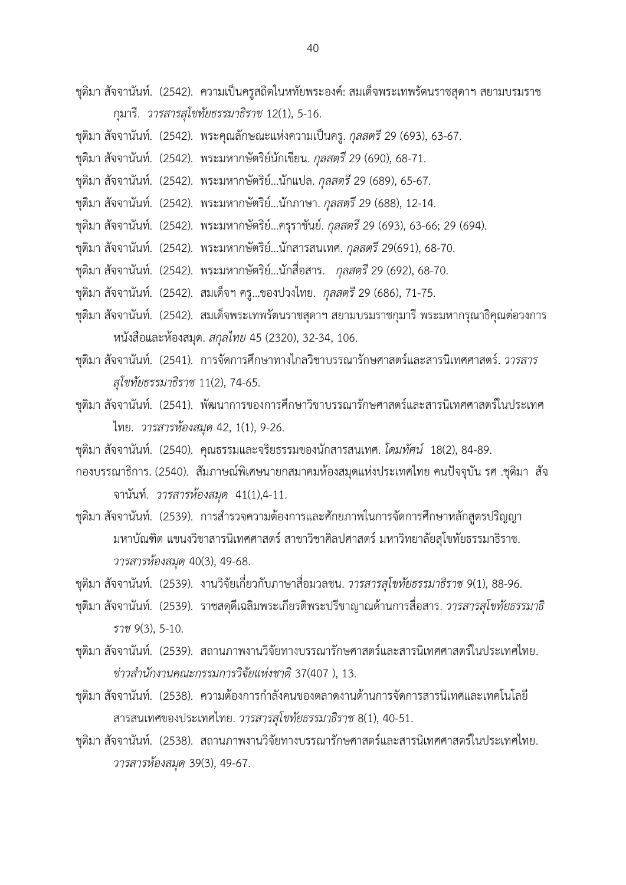ชุติมา สัจจานันท์. (2542). ความเป็นครูสถิตในหทัยพระองค์: สมเด็จพระเทพรัตนราชสุดาฯ สยามบรมราช กุมารี. *วารสารสุโขทัยธรรมาธิราช* 12(1), 5-16.

- ชุติมา สัจจานันท์. (2542). พระคุณลักษณะแห่งความเป็นครู. *กุลสตรี*29 (693), 63-67.
- ชุติมา สัจจานันท์. (2542). พระมหากษัตริย์นักเขียน. *กุลสตรี*29 (690), 68-71.
- ชุติมา สัจจานันท์. (2542). พระมหากษัตริย์…นักแปล. *กุลสตรี*29 (689), 65-67.
- ชุติมา สัจจานันท์. (2542). พระมหากษัตริย์…นักภาษา. *กุลสตรี*29 (688), 12-14.
- ชุติมา สัจจานันท์. (2542). พระมหากษัตริย์…ครุราชันย์. *กุลสตรี*29 (693), 63-66; 29 (694).
- ชุติมา สัจจานันท์. (2542). พระมหากษัตริย์…นักสารสนเทศ. *กุลสตรี*29(691), 68-70.
- ชุติมา สัจจานันท์. (2542). พระมหากษัตริย์…นักสื่อสาร. *กุลสตรี*29 (692), 68-70.
- ชุติมา สัจจานันท์. (2542). สมเด็จฯ ครู…ของปวงไทย. *กุลสตรี*29 (686), 71-75.
- ชุติมา สัจจานันท์. (2542). สมเด็จพระเทพรัตนราชสุดาฯ สยามบรมราชกุมารี พระมหากรุณาธิคุณต่อวงการ หนังสือและห้องสมุด. *สกุลไทย* 45 (2320), 32-34, 106.
- ชุติมา สัจจานันท์. (2541). การจัดการศึกษาทางไกลวิชาบรรณารักษศาสตร์และสารนิเทศศาสตร์. *วารสาร สุโขทัยธรรมาธิราช* 11(2), 74-65.
- ชุติมา สัจจานันท์. (2541). พัฒนาการของการศึกษาวิชาบรรณารักษศาสตร์และสารนิเทศศาสตร์ในประเทศ ไทย. *วารสารห้องสมุด* 42, 1(1), 9-26.
- ชุติมา สัจจานันท์. (2540). คุณธรรมและจริยธรรมของนักสารสนเทศ. *โดมทัศน์* 18(2), 84-89.
- กองบรรณาธิการ. (2540). สัมภาษณ์พิเศษนายกสมาคมห้องสมุดแห่งประเทศไทย คนปัจจุบัน รศ .ชุติมา สัจ จานันท์. *วารสารห้องสมุด* 41(1),4-11.
- ชุติมา สัจจานันท์. (2539). การสำรวจความต้องการและศักยภาพในการจัดการศึกษาหลักสูตรปริญญา มหาบัณฑิต แขนงวิชาสารนิเทศศาสตร์ สาขาวิชาศิลปศาสตร์มหาวิทยาลัยสุโขทัยธรรมาธิราช. *วารสารห้องสมุด* 40(3), 49-68.
- ชุติมา สัจจานันท์. (2539). งานวิจัยเกี่ยวกับภาษาสื่อมวลชน. *วารสารสุโขทัยธรรมาธิราช* 9(1), 88-96.
- ชุติมา สัจจานันท์. (2539). ราชสดุดีเฉลิมพระเกียรติพระปรีชาญาณด้านการสื่อสาร. *วารสารสุโขทัยธรรมาธิ ราช* 9(3), 5-10.
- ชุติมา สัจจานันท์. (2539). สถานภาพงานวิจัยทางบรรณารักษศาสตร์และสารนิเทศศาสตร์ในประเทศไทย. *ข่าวส านักงานคณะกรรมการวิจัยแห่งชาติ*37(407 ), 13.
- ิชติมา สัจจานันท์. (2538). ความต้องการกำลังคนของตลาดงานด้านการจัดการสารนิเทศและเทคโนโลยี สารสนเทศของประเทศไทย. *วารสารสุโขทัยธรรมาธิราช* 8(1), 40-51.
- ชุติมา สัจจานันท์. (2538). สถานภาพงานวิจัยทางบรรณารักษศาสตร์และสารนิเทศศาสตร์ในประเทศไทย. *วารสารห้องสมุด* 39(3), 49-67.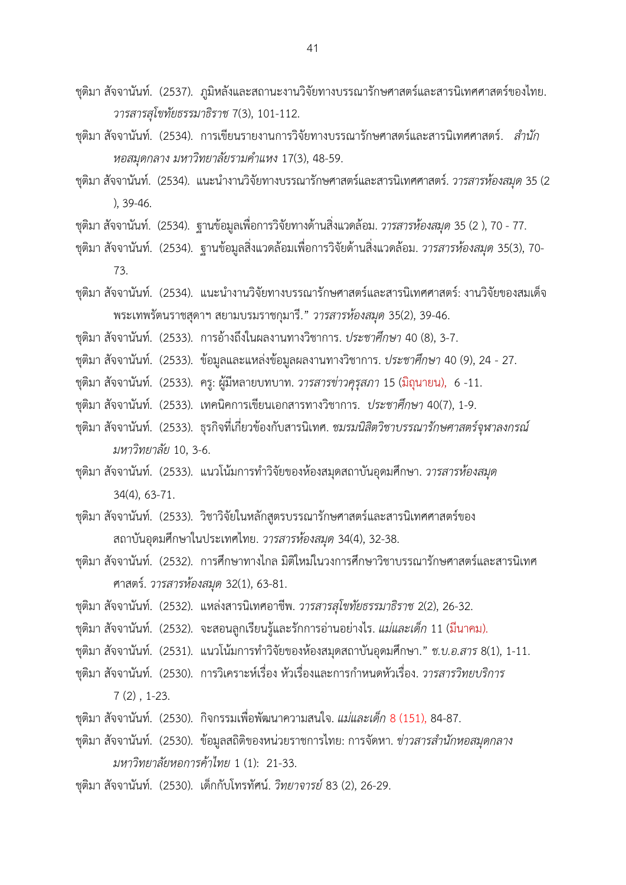- ชุติมา สัจจานันท์. (2537). ภูมิหลังและสถานะงานวิจัยทางบรรณารักษศาสตร์และสารนิเทศศาสตร์ของไทย. *วารสารสุโขทัยธรรมาธิราช* 7(3), 101-112.
- ชุติมา สัจจานันท์. (2534). การเขียนรายงานการวิจัยทางบรรณารักษศาสตร์และสารนิเทศศาสตร์. *ส านัก หอสมุดกลาง มหาวิทยาลัยรามค าแหง* 17(3), 48-59.
- ีชุติมา สัจจานันท์. (2534). แนะนำงานวิจัยทางบรรณารักษศาสตร์และสารนิเทศศาสตร์. *วารสารห้องสมุด* 35 (2 ), 39-46.
- ชุติมา สัจจานันท์. (2534). ฐานข้อมูลเพื่อการวิจัยทางด้านสิ่งแวดล้อม. *วารสารห้องสมุด* 35 (2 ), 70 77.
- ชุติมา สัจจานันท์. (2534). ฐานข้อมูลสิ่งแวดล้อมเพื่อการวิจัยด้านสิ่งแวดล้อม. *วารสารห้องสมุด* 35(3), 70- 73.
- ชุติมา สัจจานันท์. (2534). แนะนำงานวิจัยทางบรรณารักษศาสตร์และสารนิเทศศาสตร์: งานวิจัยของสมเด็จ พระเทพรัตนราชสุดาฯ สยามบรมราชกุมารี." *วารสารห้องสมุด* 35(2), 39-46.
- ชุติมา สัจจานันท์. (2533). การอ้างถึงในผลงานทางวิชาการ. *ประชาศึกษา* 40 (8), 3-7.
- ชุติมา สัจจานันท์. (2533). ข้อมูลและแหล่งข้อมูลผลงานทางวิชาการ. *ประชาศึกษา* 40 (9), 24 27.
- ชุติมา สัจจานันท์. (2533). ครู: ผู้มีหลายบทบาท. *วารสารข่าวคุรุสภา* 15 (มิถุนายน), 6 -11.
- ชุติมา สัจจานันท์. (2533). เทคนิคการเขียนเอกสารทางวิชาการ. *ประชาศึกษา* 40(7), 1-9.
- ชุติมา สัจจานันท์. (2533). ธุรกิจที่เกี่ยวข้องกับสารนิเทศ. *ชมรมนิสิตวิชาบรรณารักษศาสตร์จุฬาลงกรณ์ มหาวิทยาลัย* 10, 3-6.
- ชุติมา สัจจานันท์. (2533). แนวโน้มการทำวิจัยของห้องสมุดสถาบันอุดมศึกษา. *วารสารห้องสมุด* 34(4), 63-71.
- ชุติมา สัจจานันท์. (2533). วิชาวิจัยในหลักสูตรบรรณารักษศาสตร์และสารนิเทศศาสตร์ของ สถาบันอุดมศึกษาในประเทศไทย. *วารสารห้องสมุด* 34(4), 32-38.
- ชุติมา สัจจานันท์. (2532). การศึกษาทางไกล มิติใหม่ในวงการศึกษาวิชาบรรณารักษศาสตร์และสารนิเทศ ศาสตร์. *วารสารห้องสมุด* 32(1), 63-81.
- ชุติมา สัจจานันท์. (2532). แหล่งสารนิเทศอาชีพ. *วารสารสุโขทัยธรรมาธิราช* 2(2), 26-32.
- ชุติมา สัจจานันท์. (2532). จะสอนลูกเรียนรู้และรักการอ่านอย่างไร. *แม่และเด็ก* 11 (มีนาคม).
- ชุติมา สัจจานันท์. (2531). แนวโน้มการท าวิจัยของห้องสมุดสถาบันอุดมศึกษา." *ช.บ.อ.สาร* 8(1), 1-11.
- ี ชุติมา สัจจานันท์. (2530). การวิเคราะห์เรื่อง หัวเรื่องและการกำหนดหัวเรื่อง. *วารสารวิทยบริการ* 
	- 7 (2) , 1-23.
- ชุติมา สัจจานันท์. (2530). กิจกรรมเพื่อพัฒนาความสนใจ. *แม่และเด็ก* 8 (151), 84-87.
- ึชุติมา สัจจานันท์. (2530). ข้อมูลสถิติของหน่วยราชการไทย: การจัดหา. *ข่าวสารสำนักหอสมุดกลาง มหาวิทยาลัยหอการค้าไทย* 1 (1): 21-33.
- ชุติมา สัจจานันท์. (2530). เด็กกับโทรทัศน์. *วิทยาจารย์*83 (2), 26-29.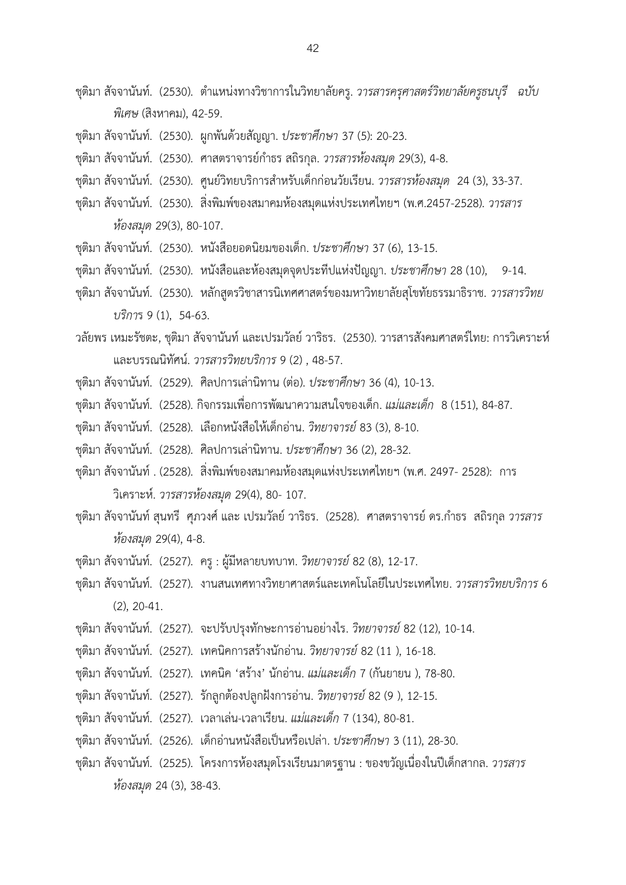- ี ชุติมา สัจจานันท์. (2530). ตำแหน่งทางวิชาการในวิทยาลัยครู. *วารสารครุศาสตร์วิทยาลัยครูธนบุรี ฉบับ พิเศษ* (สิงหาคม), 42-59.
- ชุติมา สัจจานันท์. (2530). ผูกพันด้วยสัญญา. *ประชาศึกษา* 37 (5): 20-23.
- ชุติมา สัจจานันท์. (2530). ศาสตราจารย์กำธร สถิรกุล. *วารสารห้องสมุด* 29(3), 4-8.
- ึชุติมา สัจจานันท์. (2530). ศูนย์วิทยบริการสำหรับเด็กก่อนวัยเรียน. *วารสารห้องสมด* 24 (3), 33-37.
- ชุติมา สัจจานันท์. (2530). สิ่งพิมพ์ของสมาคมห้องสมุดแห่งประเทศไทยฯ (พ.ศ.2457-2528). *วารสาร ห้องสมุด* 29(3), 80-107.
- ชุติมา สัจจานันท์. (2530). หนังสือยอดนิยมของเด็ก. *ประชาศึกษา* 37 (6), 13-15.
- ชุติมา สัจจานันท์. (2530). หนังสือและห้องสมุดจุดประทีปแห่งปัญญา. *ประชาศึกษา* 28 (10), 9-14.
- ชุติมา สัจจานันท์. (2530). หลักสูตรวิชาสารนิเทศศาสตร์ของมหาวิทยาลัยสุโขทัยธรรมาธิราช. *วารสารวิทย บริกา*ร 9 (1), 54-63.
- วลัยพร เหมะรัชตะ, ชุติมา สัจจานันท์และเปรมวัลย์ วาริธร. (2530). วารสารสังคมศาสตร์ไทย: การวิเคราะห์ และบรรณนิทัศน์. *วารสารวิทยบริการ* 9 (2) , 48-57.
- ชุติมา สัจจานันท์. (2529). ศิลปการเล่านิทาน (ต่อ). *ประชาศึกษา* 36 (4), 10-13.
- ชุติมา สัจจานันท์. (2528). กิจกรรมเพื่อการพัฒนาความสนใจของเด็ก. *แม่และเด็ก* 8 (151), 84-87.
- ชุติมา สัจจานันท์. (2528). เลือกหนังสือให้เด็กอ่าน. *วิทยาจารย์*83 (3), 8-10.
- ชุติมา สัจจานันท์. (2528). ศิลปการเล่านิทาน. *ประชาศึกษา* 36 (2), 28-32.
- ชุติมา สัจจานันท์. (2528). สิ่งพิมพ์ของสมาคมห้องสมุดแห่งประเทศไทยฯ (พ.ศ. 2497- 2528): การ วิเคราะห์. *วารสารห้องสมุด* 29(4), 80- 107.
- ชุติมา สัจจานันท์ สุนทรี ศุภวงศ์ และ เปรมวัลย์ วาริธร. (2528). ศาสตราจารย์ ดร.กำธร สถิรกุล *วารสาร ห้องสมุด* 29(4), 4-8.
- ชุติมา สัจจานันท์. (2527). ครู : ผู้มีหลายบทบาท. *วิทยาจารย์*82 (8), 12-17.
- ชุติมา สัจจานันท์. (2527). งานสนเทศทางวิทยาศาสตร์และเทคโนโลยีในประเทศไทย. *วารสารวิทยบริการ* 6 (2), 20-41.
- ชุติมา สัจจานันท์. (2527). จะปรับปรุงทักษะการอ่านอย่างไร. *วิทยาจารย์*82 (12), 10-14.
- ชุติมา สัจจานันท์. (2527). เทคนิคการสร้างนักอ่าน. *วิทยาจารย์*82 (11 ), 16-18.
- ชุติมา สัจจานันท์. (2527). เทคนิค 'สร้าง' นักอ่าน. *แม่และเด็ก* 7 (กันยายน ), 78-80.
- ชุติมา สัจจานันท์. (2527). รักลูกต้องปลูกฝังการอ่าน. *วิทยาจารย์*82 (9 ), 12-15.
- ชุติมา สัจจานันท์. (2527). เวลาเล่น-เวลาเรียน. *แม่และเด็ก* 7 (134), 80-81.
- ชุติมา สัจจานันท์. (2526). เด็กอ่านหนังสือเป็นหรือเปล่า. *ประชาศึกษา* 3 (11), 28-30.
- ชุติมา สัจจานันท์. (2525). โครงการห้องสมุดโรงเรียนมาตรฐาน : ของขวัญเนื่องในปีเด็กสากล. *วารสาร ห้องสมุด* 24 (3), 38-43.